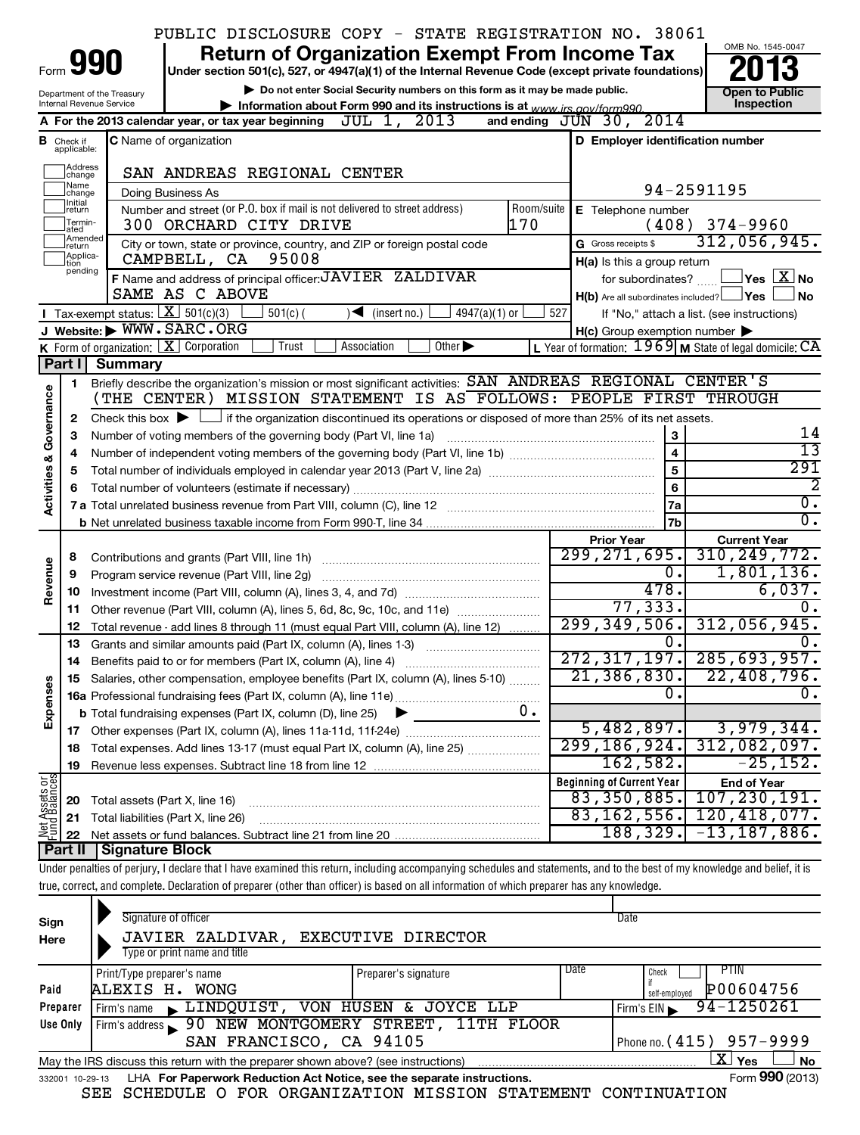|                                    |                             |                                                        | PUBLIC DISCLOSURE COPY - STATE REGISTRATION NO. 38061                                                                                                                      |            |                                                     |                                                           |
|------------------------------------|-----------------------------|--------------------------------------------------------|----------------------------------------------------------------------------------------------------------------------------------------------------------------------------|------------|-----------------------------------------------------|-----------------------------------------------------------|
|                                    |                             |                                                        | <b>Return of Organization Exempt From Income Tax</b>                                                                                                                       |            |                                                     | OMB No. 1545-0047                                         |
| Form                               |                             | 990                                                    | Under section 501(c), 527, or 4947(a)(1) of the Internal Revenue Code (except private foundations)                                                                         |            |                                                     |                                                           |
|                                    |                             | Department of the Treasury<br>Internal Revenue Service | Do not enter Social Security numbers on this form as it may be made public.                                                                                                |            |                                                     | <b>Open to Public</b><br>Inspection                       |
|                                    |                             |                                                        | Information about Form 990 and its instructions is at www irs gov/form990<br>A For the 2013 calendar year, or tax year beginning JUL 1, 2013                               |            | 2014<br>and ending $JUN$ 30,                        |                                                           |
|                                    | <b>B</b> Check if           |                                                        | <b>C</b> Name of organization                                                                                                                                              |            | D Employer identification number                    |                                                           |
|                                    | applicable:                 |                                                        |                                                                                                                                                                            |            |                                                     |                                                           |
|                                    | Address<br>change           |                                                        | SAN ANDREAS REGIONAL CENTER                                                                                                                                                |            |                                                     |                                                           |
|                                    | Name<br> change             |                                                        | Doing Business As                                                                                                                                                          |            |                                                     | 94-2591195                                                |
|                                    | Ilnitial<br> return         |                                                        | Number and street (or P.O. box if mail is not delivered to street address)                                                                                                 | Room/suite | E Telephone number                                  |                                                           |
|                                    | Termin-<br>lated            |                                                        | 300 ORCHARD CITY DRIVE                                                                                                                                                     | 170        |                                                     | $(408)$ 374-9960                                          |
|                                    | Amended<br>Ireturn          |                                                        | City or town, state or province, country, and ZIP or foreign postal code                                                                                                   |            | G Gross receipts \$                                 | 312,056,945.                                              |
|                                    | Applica-<br>tion<br>pending |                                                        | 95008<br>CAMPBELL, CA                                                                                                                                                      |            | H(a) Is this a group return                         |                                                           |
|                                    |                             |                                                        | F Name and address of principal officer: JAVIER ZALDIVAR                                                                                                                   |            | for subordinates?                                   | $\Box$ Yes $\Box$ X $\Box$ No                             |
|                                    |                             |                                                        | SAME AS C ABOVE                                                                                                                                                            |            | $H(b)$ Are all subordinates included? $\Box$ Yes    | <b>No</b>                                                 |
|                                    |                             | Tax-exempt status: $X \ 501(c)(3)$                     | $501(c)$ (<br>$4947(a)(1)$ or<br>$\sqrt{\bullet}$ (insert no.)                                                                                                             | 527        |                                                     | If "No," attach a list. (see instructions)                |
|                                    |                             |                                                        | J Website: WWW.SARC.ORG                                                                                                                                                    |            | $H(c)$ Group exemption number $\blacktriangleright$ |                                                           |
|                                    | Part I                      | Summary                                                | <b>K</b> Form of organization: $X$ Corporation<br>Trust<br>Other $\blacktriangleright$<br>Association                                                                      |            |                                                     | L Year of formation: $1969$ M State of legal domicile: CA |
|                                    |                             |                                                        | Briefly describe the organization's mission or most significant activities: SAN ANDREAS REGIONAL CENTER'S                                                                  |            |                                                     |                                                           |
|                                    | 1                           |                                                        | (THE CENTER) MISSION STATEMENT IS AS FOLLOWS: PEOPLE FIRST THROUGH                                                                                                         |            |                                                     |                                                           |
|                                    | 2                           |                                                        | Check this box $\blacktriangleright$ $\Box$ if the organization discontinued its operations or disposed of more than 25% of its net assets.                                |            |                                                     |                                                           |
|                                    | З                           |                                                        | Number of voting members of the governing body (Part VI, line 1a)                                                                                                          |            | 3                                                   | 14                                                        |
|                                    | 4                           |                                                        |                                                                                                                                                                            |            | $\overline{\mathbf{4}}$                             | 13                                                        |
|                                    | 5                           |                                                        |                                                                                                                                                                            |            | 5                                                   | 291                                                       |
|                                    |                             |                                                        |                                                                                                                                                                            |            | 6                                                   | $\overline{2}$                                            |
| <b>Activities &amp; Governance</b> |                             |                                                        |                                                                                                                                                                            |            | <b>7a</b>                                           | $\overline{0}$ .                                          |
|                                    |                             |                                                        |                                                                                                                                                                            |            | 7b                                                  | σ.                                                        |
|                                    |                             |                                                        |                                                                                                                                                                            |            | <b>Prior Year</b>                                   | <b>Current Year</b>                                       |
|                                    | 8                           |                                                        | Contributions and grants (Part VIII, line 1h)                                                                                                                              |            | 299, 271, 695.                                      | 310, 249, 772.                                            |
| Revenue                            | 9                           |                                                        | Program service revenue (Part VIII, line 2g)                                                                                                                               |            | $\overline{0}$ .                                    | 1,801,136.                                                |
|                                    | 10                          |                                                        |                                                                                                                                                                            |            | 478.                                                | 6,037.                                                    |
|                                    | 11                          |                                                        | Other revenue (Part VIII, column (A), lines 5, 6d, 8c, 9c, 10c, and 11e)                                                                                                   |            | 77, 333.<br>299, 349, 506.                          | 0.<br>312,056,945.                                        |
|                                    | 12                          |                                                        | Total revenue - add lines 8 through 11 (must equal Part VIII, column (A), line 12)                                                                                         |            | 0.                                                  | 0.                                                        |
|                                    | 13                          |                                                        | Grants and similar amounts paid (Part IX, column (A), lines 1-3)                                                                                                           |            | 272, 317, 197.                                      | 285,693,957.                                              |
|                                    |                             |                                                        | Salaries, other compensation, employee benefits (Part IX, column (A), lines 5-10)                                                                                          |            | $\overline{21,386,830.}$                            | 22,408,796.                                               |
|                                    |                             |                                                        |                                                                                                                                                                            |            | $\Omega$ .                                          | о.                                                        |
| Expenses                           |                             |                                                        | <b>b</b> Total fundraising expenses (Part IX, column (D), line 25)                                                                                                         | $0$ .      |                                                     |                                                           |
|                                    | 17                          |                                                        | Other expenses (Part IX, column (A), lines 11a-11d, 11f-24e)                                                                                                               |            | 5,482,897.                                          | 3,979,344.                                                |
|                                    | 18                          |                                                        | Total expenses. Add lines 13-17 (must equal Part IX, column (A), line 25)                                                                                                  |            | 299, 186, 924.                                      | 312,082,097.                                              |
|                                    | 19                          |                                                        |                                                                                                                                                                            |            | 162,582.                                            | $-25, 152.$                                               |
|                                    |                             |                                                        |                                                                                                                                                                            |            | <b>Beginning of Current Year</b>                    | <b>End of Year</b>                                        |
|                                    | 20                          | Total assets (Part X, line 16)                         |                                                                                                                                                                            |            | 83,350,885.                                         | 107, 230, 191.                                            |
| Net Assets or<br>Fund Balances     | 21                          |                                                        | Total liabilities (Part X, line 26)                                                                                                                                        |            | 83, 162, 556.                                       | 120, 418, 077.                                            |
|                                    | 22                          |                                                        |                                                                                                                                                                            |            | 188,329.                                            | $-13, 187, 886$ .                                         |
|                                    | Part II                     | <b>Signature Block</b>                                 |                                                                                                                                                                            |            |                                                     |                                                           |
|                                    |                             |                                                        | Under penalties of perjury, I declare that I have examined this return, including accompanying schedules and statements, and to the best of my knowledge and belief, it is |            |                                                     |                                                           |
|                                    |                             |                                                        | true, correct, and complete. Declaration of preparer (other than officer) is based on all information of which preparer has any knowledge.                                 |            |                                                     |                                                           |
|                                    |                             |                                                        |                                                                                                                                                                            |            |                                                     |                                                           |

| Sign                     | Signature of officer                                                              |                                      |      | Date                       |  |  |  |  |  |  |
|--------------------------|-----------------------------------------------------------------------------------|--------------------------------------|------|----------------------------|--|--|--|--|--|--|
| Here                     | JAVIER ZALDIVAR, EXECUTIVE DIRECTOR                                               |                                      |      |                            |  |  |  |  |  |  |
|                          | Type or print name and title                                                      |                                      |      |                            |  |  |  |  |  |  |
|                          | Print/Type preparer's name                                                        | Preparer's signature                 | Date | PTIN<br>Check              |  |  |  |  |  |  |
| Paid                     | ALEXIS H. WONG                                                                    |                                      |      | P00604756<br>self-employed |  |  |  |  |  |  |
| Preparer                 | LINDQUIST, VON HUSEN & JOYCE LLP<br>Firm's name                                   |                                      |      | 94-1250261<br>Firm's EIN   |  |  |  |  |  |  |
| Use Only                 | Firm's address                                                                    | 90 NEW MONTGOMERY STREET, 11TH FLOOR |      |                            |  |  |  |  |  |  |
|                          | Phone no. (415) 957-9999<br>SAN FRANCISCO, CA 94105                               |                                      |      |                            |  |  |  |  |  |  |
|                          | May the IRS discuss this return with the preparer shown above? (see instructions) |                                      |      | ΧI<br><b>No</b><br>Yes     |  |  |  |  |  |  |
| $10 - 29 - 13$<br>332001 | LHA For Paperwork Reduction Act Notice, see the separate instructions.            |                                      |      | Form 990 (2013)            |  |  |  |  |  |  |
|                          | $\sim$ $ -$                                                                       | ~--- <i>-</i> -------                |      |                            |  |  |  |  |  |  |

SEE SCHEDULE O FOR ORGANIZATION MISSION STATEMENT CONTINUATION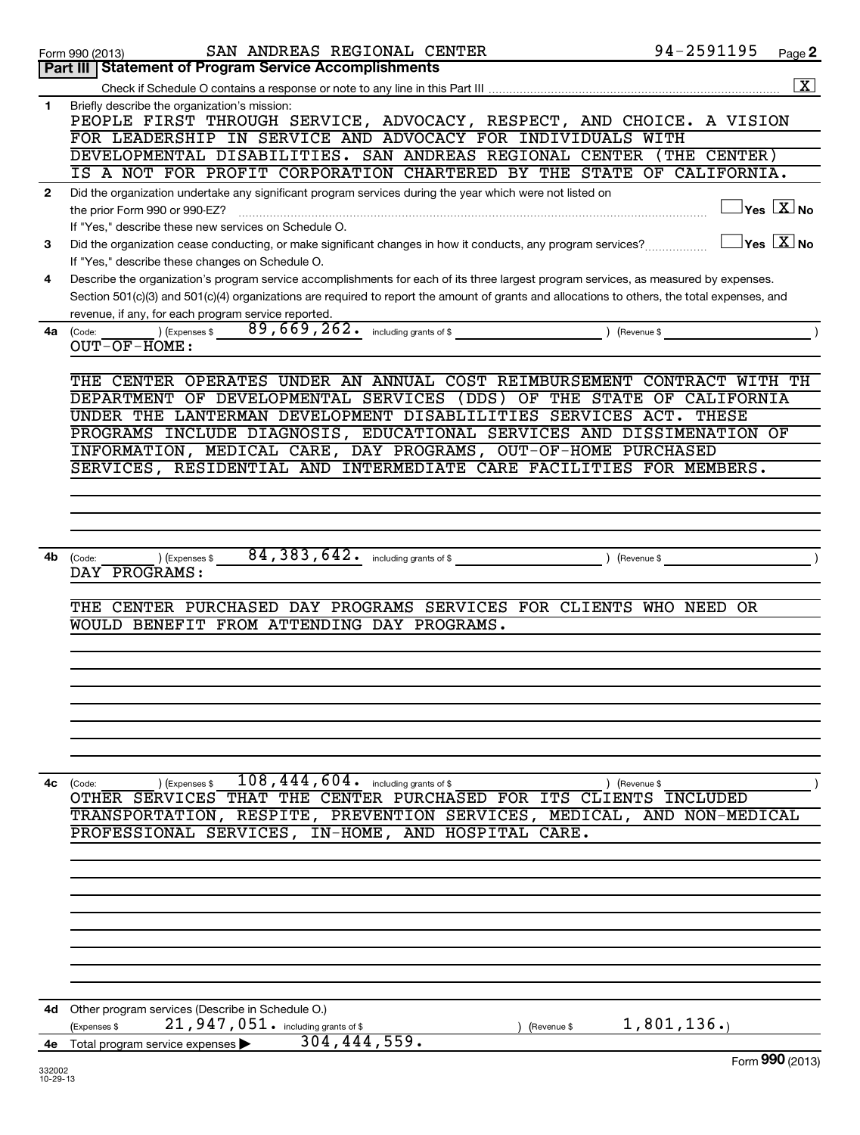|              | SAN ANDREAS REGIONAL CENTER<br>Form 990 (2013)                                                                                               | 94-2591195 | Page 2                                  |
|--------------|----------------------------------------------------------------------------------------------------------------------------------------------|------------|-----------------------------------------|
|              | Part III   Statement of Program Service Accomplishments                                                                                      |            |                                         |
|              |                                                                                                                                              |            | $\boxed{\textbf{X}}$                    |
| 1            | Briefly describe the organization's mission:                                                                                                 |            |                                         |
|              | PEOPLE FIRST THROUGH SERVICE, ADVOCACY, RESPECT, AND CHOICE. A VISION                                                                        |            |                                         |
|              | FOR LEADERSHIP IN SERVICE AND ADVOCACY FOR INDIVIDUALS WITH                                                                                  |            |                                         |
|              | DEVELOPMENTAL DISABILITIES. SAN ANDREAS REGIONAL CENTER (THE CENTER)                                                                         |            |                                         |
|              | IS A NOT FOR PROFIT CORPORATION CHARTERED BY THE STATE OF CALIFORNIA.                                                                        |            |                                         |
| $\mathbf{2}$ | Did the organization undertake any significant program services during the year which were not listed on                                     |            |                                         |
|              | the prior Form 990 or 990-EZ?                                                                                                                |            | $\Box$ Yes $\boxed{\text{X}}$ No        |
|              | If "Yes," describe these new services on Schedule O.                                                                                         |            |                                         |
| 3            | Did the organization cease conducting, or make significant changes in how it conducts, any program services?                                 |            | $\Box$ Yes $[\overline{\mathrm{X}}]$ No |
|              | If "Yes," describe these changes on Schedule O.                                                                                              |            |                                         |
| 4            | Describe the organization's program service accomplishments for each of its three largest program services, as measured by expenses.         |            |                                         |
|              | Section 501(c)(3) and 501(c)(4) organizations are required to report the amount of grants and allocations to others, the total expenses, and |            |                                         |
|              | revenue, if any, for each program service reported.                                                                                          |            |                                         |
| 4a           | $(x)$ (Expenses \$ $89,669,262$ including grants of \$ $($ Revenue \$ $)$<br>(Code:                                                          |            |                                         |
|              | $OUT-OF-HOME:$                                                                                                                               |            |                                         |
|              |                                                                                                                                              |            |                                         |
|              | THE CENTER OPERATES UNDER AN ANNUAL COST REIMBURSEMENT CONTRACT WITH TH                                                                      |            |                                         |
|              | DEPARTMENT OF DEVELOPMENTAL SERVICES (DDS) OF THE STATE OF CALIFORNIA                                                                        |            |                                         |
|              | UNDER THE LANTERMAN DEVELOPMENT DISABLILITIES SERVICES ACT. THESE                                                                            |            |                                         |
|              | PROGRAMS INCLUDE DIAGNOSIS, EDUCATIONAL SERVICES AND DISSIMENATION OF                                                                        |            |                                         |
|              | INFORMATION, MEDICAL CARE, DAY PROGRAMS, OUT-OF-HOME PURCHASED                                                                               |            |                                         |
|              | SERVICES, RESIDENTIAL AND INTERMEDIATE CARE FACILITIES FOR MEMBERS.                                                                          |            |                                         |
|              |                                                                                                                                              |            |                                         |
|              |                                                                                                                                              |            |                                         |
|              |                                                                                                                                              |            |                                         |
|              |                                                                                                                                              |            |                                         |
| 4b           | ) (Expenses \$<br>(Code:                                                                                                                     |            |                                         |
|              | DAY PROGRAMS:                                                                                                                                |            |                                         |
|              | THE CENTER PURCHASED DAY PROGRAMS SERVICES FOR CLIENTS WHO NEED OR                                                                           |            |                                         |
|              |                                                                                                                                              |            |                                         |
|              | WOULD BENEFIT FROM ATTENDING DAY PROGRAMS.                                                                                                   |            |                                         |
|              |                                                                                                                                              |            |                                         |
|              |                                                                                                                                              |            |                                         |
|              |                                                                                                                                              |            |                                         |
|              |                                                                                                                                              |            |                                         |
|              |                                                                                                                                              |            |                                         |
|              |                                                                                                                                              |            |                                         |
|              |                                                                                                                                              |            |                                         |
| 4c           | $108,444,604$ . including grants of \$                                                                                                       |            |                                         |
|              | ) (Expenses \$<br>) (Revenue \$<br>(Code:<br>OTHER SERVICES THAT THE CENTER PURCHASED FOR ITS CLIENTS INCLUDED                               |            |                                         |
|              | TRANSPORTATION, RESPITE, PREVENTION SERVICES, MEDICAL, AND NON-MEDICAL                                                                       |            |                                         |
|              | PROFESSIONAL SERVICES, IN-HOME, AND HOSPITAL CARE.                                                                                           |            |                                         |
|              |                                                                                                                                              |            |                                         |
|              |                                                                                                                                              |            |                                         |
|              |                                                                                                                                              |            |                                         |
|              |                                                                                                                                              |            |                                         |
|              |                                                                                                                                              |            |                                         |
|              |                                                                                                                                              |            |                                         |
|              |                                                                                                                                              |            |                                         |
|              |                                                                                                                                              |            |                                         |
|              |                                                                                                                                              |            |                                         |
|              | 4d Other program services (Describe in Schedule O.)                                                                                          |            |                                         |
|              | 21,947,051. including grants of \$<br>(Expenses \$<br>(Revenue \$                                                                            | 1,801,136. |                                         |
|              | 304, 444, 559.<br>4e Total program service expenses                                                                                          |            |                                         |
|              |                                                                                                                                              |            | $F_{\text{arm}}$ QQ $\Omega$ (2012)     |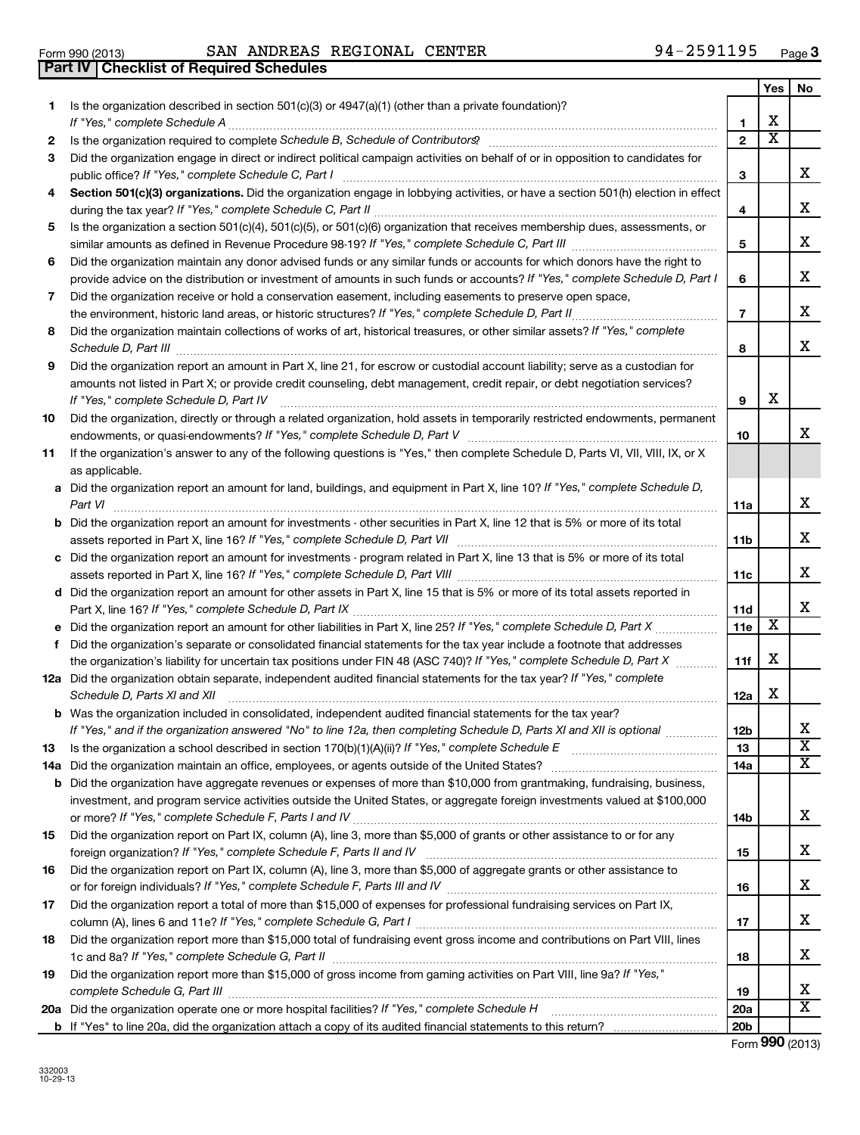|     | 94-2591195<br>SAN ANDREAS REGIONAL CENTER<br>Form 990 (2013)<br><b>Checklist of Required Schedules</b><br>Part IV                                                                                                                                                                                                                                                   |                         |            | Page |
|-----|---------------------------------------------------------------------------------------------------------------------------------------------------------------------------------------------------------------------------------------------------------------------------------------------------------------------------------------------------------------------|-------------------------|------------|------|
|     |                                                                                                                                                                                                                                                                                                                                                                     |                         | <b>Yes</b> | No   |
| 1.  | Is the organization described in section $501(c)(3)$ or $4947(a)(1)$ (other than a private foundation)?<br>If "Yes," complete Schedule A                                                                                                                                                                                                                            | 1                       | x          |      |
| 2   |                                                                                                                                                                                                                                                                                                                                                                     | $\mathbf{2}$            | X          |      |
| 3   | Did the organization engage in direct or indirect political campaign activities on behalf of or in opposition to candidates for<br>public office? If "Yes," complete Schedule C, Part I                                                                                                                                                                             | 3                       |            | X    |
| 4   | Section 501(c)(3) organizations. Did the organization engage in lobbying activities, or have a section 501(h) election in effect                                                                                                                                                                                                                                    | 4                       |            | х    |
| 5   | Is the organization a section 501(c)(4), 501(c)(5), or 501(c)(6) organization that receives membership dues, assessments, or                                                                                                                                                                                                                                        | 5                       |            | X    |
| 6   | Did the organization maintain any donor advised funds or any similar funds or accounts for which donors have the right to                                                                                                                                                                                                                                           |                         |            |      |
|     | provide advice on the distribution or investment of amounts in such funds or accounts? If "Yes," complete Schedule D, Part I                                                                                                                                                                                                                                        | 6                       |            | X    |
| 7   | Did the organization receive or hold a conservation easement, including easements to preserve open space,                                                                                                                                                                                                                                                           | $\overline{\mathbf{r}}$ |            | X    |
| 8   | Did the organization maintain collections of works of art, historical treasures, or other similar assets? If "Yes," complete<br>Schedule D, Part III <b>Process Construction Construction Construction</b> Construction Construction Construction Construction Construction Construction Construction Construction Construction Construction Construction Construct | 8                       |            | X    |
| 9   | Did the organization report an amount in Part X, line 21, for escrow or custodial account liability; serve as a custodian for<br>amounts not listed in Part X; or provide credit counseling, debt management, credit repair, or debt negotiation services?<br>If "Yes," complete Schedule D, Part IV                                                                | 9                       | х          |      |
| 10  | Did the organization, directly or through a related organization, hold assets in temporarily restricted endowments, permanent                                                                                                                                                                                                                                       | 10                      |            | X    |
| 11  | If the organization's answer to any of the following questions is "Yes," then complete Schedule D, Parts VI, VII, VIII, IX, or X<br>as applicable.                                                                                                                                                                                                                  |                         |            |      |
|     | a Did the organization report an amount for land, buildings, and equipment in Part X, line 10? If "Yes," complete Schedule D,<br>Part VI                                                                                                                                                                                                                            | 11a                     |            | X    |
|     | <b>b</b> Did the organization report an amount for investments - other securities in Part X, line 12 that is 5% or more of its total<br>assets reported in Part X, line 16? If "Yes," complete Schedule D, Part VII                                                                                                                                                 | 11b                     |            | X    |
|     | c Did the organization report an amount for investments - program related in Part X, line 13 that is 5% or more of its total                                                                                                                                                                                                                                        | 11c                     |            | Χ    |
|     | d Did the organization report an amount for other assets in Part X, line 15 that is 5% or more of its total assets reported in                                                                                                                                                                                                                                      | 11d                     |            | X    |
|     |                                                                                                                                                                                                                                                                                                                                                                     | 11e                     | X          |      |
| f   | Did the organization's separate or consolidated financial statements for the tax year include a footnote that addresses<br>the organization's liability for uncertain tax positions under FIN 48 (ASC 740)? If "Yes," complete Schedule D, Part X                                                                                                                   | 11f                     | х          |      |
|     | 12a Did the organization obtain separate, independent audited financial statements for the tax year? If "Yes," complete<br>Schedule D, Parts XI and XII                                                                                                                                                                                                             | 12a                     | х          |      |
|     | <b>b</b> Was the organization included in consolidated, independent audited financial statements for the tax year?<br>If "Yes," and if the organization answered "No" to line 12a, then completing Schedule D, Parts XI and XII is optional www.                                                                                                                    | 12 <sub>b</sub>         |            | х    |
| 13  |                                                                                                                                                                                                                                                                                                                                                                     | 13                      |            | х    |
| 14a |                                                                                                                                                                                                                                                                                                                                                                     | 14a                     |            | х    |
|     | <b>b</b> Did the organization have aggregate revenues or expenses of more than \$10,000 from grantmaking, fundraising, business,                                                                                                                                                                                                                                    |                         |            |      |
|     | investment, and program service activities outside the United States, or aggregate foreign investments valued at \$100,000                                                                                                                                                                                                                                          | 14b                     |            | х    |
| 15  | Did the organization report on Part IX, column (A), line 3, more than \$5,000 of grants or other assistance to or for any                                                                                                                                                                                                                                           | 15                      |            | Х    |
| 16  | Did the organization report on Part IX, column (A), line 3, more than \$5,000 of aggregate grants or other assistance to                                                                                                                                                                                                                                            | 16                      |            | х    |
| 17  | Did the organization report a total of more than \$15,000 of expenses for professional fundraising services on Part IX,                                                                                                                                                                                                                                             | 17                      |            | х    |
| 18  | Did the organization report more than \$15,000 total of fundraising event gross income and contributions on Part VIII, lines<br>1c and 8a? If "Yes," complete Schedule G, Part II                                                                                                                                                                                   | 18                      |            | X    |
|     | Did the organization report more than \$15,000 of gross income from gaming activities on Part VIII, line 9a? If "Yes,"                                                                                                                                                                                                                                              |                         |            |      |

**20a** Did the organization operate one or more hospital facilities? If "Yes," complete Schedule H

**b** If "Yes" to line 20a, did the organization attach a copy of its audited financial statements to this return?

*complete Schedule G, Part III* ~~~~~~~~~~~~~~~~~~~~~~~~~~~~~~~~~~~~~~~~~~~~~~~

**3**

**Yes No**

X

X

X

X

X

X

X

X

X

X

X

X

X

X

X

X

X X

Form (2013) **990**

**19 20a 20b**

~~~~~~~~~~~~~~~~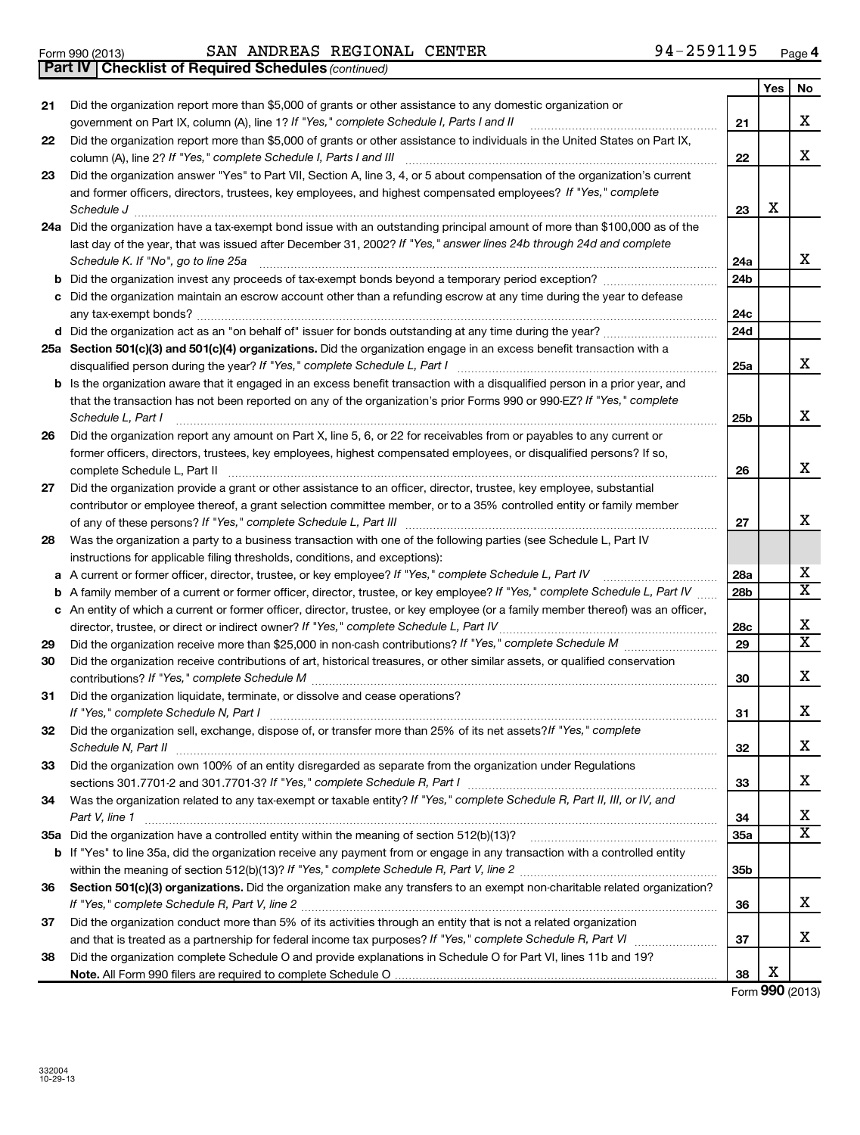|    | <b>Checklist of Required Schedules (continued)</b><br>Part IV                                                                                                                                                                               |                 |       |           |
|----|---------------------------------------------------------------------------------------------------------------------------------------------------------------------------------------------------------------------------------------------|-----------------|-------|-----------|
|    |                                                                                                                                                                                                                                             |                 | Yes l | <b>No</b> |
| 21 | Did the organization report more than \$5,000 of grants or other assistance to any domestic organization or<br>government on Part IX, column (A), line 1? If "Yes," complete Schedule I, Parts I and II                                     | 21              |       | X         |
| 22 | Did the organization report more than \$5,000 of grants or other assistance to individuals in the United States on Part IX,                                                                                                                 |                 |       |           |
|    | column (A), line 2? If "Yes," complete Schedule I, Parts I and III                                                                                                                                                                          | 22              |       | Χ         |
| 23 | Did the organization answer "Yes" to Part VII, Section A, line 3, 4, or 5 about compensation of the organization's current                                                                                                                  |                 |       |           |
|    | and former officers, directors, trustees, key employees, and highest compensated employees? If "Yes," complete                                                                                                                              |                 |       |           |
|    | Schedule J <b>Execute Discusses Contained Contained Contained Contained Contained Contained Contained Contained Contained Contained Contained Contained Contained Contained Contained Contained Contained Contained Contained Co</b>        | 23              | х     |           |
|    | 24a Did the organization have a tax-exempt bond issue with an outstanding principal amount of more than \$100,000 as of the                                                                                                                 |                 |       |           |
|    | last day of the year, that was issued after December 31, 2002? If "Yes," answer lines 24b through 24d and complete                                                                                                                          |                 |       |           |
|    | Schedule K. If "No", go to line 25a                                                                                                                                                                                                         | 24a             |       | X         |
|    |                                                                                                                                                                                                                                             | 24b             |       |           |
|    | c Did the organization maintain an escrow account other than a refunding escrow at any time during the year to defease                                                                                                                      | 24c             |       |           |
|    |                                                                                                                                                                                                                                             | 24d             |       |           |
|    | 25a Section 501(c)(3) and 501(c)(4) organizations. Did the organization engage in an excess benefit transaction with a                                                                                                                      |                 |       |           |
|    |                                                                                                                                                                                                                                             | 25a             |       | X         |
|    | b Is the organization aware that it engaged in an excess benefit transaction with a disqualified person in a prior year, and                                                                                                                |                 |       |           |
|    | that the transaction has not been reported on any of the organization's prior Forms 990 or 990-EZ? If "Yes," complete                                                                                                                       |                 |       |           |
|    | Schedule L, Part I                                                                                                                                                                                                                          | 25b             |       | X         |
| 26 | Did the organization report any amount on Part X, line 5, 6, or 22 for receivables from or payables to any current or                                                                                                                       |                 |       |           |
|    | former officers, directors, trustees, key employees, highest compensated employees, or disqualified persons? If so,                                                                                                                         |                 |       |           |
|    | complete Schedule L, Part II                                                                                                                                                                                                                | 26              |       | X         |
| 27 | Did the organization provide a grant or other assistance to an officer, director, trustee, key employee, substantial<br>contributor or employee thereof, a grant selection committee member, or to a 35% controlled entity or family member |                 |       |           |
|    |                                                                                                                                                                                                                                             | 27              |       | X         |
|    | Was the organization a party to a business transaction with one of the following parties (see Schedule L, Part IV                                                                                                                           |                 |       |           |
|    | instructions for applicable filing thresholds, conditions, and exceptions):                                                                                                                                                                 |                 |       |           |
|    | a A current or former officer, director, trustee, or key employee? If "Yes," complete Schedule L, Part IV                                                                                                                                   | 28a             |       | Х         |
|    | <b>b</b> A family member of a current or former officer, director, trustee, or key employee? If "Yes," complete Schedule L, Part IV                                                                                                         | 28 <sub>b</sub> |       | х         |
|    | c An entity of which a current or former officer, director, trustee, or key employee (or a family member thereof) was an officer,                                                                                                           |                 |       |           |
|    | director, trustee, or direct or indirect owner? If "Yes," complete Schedule L, Part IV                                                                                                                                                      | 28c             |       | Х         |
| 29 |                                                                                                                                                                                                                                             | 29              |       | х         |
| 30 | Did the organization receive contributions of art, historical treasures, or other similar assets, or qualified conservation                                                                                                                 |                 |       | Х         |
| 31 | Did the organization liquidate, terminate, or dissolve and cease operations?                                                                                                                                                                | 30              |       |           |
|    | If "Yes," complete Schedule N, Part I                                                                                                                                                                                                       | 31              |       | X         |
| 32 | Did the organization sell, exchange, dispose of, or transfer more than 25% of its net assets? If "Yes," complete                                                                                                                            |                 |       |           |
|    |                                                                                                                                                                                                                                             |                 |       |           |

### **33** Did the organization own 100% of an entity disregarded as separate from the organization under Regulations **34 35 a** Did the organization have a controlled entity within the meaning of section 512(b)(13)? ~~~~~~~~~~~~~~~~~~ 36 Section 501(c)(3) organizations. Did the organization make any transfers to an exempt non-charitable related organization? **37 32 33 34 35a 35b 36 37 b** If "Yes" to line 35a, did the organization receive any payment from or engage in any transaction with a controlled entity *Schedule N, Part II* ~~~~~~~~~~~~~~~~~~~~~~~~~~~~~~~~~~~~~~~~~~~~~~~~~~~~ *If "Yes," complete Schedule R, Part I* sections 301.7701-2 and 301.7701-3? ~~~~~~~~~~~~~~~~~~~~~~~~ Was the organization related to any tax-exempt or taxable entity? If "Yes," complete Schedule R, Part II, III, or IV, and *Part V, line 1* ~~~~~~~~~~~~~~~~~~~~~~~~~~~~~~~~~~~~~~~~~~~~~~~~~~~~~~~ *If "Yes," complete Schedule R, Part V, line 2* within the meaning of section 512(b)(13)? ~~~~~~~~~~~~~~~~~~~ *If "Yes," complete Schedule R, Part V, line 2* ~~~~~~~~~~~~~~~~~~~~~~~~~~~~~~~~~~~~~~~~ and that is treated as a partnership for federal income tax purposes? If "Yes," complete Schedule R, Part VI medi Did the organization conduct more than 5% of its activities through an entity that is not a related organization

**38 Note.**  All Form 990 filers are required to complete Schedule O Did the organization complete Schedule O and provide explanations in Schedule O for Part VI, lines 11b and 19?

Yes No

X

X

X

X

X

X

X  $\overline{\mathtt{x}}$ 

X  $\overline{\mathtt{x}}$ 

X

X

X

X

X  $\overline{\text{x}}$ 

X

X

Form (2013) **990** X

**38**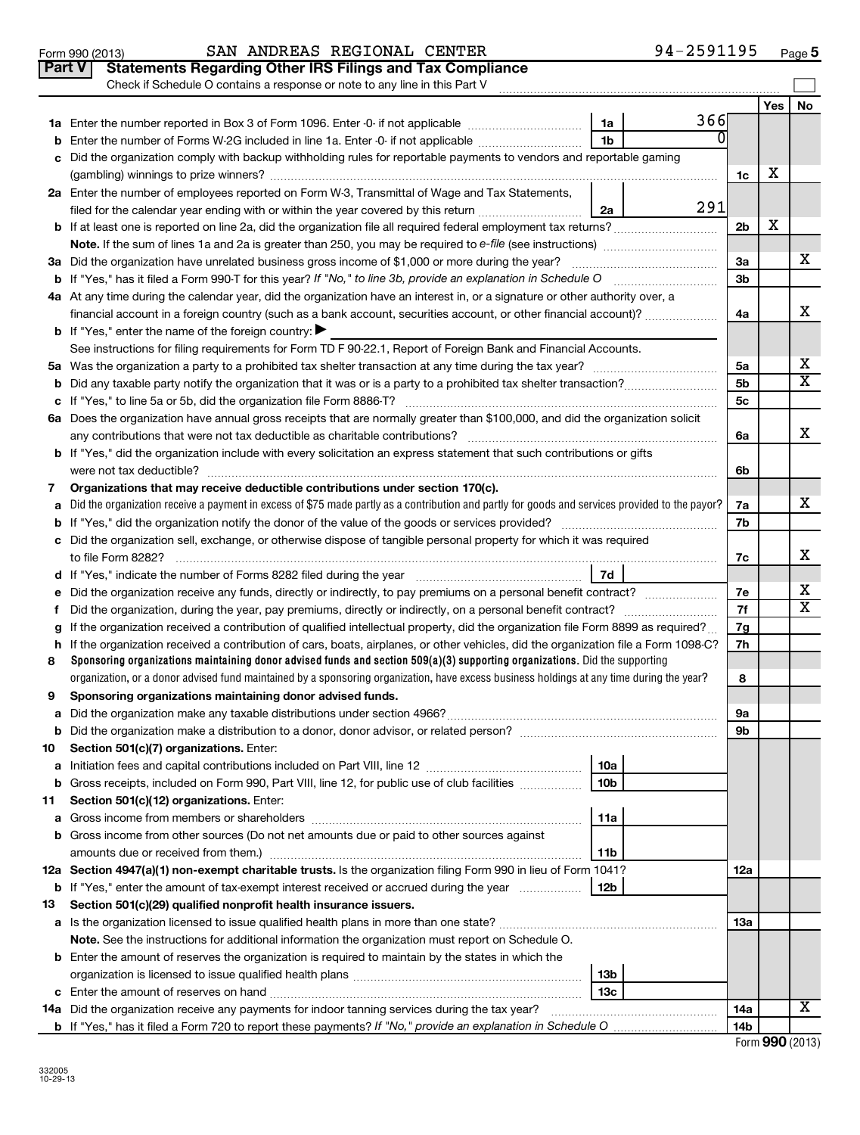|    | Part V<br><b>Statements Regarding Other IRS Filings and Tax Compliance</b>                                                                                                                                                                                                 |                 |     |                |     |                         |  |  |
|----|----------------------------------------------------------------------------------------------------------------------------------------------------------------------------------------------------------------------------------------------------------------------------|-----------------|-----|----------------|-----|-------------------------|--|--|
|    | Check if Schedule O contains a response or note to any line in this Part V                                                                                                                                                                                                 |                 |     |                |     |                         |  |  |
|    |                                                                                                                                                                                                                                                                            |                 |     |                | Yes | No                      |  |  |
|    |                                                                                                                                                                                                                                                                            | 1a              | 366 |                |     |                         |  |  |
| b  | ΩI<br>1 <sub>b</sub><br>Enter the number of Forms W-2G included in line 1a. Enter -0- if not applicable                                                                                                                                                                    |                 |     |                |     |                         |  |  |
| c  | Did the organization comply with backup withholding rules for reportable payments to vendors and reportable gaming                                                                                                                                                         |                 |     |                |     |                         |  |  |
|    |                                                                                                                                                                                                                                                                            |                 |     |                |     |                         |  |  |
|    | 2a Enter the number of employees reported on Form W-3, Transmittal of Wage and Tax Statements,<br>291                                                                                                                                                                      |                 |     |                |     |                         |  |  |
|    | filed for the calendar year ending with or within the year covered by this return                                                                                                                                                                                          | 2a              |     |                | х   |                         |  |  |
|    |                                                                                                                                                                                                                                                                            |                 |     | 2 <sub>b</sub> |     |                         |  |  |
|    | 3a Did the organization have unrelated business gross income of \$1,000 or more during the year?                                                                                                                                                                           |                 |     | 3a             |     | x                       |  |  |
|    |                                                                                                                                                                                                                                                                            |                 |     | 3b             |     |                         |  |  |
|    | 4a At any time during the calendar year, did the organization have an interest in, or a signature or other authority over, a                                                                                                                                               |                 |     |                |     |                         |  |  |
|    | financial account in a foreign country (such as a bank account, securities account, or other financial account)?                                                                                                                                                           |                 |     | 4a             |     | x                       |  |  |
|    | <b>b</b> If "Yes," enter the name of the foreign country:                                                                                                                                                                                                                  |                 |     |                |     |                         |  |  |
|    | See instructions for filing requirements for Form TD F 90-22.1, Report of Foreign Bank and Financial Accounts.                                                                                                                                                             |                 |     |                |     |                         |  |  |
|    |                                                                                                                                                                                                                                                                            |                 |     | 5a             |     | х                       |  |  |
| b  |                                                                                                                                                                                                                                                                            |                 |     | 5b             |     | $\overline{\mathtt{x}}$ |  |  |
|    |                                                                                                                                                                                                                                                                            |                 |     | 5c             |     |                         |  |  |
|    | 6a Does the organization have annual gross receipts that are normally greater than \$100,000, and did the organization solicit                                                                                                                                             |                 |     |                |     |                         |  |  |
|    |                                                                                                                                                                                                                                                                            |                 |     | 6a             |     | x                       |  |  |
|    | <b>b</b> If "Yes," did the organization include with every solicitation an express statement that such contributions or gifts                                                                                                                                              |                 |     |                |     |                         |  |  |
|    |                                                                                                                                                                                                                                                                            |                 |     | 6b             |     |                         |  |  |
| 7  | Organizations that may receive deductible contributions under section 170(c).                                                                                                                                                                                              |                 |     |                |     |                         |  |  |
| a  | Did the organization receive a payment in excess of \$75 made partly as a contribution and partly for goods and services provided to the payor?                                                                                                                            |                 |     | 7a             |     | x                       |  |  |
| b  |                                                                                                                                                                                                                                                                            |                 |     | 7b             |     |                         |  |  |
|    | c Did the organization sell, exchange, or otherwise dispose of tangible personal property for which it was required                                                                                                                                                        |                 |     |                |     |                         |  |  |
|    |                                                                                                                                                                                                                                                                            |                 |     | 7c             |     | x                       |  |  |
|    | 7d                                                                                                                                                                                                                                                                         |                 |     |                |     |                         |  |  |
| е  | Did the organization receive any funds, directly or indirectly, to pay premiums on a personal benefit contract?                                                                                                                                                            |                 |     | 7e             |     | x                       |  |  |
| f  |                                                                                                                                                                                                                                                                            |                 |     | 7f             |     | x                       |  |  |
| g  | If the organization received a contribution of qualified intellectual property, did the organization file Form 8899 as required?                                                                                                                                           |                 |     | 7g             |     |                         |  |  |
| h  | If the organization received a contribution of cars, boats, airplanes, or other vehicles, did the organization file a Form 1098-C?                                                                                                                                         |                 |     | 7h             |     |                         |  |  |
| 8  | Sponsoring organizations maintaining donor advised funds and section $509(a)(3)$ supporting organizations. Did the supporting<br>organization, or a donor advised fund maintained by a sponsoring organization, have excess business holdings at any time during the year? |                 |     |                |     |                         |  |  |
| 9  | Sponsoring organizations maintaining donor advised funds.                                                                                                                                                                                                                  |                 |     | 8              |     |                         |  |  |
|    |                                                                                                                                                                                                                                                                            |                 |     |                |     |                         |  |  |
|    | <b>b</b> Did the organization make a distribution to a donor, donor advisor, or related person?                                                                                                                                                                            |                 |     | эа<br>9b       |     |                         |  |  |
| 10 | Section 501(c)(7) organizations. Enter:                                                                                                                                                                                                                                    |                 |     |                |     |                         |  |  |
| а  |                                                                                                                                                                                                                                                                            | 10a             |     |                |     |                         |  |  |
| b  | Gross receipts, included on Form 990, Part VIII, line 12, for public use of club facilities                                                                                                                                                                                | 10 <sub>b</sub> |     |                |     |                         |  |  |
| 11 | Section 501(c)(12) organizations. Enter:                                                                                                                                                                                                                                   |                 |     |                |     |                         |  |  |
| а  |                                                                                                                                                                                                                                                                            | 11a             |     |                |     |                         |  |  |
|    | <b>b</b> Gross income from other sources (Do not net amounts due or paid to other sources against                                                                                                                                                                          |                 |     |                |     |                         |  |  |
|    |                                                                                                                                                                                                                                                                            | 11b             |     |                |     |                         |  |  |
|    | 12a Section 4947(a)(1) non-exempt charitable trusts. Is the organization filing Form 990 in lieu of Form 1041?                                                                                                                                                             |                 |     |                |     |                         |  |  |
|    | <b>b</b> If "Yes," enter the amount of tax-exempt interest received or accrued during the year<br>12b                                                                                                                                                                      |                 |     |                |     |                         |  |  |
| 13 | Section 501(c)(29) qualified nonprofit health insurance issuers.                                                                                                                                                                                                           |                 |     |                |     |                         |  |  |
|    | a Is the organization licensed to issue qualified health plans in more than one state?                                                                                                                                                                                     |                 |     | 13a            |     |                         |  |  |
|    | Note. See the instructions for additional information the organization must report on Schedule O.                                                                                                                                                                          |                 |     |                |     |                         |  |  |
|    | <b>b</b> Enter the amount of reserves the organization is required to maintain by the states in which the                                                                                                                                                                  |                 |     |                |     |                         |  |  |
|    |                                                                                                                                                                                                                                                                            | 13b             |     |                |     |                         |  |  |
|    |                                                                                                                                                                                                                                                                            | 13c             |     |                |     |                         |  |  |
|    | 14a Did the organization receive any payments for indoor tanning services during the tax year?                                                                                                                                                                             |                 |     | 14a            |     | X                       |  |  |
|    |                                                                                                                                                                                                                                                                            |                 |     | 14b            |     |                         |  |  |

Form 990 (2013) Page SAN ANDREAS REGIONAL CENTER 94-2591195

94-2591195 Page 5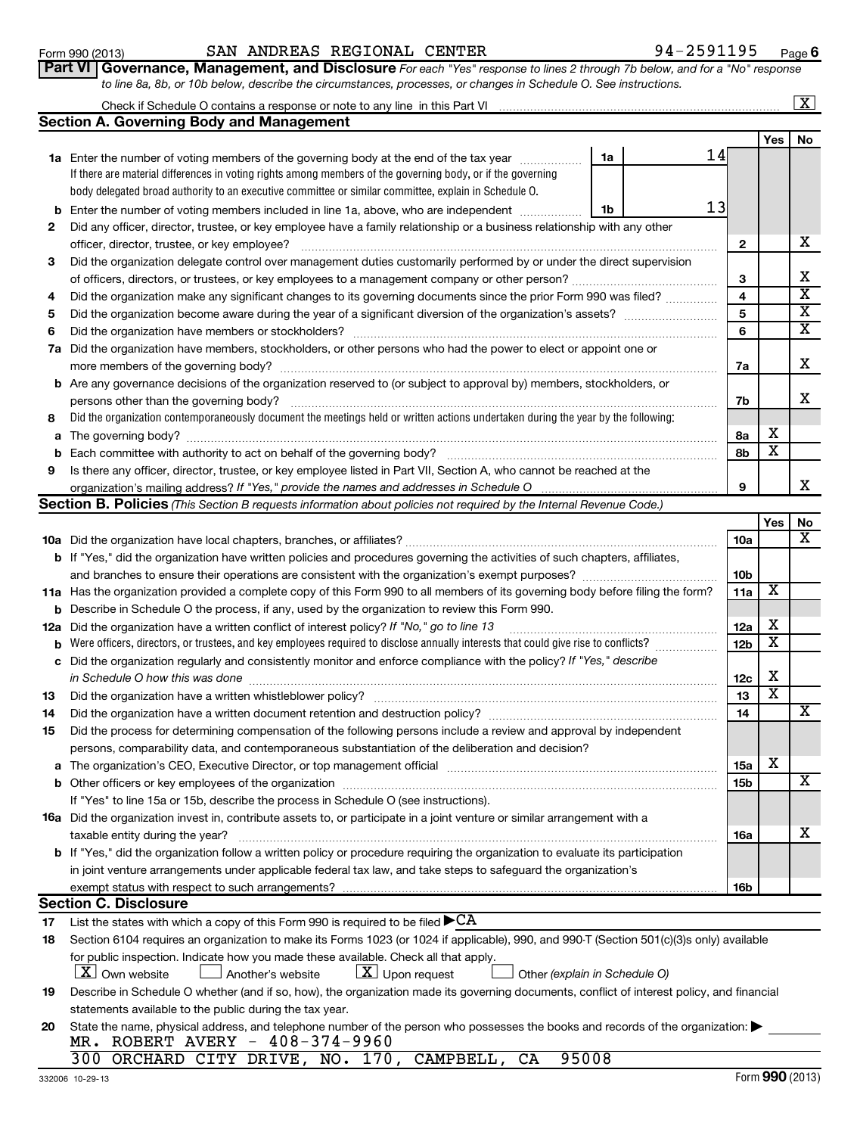| Form 990 (2013)     |  |
|---------------------|--|
| $Part \overline{M}$ |  |

### Form 990 (2013) Page SAN ANDREAS REGIONAL CENTER 94-2591195

**1a** Enter the number of voting members of the governing body at the end of the tax year  $\ldots$ 

If there are material differences in voting rights among members of the governing body, or if the governing

**Part VI** Governance, Management, and Disclosure For each "Yes" response to lines 2 through 7b below, and for a "No" response *to line 8a, 8b, or 10b below, describe the circumstances, processes, or changes in Schedule O. See instructions.*

### Yes | No Check if Schedule O contains a response or note to any line in this Part VI **Section A. Governing Body and Management**

|                                                                                                                               | body delegated broad authority to an executive committee or similar committee, explain in Schedule O.                                                                                                                          |                 |                              |                         |  |  |  |  |  |  |
|-------------------------------------------------------------------------------------------------------------------------------|--------------------------------------------------------------------------------------------------------------------------------------------------------------------------------------------------------------------------------|-----------------|------------------------------|-------------------------|--|--|--|--|--|--|
|                                                                                                                               | 13<br><b>b</b> Enter the number of voting members included in line 1a, above, who are independent <i>manumum</i><br>1b                                                                                                         |                 |                              |                         |  |  |  |  |  |  |
| 2                                                                                                                             | Did any officer, director, trustee, or key employee have a family relationship or a business relationship with any other                                                                                                       |                 |                              |                         |  |  |  |  |  |  |
|                                                                                                                               |                                                                                                                                                                                                                                |                 |                              |                         |  |  |  |  |  |  |
| 3                                                                                                                             | Did the organization delegate control over management duties customarily performed by or under the direct supervision                                                                                                          |                 |                              |                         |  |  |  |  |  |  |
|                                                                                                                               |                                                                                                                                                                                                                                | З               |                              | х                       |  |  |  |  |  |  |
| 4                                                                                                                             | Did the organization make any significant changes to its governing documents since the prior Form 990 was filed?                                                                                                               | 4               |                              | $\overline{\mathbf{x}}$ |  |  |  |  |  |  |
| 5                                                                                                                             |                                                                                                                                                                                                                                | 5               |                              | X                       |  |  |  |  |  |  |
| 6                                                                                                                             |                                                                                                                                                                                                                                | 6               |                              | х                       |  |  |  |  |  |  |
| 7а                                                                                                                            | Did the organization have members, stockholders, or other persons who had the power to elect or appoint one or                                                                                                                 |                 |                              |                         |  |  |  |  |  |  |
|                                                                                                                               |                                                                                                                                                                                                                                | 7a              |                              | х                       |  |  |  |  |  |  |
|                                                                                                                               | <b>b</b> Are any governance decisions of the organization reserved to (or subject to approval by) members, stockholders, or                                                                                                    |                 |                              |                         |  |  |  |  |  |  |
|                                                                                                                               | persons other than the governing body?                                                                                                                                                                                         | 7b              |                              | х                       |  |  |  |  |  |  |
| 8                                                                                                                             | Did the organization contemporaneously document the meetings held or written actions undertaken during the year by the following:                                                                                              |                 |                              |                         |  |  |  |  |  |  |
|                                                                                                                               |                                                                                                                                                                                                                                | 8а              | х                            |                         |  |  |  |  |  |  |
| b                                                                                                                             |                                                                                                                                                                                                                                | 8b              | х                            |                         |  |  |  |  |  |  |
| 9                                                                                                                             | Is there any officer, director, trustee, or key employee listed in Part VII, Section A, who cannot be reached at the                                                                                                           |                 |                              |                         |  |  |  |  |  |  |
|                                                                                                                               | organization's mailing address? If "Yes," provide the names and addresses in Schedule O                                                                                                                                        | 9               |                              | х                       |  |  |  |  |  |  |
|                                                                                                                               | Section B. Policies (This Section B requests information about policies not required by the Internal Revenue Code.)                                                                                                            |                 |                              |                         |  |  |  |  |  |  |
|                                                                                                                               |                                                                                                                                                                                                                                |                 | Yes                          | No                      |  |  |  |  |  |  |
|                                                                                                                               |                                                                                                                                                                                                                                | <b>10a</b>      |                              | х                       |  |  |  |  |  |  |
|                                                                                                                               | <b>b</b> If "Yes," did the organization have written policies and procedures governing the activities of such chapters, affiliates,                                                                                            |                 |                              |                         |  |  |  |  |  |  |
|                                                                                                                               |                                                                                                                                                                                                                                | 10b             |                              |                         |  |  |  |  |  |  |
|                                                                                                                               | 11a Has the organization provided a complete copy of this Form 990 to all members of its governing body before filing the form?                                                                                                | 11a             | х                            |                         |  |  |  |  |  |  |
| b                                                                                                                             | Describe in Schedule O the process, if any, used by the organization to review this Form 990.                                                                                                                                  |                 |                              |                         |  |  |  |  |  |  |
| 12a                                                                                                                           | Did the organization have a written conflict of interest policy? If "No," go to line 13                                                                                                                                        |                 |                              |                         |  |  |  |  |  |  |
| b                                                                                                                             | Were officers, directors, or trustees, and key employees required to disclose annually interests that could give rise to conflicts?                                                                                            |                 |                              |                         |  |  |  |  |  |  |
| c                                                                                                                             | Did the organization regularly and consistently monitor and enforce compliance with the policy? If "Yes," describe                                                                                                             | 12 <sub>b</sub> | х                            |                         |  |  |  |  |  |  |
|                                                                                                                               | in Schedule O how this was done <i>manufacture content of the set of the set of the set of the set of the set of t</i>                                                                                                         |                 |                              |                         |  |  |  |  |  |  |
| 13                                                                                                                            |                                                                                                                                                                                                                                | 12c<br>13       | х<br>$\overline{\textbf{x}}$ |                         |  |  |  |  |  |  |
| 14                                                                                                                            |                                                                                                                                                                                                                                | 14              |                              | X                       |  |  |  |  |  |  |
| 15                                                                                                                            | Did the process for determining compensation of the following persons include a review and approval by independent                                                                                                             |                 |                              |                         |  |  |  |  |  |  |
|                                                                                                                               | persons, comparability data, and contemporaneous substantiation of the deliberation and decision?                                                                                                                              |                 |                              |                         |  |  |  |  |  |  |
|                                                                                                                               | a The organization's CEO, Executive Director, or top management official manufactured content content of the organization's CEO, Executive Director, or top management official manufactured content of the state of the state | 15a             | X                            |                         |  |  |  |  |  |  |
|                                                                                                                               |                                                                                                                                                                                                                                | 15b             |                              | X                       |  |  |  |  |  |  |
|                                                                                                                               | If "Yes" to line 15a or 15b, describe the process in Schedule O (see instructions).                                                                                                                                            |                 |                              |                         |  |  |  |  |  |  |
|                                                                                                                               | <b>16a</b> Did the organization invest in, contribute assets to, or participate in a joint venture or similar arrangement with a                                                                                               |                 |                              |                         |  |  |  |  |  |  |
|                                                                                                                               | taxable entity during the year?                                                                                                                                                                                                | 16a             |                              | х                       |  |  |  |  |  |  |
|                                                                                                                               | <b>b</b> If "Yes," did the organization follow a written policy or procedure requiring the organization to evaluate its participation                                                                                          |                 |                              |                         |  |  |  |  |  |  |
|                                                                                                                               | in joint venture arrangements under applicable federal tax law, and take steps to safeguard the organization's                                                                                                                 |                 |                              |                         |  |  |  |  |  |  |
|                                                                                                                               | exempt status with respect to such arrangements?                                                                                                                                                                               | 16b             |                              |                         |  |  |  |  |  |  |
|                                                                                                                               | <b>Section C. Disclosure</b>                                                                                                                                                                                                   |                 |                              |                         |  |  |  |  |  |  |
| 17                                                                                                                            | List the states with which a copy of this Form 990 is required to be filed $\blacktriangleright$ CA                                                                                                                            |                 |                              |                         |  |  |  |  |  |  |
| 18                                                                                                                            | Section 6104 requires an organization to make its Forms 1023 (or 1024 if applicable), 990, and 990-T (Section 501(c)(3)s only) available                                                                                       |                 |                              |                         |  |  |  |  |  |  |
|                                                                                                                               | for public inspection. Indicate how you made these available. Check all that apply.                                                                                                                                            |                 |                              |                         |  |  |  |  |  |  |
|                                                                                                                               | $\lfloor \texttt{X} \rfloor$ Own website<br>$\lfloor \underline{X} \rfloor$ Upon request<br>Another's website<br>Other (explain in Schedule O)                                                                                 |                 |                              |                         |  |  |  |  |  |  |
| 19                                                                                                                            | Describe in Schedule O whether (and if so, how), the organization made its governing documents, conflict of interest policy, and financial                                                                                     |                 |                              |                         |  |  |  |  |  |  |
|                                                                                                                               | statements available to the public during the tax year.                                                                                                                                                                        |                 |                              |                         |  |  |  |  |  |  |
| State the name, physical address, and telephone number of the person who possesses the books and records of the organization: |                                                                                                                                                                                                                                |                 |                              |                         |  |  |  |  |  |  |
| 20                                                                                                                            | MR. ROBERT AVERY - 408-374-9960                                                                                                                                                                                                |                 |                              |                         |  |  |  |  |  |  |
|                                                                                                                               | 95008<br>300 ORCHARD CITY DRIVE, NO. 170, CAMPBELL,<br>CA                                                                                                                                                                      |                 |                              |                         |  |  |  |  |  |  |
|                                                                                                                               |                                                                                                                                                                                                                                |                 |                              |                         |  |  |  |  |  |  |

14

**1a**

 $\lfloor x \rfloor$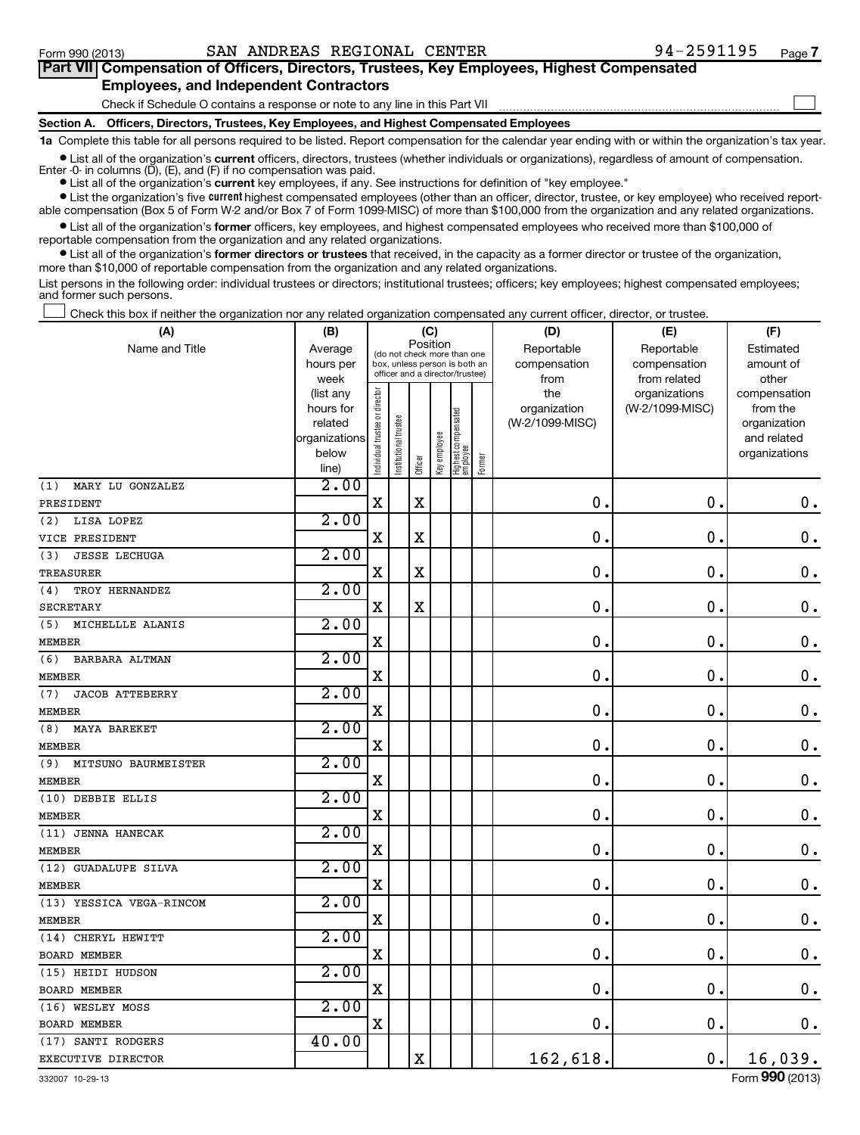| Part VII Compensation of Officers, Directors, Trustees, Key Employees, Highest Compensated                                                                 |
|------------------------------------------------------------------------------------------------------------------------------------------------------------|
| <b>Employees, and Independent Contractors</b>                                                                                                              |
| Check if Schedule O contains a response or note to any line in this Part VII                                                                               |
| Section A. Officers, Directors, Trustees, Key Employees, and Highest Compensated Employees                                                                 |
| 1a Complete this table for all persons required to be listed. Report compensation for the calendar year ending with or within the organization's tax year. |
| A Polici of the concernition common efficient discusses and the folicity of distribution of concerning of the common of concerning and distribution        |

**•** List all of the organization's current officers, directors, trustees (whether individuals or organizations), regardless of amount of compensation. Enter -0- in columns (D), (E), and (F) if no compensation was paid.

**•** List all of the organization's **current** key employees, if any. See instructions for definition of "key employee."

**•** List the organization's five *current* highest compensated employees (other than an officer, director, trustee, or key employee) who received reportable compensation (Box 5 of Form W-2 and/or Box 7 of Form 1099-MISC) of more than \$100,000 from the organization and any related organizations.

 $\bullet$  List all of the organization's former officers, key employees, and highest compensated employees who received more than \$100,000 of reportable compensation from the organization and any related organizations.

**•** List all of the organization's former directors or trustees that received, in the capacity as a former director or trustee of the organization, more than \$10,000 of reportable compensation from the organization and any related organizations.

List persons in the following order: individual trustees or directors; institutional trustees; officers; key employees; highest compensated employees; and former such persons.

Check this box if neither the organization nor any related organization compensated any current officer, director, or trustee.  $\Box$ 

| (A)                           | (B)                  |                                |                             | (C)                                                              |              |                                 |        | (D)                             | (E)             | (F)                      |
|-------------------------------|----------------------|--------------------------------|-----------------------------|------------------------------------------------------------------|--------------|---------------------------------|--------|---------------------------------|-----------------|--------------------------|
| Name and Title                | Average              |                                | (do not check more than one |                                                                  | Position     |                                 |        | Reportable                      | Reportable      | Estimated                |
|                               | hours per            |                                |                             | box, unless person is both an<br>officer and a director/trustee) |              |                                 |        | compensation                    | compensation    | amount of                |
|                               | week                 |                                |                             |                                                                  |              |                                 |        | from                            | from related    | other                    |
|                               | (list any            |                                |                             |                                                                  |              |                                 |        | the                             | organizations   | compensation<br>from the |
|                               | hours for<br>related |                                |                             |                                                                  |              |                                 |        | organization<br>(W-2/1099-MISC) | (W-2/1099-MISC) | organization             |
|                               | organizations        |                                |                             |                                                                  |              |                                 |        |                                 |                 | and related              |
|                               | below                |                                |                             |                                                                  |              |                                 |        |                                 |                 | organizations            |
|                               | line)                | Individual trustee or director | Institutional trustee       | Officer                                                          | Key employee | Highest compensated<br>employee | Former |                                 |                 |                          |
| (1)<br>MARY LU GONZALEZ       | 2.00                 |                                |                             |                                                                  |              |                                 |        |                                 |                 |                          |
| PRESIDENT                     |                      | $\mathbf X$                    |                             | $\mathbf X$                                                      |              |                                 |        | $\mathbf 0$                     | $\mathbf 0$ .   | $\mathbf 0$ .            |
| (2)<br>LISA LOPEZ             | 2.00                 |                                |                             |                                                                  |              |                                 |        |                                 |                 |                          |
| VICE PRESIDENT                |                      | $\mathbf X$                    |                             | $\mathbf X$                                                      |              |                                 |        | $\mathbf 0$                     | $\mathbf 0$     | $\mathbf 0$ .            |
| (3)<br><b>JESSE LECHUGA</b>   | 2.00                 |                                |                             |                                                                  |              |                                 |        |                                 |                 |                          |
| TREASURER                     |                      | $\mathbf X$                    |                             | $\mathbf X$                                                      |              |                                 |        | 0                               | 0               | $\mathbf 0$ .            |
| TROY HERNANDEZ<br>(4)         | 2.00                 |                                |                             |                                                                  |              |                                 |        |                                 |                 |                          |
| SECRETARY                     |                      | $\mathbf X$                    |                             | $\mathbf X$                                                      |              |                                 |        | $\mathbf 0$                     | 0               | $\mathbf 0$ .            |
| MICHELLLE ALANIS<br>(5)       | 2.00                 |                                |                             |                                                                  |              |                                 |        |                                 |                 |                          |
| <b>MEMBER</b>                 |                      | $\mathbf X$                    |                             |                                                                  |              |                                 |        | $\mathbf 0$ .                   | $\mathbf 0$     | $\mathbf 0$ .            |
| (6)<br>BARBARA ALTMAN         | 2.00                 |                                |                             |                                                                  |              |                                 |        |                                 |                 |                          |
| <b>MEMBER</b>                 |                      | $\mathbf X$                    |                             |                                                                  |              |                                 |        | 0                               | $\mathbf 0$     | $\mathbf 0$ .            |
| (7)<br><b>JACOB ATTEBERRY</b> | 2.00                 |                                |                             |                                                                  |              |                                 |        |                                 |                 |                          |
| MEMBER                        |                      | $\mathbf X$                    |                             |                                                                  |              |                                 |        | 0                               | 0               | $\mathbf 0$ .            |
| (8)<br>MAYA BAREKET           | 2.00                 |                                |                             |                                                                  |              |                                 |        |                                 |                 |                          |
| MEMBER                        |                      | $\mathbf X$                    |                             |                                                                  |              |                                 |        | 0                               | 0               | $\mathbf 0$ .            |
| MITSUNO BAURMEISTER<br>(9)    | 2.00                 |                                |                             |                                                                  |              |                                 |        |                                 |                 |                          |
| MEMBER                        |                      | $\mathbf X$                    |                             |                                                                  |              |                                 |        | $\mathbf 0$                     | $\mathbf 0$     | $\mathbf 0$ .            |
| (10) DEBBIE ELLIS             | 2.00                 |                                |                             |                                                                  |              |                                 |        |                                 |                 |                          |
| MEMBER                        |                      | $\mathbf X$                    |                             |                                                                  |              |                                 |        | 0                               | 0               | $\mathbf 0$ .            |
| (11) JENNA HANECAK            | 2.00                 |                                |                             |                                                                  |              |                                 |        |                                 |                 |                          |
| <b>MEMBER</b>                 |                      | $\mathbf X$                    |                             |                                                                  |              |                                 |        | 0                               | 0               | $\mathbf 0$ .            |
| (12) GUADALUPE SILVA          | 2.00                 |                                |                             |                                                                  |              |                                 |        |                                 |                 |                          |
| <b>MEMBER</b>                 |                      | $\mathbf X$                    |                             |                                                                  |              |                                 |        | 0                               | 0               | $\mathbf 0$ .            |
| (13) YESSICA VEGA-RINCOM      | 2.00                 |                                |                             |                                                                  |              |                                 |        |                                 |                 |                          |
| <b>MEMBER</b>                 |                      | $\mathbf X$                    |                             |                                                                  |              |                                 |        | $\mathbf 0$                     | $\mathbf 0$     | $\mathbf 0$ .            |
| (14) CHERYL HEWITT            | 2.00                 |                                |                             |                                                                  |              |                                 |        |                                 |                 |                          |
| <b>BOARD MEMBER</b>           |                      | $\mathbf X$                    |                             |                                                                  |              |                                 |        | 0                               | $\mathbf 0$     | $\mathbf 0$ .            |
| (15) HEIDI HUDSON             | 2.00                 |                                |                             |                                                                  |              |                                 |        |                                 |                 |                          |
| <b>BOARD MEMBER</b>           |                      | $\mathbf X$                    |                             |                                                                  |              |                                 |        | 0                               | 0               | $\mathbf 0$ .            |
| (16) WESLEY MOSS              | 2.00                 |                                |                             |                                                                  |              |                                 |        |                                 |                 |                          |
| BOARD MEMBER                  |                      | $\mathbf X$                    |                             |                                                                  |              |                                 |        | 0                               | $\mathbf 0$     | $\mathbf 0$ .            |
| (17) SANTI RODGERS            | 40.00                |                                |                             |                                                                  |              |                                 |        |                                 |                 |                          |
| EXECUTIVE DIRECTOR            |                      |                                |                             | $\mathbf X$                                                      |              |                                 |        | 162,618.                        | 0.              | 16,039.                  |

332007 10-29-13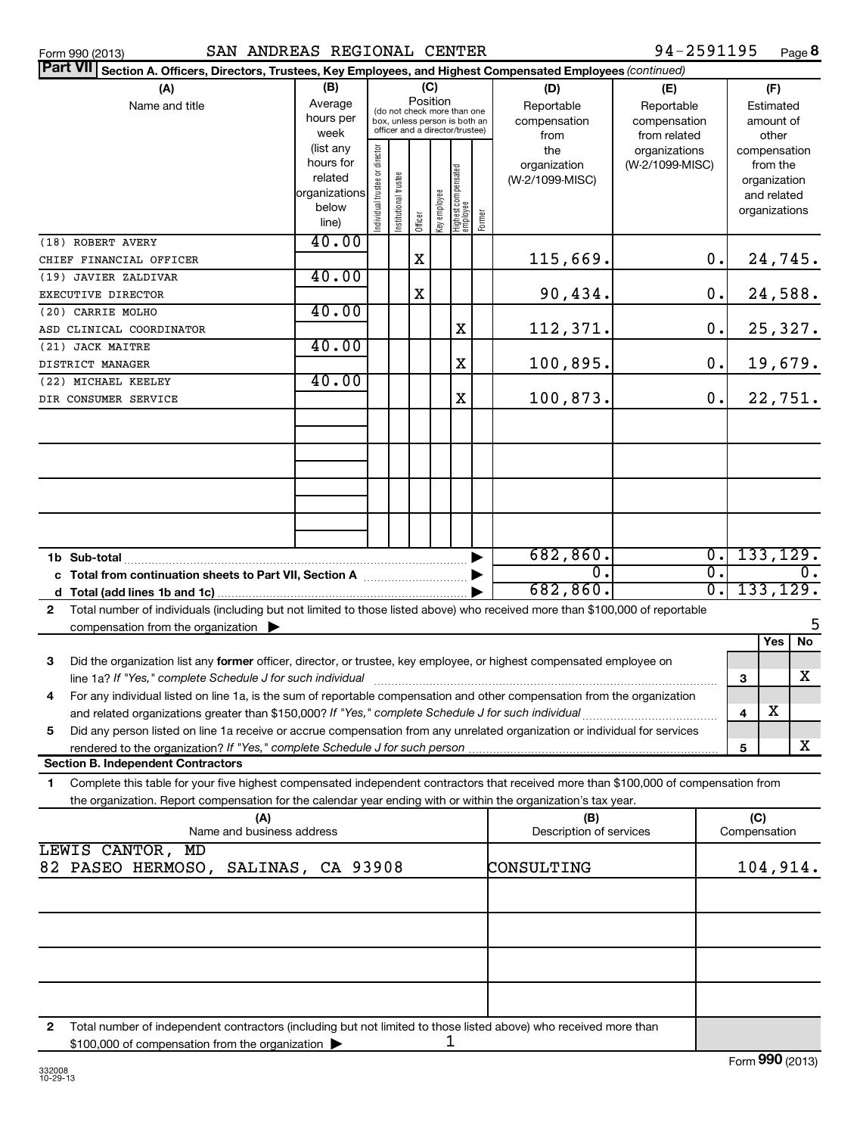| Part VII Section A. Officers, Directors, Trustees, Key Employees, and Highest Compensated Employees (continued)                            |                        |                                |                       |          |              |                                 |        |                                 |                 |                  |               |                          |                  |
|--------------------------------------------------------------------------------------------------------------------------------------------|------------------------|--------------------------------|-----------------------|----------|--------------|---------------------------------|--------|---------------------------------|-----------------|------------------|---------------|--------------------------|------------------|
| (B)<br>(C)<br>(A)                                                                                                                          |                        |                                |                       |          |              |                                 | (D)    | (E)                             |                 |                  | (F)           |                          |                  |
| Name and title                                                                                                                             | Average                |                                |                       | Position |              | (do not check more than one     |        | Reportable                      | Reportable      |                  |               | Estimated                |                  |
|                                                                                                                                            | hours per              |                                |                       |          |              | box, unless person is both an   |        | compensation                    | compensation    |                  |               | amount of                |                  |
|                                                                                                                                            | week                   |                                |                       |          |              | officer and a director/trustee) |        | from                            | from related    |                  |               | other                    |                  |
|                                                                                                                                            | (list any<br>hours for |                                |                       |          |              |                                 |        | the                             | organizations   |                  | compensation  |                          |                  |
|                                                                                                                                            | related                |                                |                       |          |              |                                 |        | organization<br>(W-2/1099-MISC) | (W-2/1099-MISC) |                  |               | from the<br>organization |                  |
|                                                                                                                                            | organizations          |                                |                       |          |              |                                 |        |                                 |                 |                  |               | and related              |                  |
|                                                                                                                                            | below                  | Individual trustee or director | Institutional trustee |          |              |                                 |        |                                 |                 |                  | organizations |                          |                  |
|                                                                                                                                            | line)                  |                                |                       | Officer  | Key employee | Highest compensated<br>employee | Former |                                 |                 |                  |               |                          |                  |
| (18) ROBERT AVERY                                                                                                                          | 40.00                  |                                |                       |          |              |                                 |        |                                 |                 |                  |               |                          |                  |
| CHIEF FINANCIAL OFFICER                                                                                                                    |                        |                                |                       | х        |              |                                 |        | 115,669.                        |                 | 0.               |               | 24,745.                  |                  |
| (19) JAVIER ZALDIVAR                                                                                                                       | 40.00                  |                                |                       |          |              |                                 |        |                                 |                 |                  |               |                          |                  |
| EXECUTIVE DIRECTOR                                                                                                                         |                        |                                |                       | X        |              |                                 |        | 90,434.                         |                 | $\mathbf 0$ .    |               | 24,588.                  |                  |
| (20) CARRIE MOLHO                                                                                                                          | 40.00                  |                                |                       |          |              |                                 |        |                                 |                 |                  |               |                          |                  |
| ASD CLINICAL COORDINATOR                                                                                                                   |                        |                                |                       |          |              | X                               |        | 112,371.                        |                 | 0.               |               | 25,327.                  |                  |
| (21) JACK MAITRE                                                                                                                           | 40.00                  |                                |                       |          |              |                                 |        |                                 |                 |                  |               |                          |                  |
| DISTRICT MANAGER                                                                                                                           |                        |                                |                       |          |              | $\mathbf X$                     |        | 100,895.                        |                 | 0.               |               | 19,679.                  |                  |
| (22) MICHAEL KEELEY                                                                                                                        | 40.00                  |                                |                       |          |              |                                 |        |                                 |                 |                  |               |                          |                  |
| DIR CONSUMER SERVICE                                                                                                                       |                        |                                |                       |          |              | X                               |        | 100,873.                        |                 | 0.               |               | 22,751.                  |                  |
|                                                                                                                                            |                        |                                |                       |          |              |                                 |        |                                 |                 |                  |               |                          |                  |
|                                                                                                                                            |                        |                                |                       |          |              |                                 |        |                                 |                 |                  |               |                          |                  |
|                                                                                                                                            |                        |                                |                       |          |              |                                 |        |                                 |                 |                  |               |                          |                  |
|                                                                                                                                            |                        |                                |                       |          |              |                                 |        |                                 |                 |                  |               |                          |                  |
|                                                                                                                                            |                        |                                |                       |          |              |                                 |        |                                 |                 |                  |               |                          |                  |
|                                                                                                                                            |                        |                                |                       |          |              |                                 |        |                                 |                 |                  |               |                          |                  |
|                                                                                                                                            |                        |                                |                       |          |              |                                 |        |                                 |                 |                  |               |                          |                  |
|                                                                                                                                            |                        |                                |                       |          |              |                                 |        |                                 |                 |                  |               |                          |                  |
| 1b Sub-total                                                                                                                               |                        |                                |                       |          |              |                                 | ▶      | 682, 860.                       |                 | $\overline{0}$ . | 133, 129.     |                          |                  |
| c Total from continuation sheets to Part VII, Section A [111] [2000]                                                                       |                        |                                |                       |          |              |                                 |        | $\overline{0}$ .                |                 | $\overline{0}$ . |               |                          | $\overline{0}$ . |
| d                                                                                                                                          |                        |                                |                       |          |              |                                 |        | 682, 860.                       |                 | $\overline{0}$ . | 133, 129.     |                          |                  |
| Total number of individuals (including but not limited to those listed above) who received more than \$100,000 of reportable<br>2          |                        |                                |                       |          |              |                                 |        |                                 |                 |                  |               |                          |                  |
| compensation from the organization $\blacktriangleright$                                                                                   |                        |                                |                       |          |              |                                 |        |                                 |                 |                  |               |                          |                  |
|                                                                                                                                            |                        |                                |                       |          |              |                                 |        |                                 |                 |                  |               | Yes                      | No               |
| 3<br>Did the organization list any former officer, director, or trustee, key employee, or highest compensated employee on                  |                        |                                |                       |          |              |                                 |        |                                 |                 |                  |               |                          |                  |
| line 1a? If "Yes," complete Schedule J for such individual                                                                                 |                        |                                |                       |          |              |                                 |        |                                 |                 |                  | 3             |                          | х                |
| For any individual listed on line 1a, is the sum of reportable compensation and other compensation from the organization<br>4              |                        |                                |                       |          |              |                                 |        |                                 |                 |                  |               |                          |                  |
| and related organizations greater than \$150,000? If "Yes," complete Schedule J for such individual                                        |                        |                                |                       |          |              |                                 |        |                                 |                 |                  | 4             | X                        |                  |
| 5<br>Did any person listed on line 1a receive or accrue compensation from any unrelated organization or individual for services            |                        |                                |                       |          |              |                                 |        |                                 |                 |                  |               |                          |                  |
| rendered to the organization? If "Yes," complete Schedule J for such person                                                                |                        |                                |                       |          |              |                                 |        |                                 |                 |                  | 5             |                          | x                |
| <b>Section B. Independent Contractors</b>                                                                                                  |                        |                                |                       |          |              |                                 |        |                                 |                 |                  |               |                          |                  |
| Complete this table for your five highest compensated independent contractors that received more than \$100,000 of compensation from<br>1. |                        |                                |                       |          |              |                                 |        |                                 |                 |                  |               |                          |                  |
| the organization. Report compensation for the calendar year ending with or within the organization's tax year.                             |                        |                                |                       |          |              |                                 |        |                                 |                 |                  |               |                          |                  |
| (A)                                                                                                                                        |                        |                                |                       |          |              |                                 |        | (B)                             |                 |                  | (C)           |                          |                  |
| Name and business address                                                                                                                  |                        |                                |                       |          |              |                                 |        | Description of services         |                 |                  | Compensation  |                          |                  |
| LEWIS CANTOR, MD                                                                                                                           |                        |                                |                       |          |              |                                 |        |                                 |                 |                  |               |                          |                  |
| 82 PASEO HERMOSO, SALINAS, CA 93908                                                                                                        |                        |                                |                       |          |              |                                 |        | CONSULTING                      |                 |                  | 104,914.      |                          |                  |
|                                                                                                                                            |                        |                                |                       |          |              |                                 |        |                                 |                 |                  |               |                          |                  |
|                                                                                                                                            |                        |                                |                       |          |              |                                 |        |                                 |                 |                  |               |                          |                  |
|                                                                                                                                            |                        |                                |                       |          |              |                                 |        |                                 |                 |                  |               |                          |                  |
|                                                                                                                                            |                        |                                |                       |          |              |                                 |        |                                 |                 |                  |               |                          |                  |
|                                                                                                                                            |                        |                                |                       |          |              |                                 |        |                                 |                 |                  |               |                          |                  |
|                                                                                                                                            |                        |                                |                       |          |              |                                 |        |                                 |                 |                  |               |                          |                  |
|                                                                                                                                            |                        |                                |                       |          |              |                                 |        |                                 |                 |                  |               |                          |                  |
|                                                                                                                                            |                        |                                |                       |          |              |                                 |        |                                 |                 |                  |               |                          |                  |

**2** Total number of independent contractors (including but not limited to those listed above) who received more than \$100,000 of compensation from the organization  $\blacktriangleright$ 1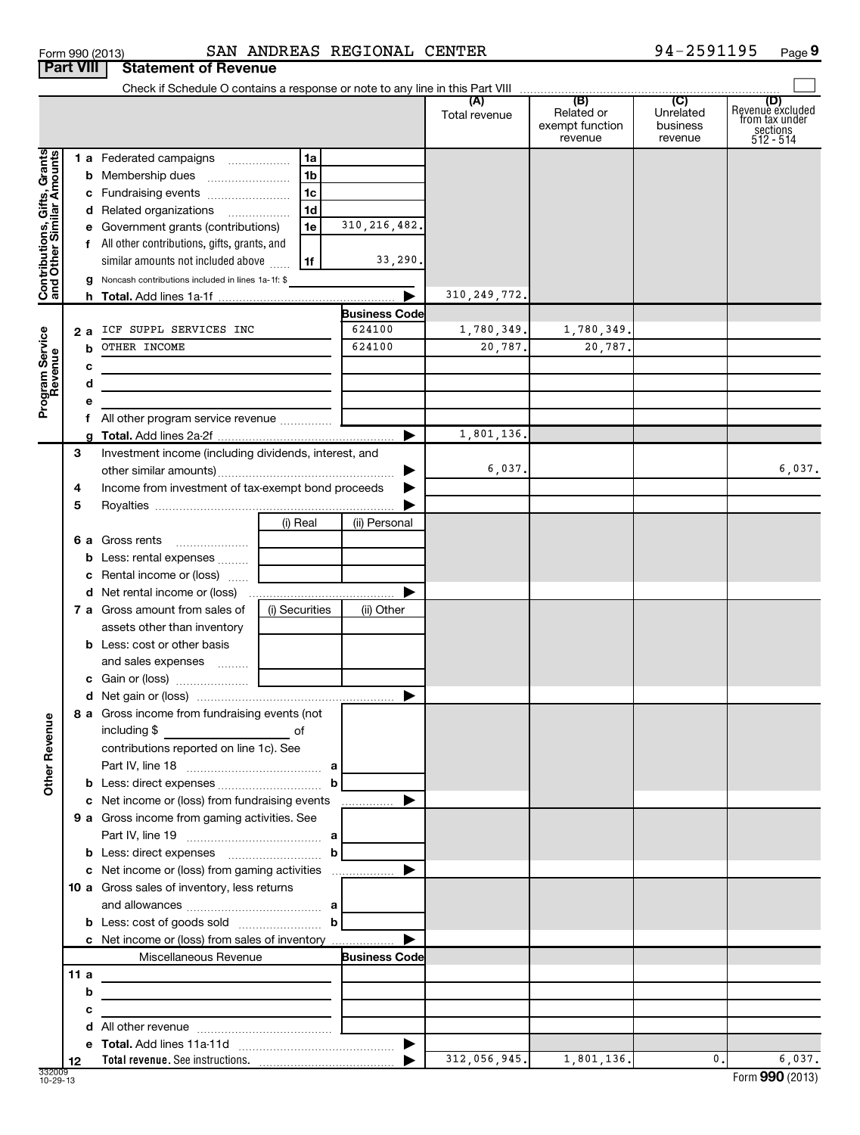|                 | <b>Part VIII Statement of Revenue</b> |                  |  |
|-----------------|---------------------------------------|------------------|--|
| Form 990 (2013) |                                       | SAN ANDREAS REGI |  |
|                 |                                       |                  |  |

|                                                           |     | Check if Schedule O contains a response or note to any line in this Part VIII             |                |                      |                      |                                                 |                                         |                                                                    |
|-----------------------------------------------------------|-----|-------------------------------------------------------------------------------------------|----------------|----------------------|----------------------|-------------------------------------------------|-----------------------------------------|--------------------------------------------------------------------|
|                                                           |     |                                                                                           |                |                      | (A)<br>Total revenue | (B)<br>Related or<br>exempt function<br>revenue | (C)<br>Unrelated<br>business<br>revenue | (D)<br>Revenuè excluded<br>trom tax under<br>sections<br>512 - 514 |
|                                                           |     | 1 a Federated campaigns                                                                   | 1a             |                      |                      |                                                 |                                         |                                                                    |
| Contributions, Gifts, Grants<br>and Other Similar Amounts |     | <b>b</b> Membership dues                                                                  | 1b             |                      |                      |                                                 |                                         |                                                                    |
|                                                           |     | c Fundraising events                                                                      | 1c             |                      |                      |                                                 |                                         |                                                                    |
|                                                           |     | d Related organizations                                                                   | 1d             |                      |                      |                                                 |                                         |                                                                    |
|                                                           |     | e Government grants (contributions)                                                       | 1e             | 310, 216, 482.       |                      |                                                 |                                         |                                                                    |
|                                                           | f   | All other contributions, gifts, grants, and                                               |                |                      |                      |                                                 |                                         |                                                                    |
|                                                           |     | similar amounts not included above                                                        | 1f             | 33,290.              |                      |                                                 |                                         |                                                                    |
|                                                           |     | Noncash contributions included in lines 1a-1f: \$                                         |                | ▶                    | 310, 249, 772.       |                                                 |                                         |                                                                    |
|                                                           |     |                                                                                           |                | <b>Business Code</b> |                      |                                                 |                                         |                                                                    |
|                                                           | 2а  | ICF SUPPL SERVICES INC                                                                    |                | 624100               | 1,780,349.           | 1,780,349.                                      |                                         |                                                                    |
|                                                           | b   | OTHER INCOME                                                                              |                | 624100               | 20,787.              | 20,787.                                         |                                         |                                                                    |
| Program Service<br>Revenue                                | с   |                                                                                           |                |                      |                      |                                                 |                                         |                                                                    |
|                                                           | d   |                                                                                           |                |                      |                      |                                                 |                                         |                                                                    |
|                                                           | е   |                                                                                           |                |                      |                      |                                                 |                                         |                                                                    |
|                                                           |     | All other program service revenue                                                         |                |                      |                      |                                                 |                                         |                                                                    |
|                                                           |     |                                                                                           |                | ▶                    | 1,801,136.           |                                                 |                                         |                                                                    |
|                                                           | 3   | Investment income (including dividends, interest, and                                     |                |                      |                      |                                                 |                                         |                                                                    |
|                                                           |     |                                                                                           |                |                      | 6,037.               |                                                 |                                         | 6,037.                                                             |
|                                                           | 4   | Income from investment of tax-exempt bond proceeds                                        |                |                      |                      |                                                 |                                         |                                                                    |
|                                                           | 5   |                                                                                           |                |                      |                      |                                                 |                                         |                                                                    |
|                                                           |     |                                                                                           | (i) Real       | (ii) Personal        |                      |                                                 |                                         |                                                                    |
|                                                           |     | 6 a Gross rents                                                                           |                |                      |                      |                                                 |                                         |                                                                    |
|                                                           |     | <b>b</b> Less: rental expenses                                                            |                |                      |                      |                                                 |                                         |                                                                    |
|                                                           |     | Rental income or (loss)                                                                   |                |                      |                      |                                                 |                                         |                                                                    |
|                                                           |     |                                                                                           |                |                      |                      |                                                 |                                         |                                                                    |
|                                                           |     | 7 a Gross amount from sales of                                                            | (i) Securities | (ii) Other           |                      |                                                 |                                         |                                                                    |
|                                                           |     | assets other than inventory                                                               |                |                      |                      |                                                 |                                         |                                                                    |
|                                                           |     | <b>b</b> Less: cost or other basis                                                        |                |                      |                      |                                                 |                                         |                                                                    |
|                                                           |     | and sales expenses                                                                        |                |                      |                      |                                                 |                                         |                                                                    |
|                                                           |     |                                                                                           |                | ▶                    |                      |                                                 |                                         |                                                                    |
|                                                           |     | 8 a Gross income from fundraising events (not                                             |                |                      |                      |                                                 |                                         |                                                                    |
| ٩                                                         |     | including \$                                                                              |                |                      |                      |                                                 |                                         |                                                                    |
| Other Reven                                               |     | contributions reported on line 1c). See                                                   |                |                      |                      |                                                 |                                         |                                                                    |
|                                                           |     |                                                                                           |                |                      |                      |                                                 |                                         |                                                                    |
|                                                           |     |                                                                                           | b              |                      |                      |                                                 |                                         |                                                                    |
|                                                           |     | c Net income or (loss) from fundraising events                                            |                |                      |                      |                                                 |                                         |                                                                    |
|                                                           |     | 9 a Gross income from gaming activities. See                                              |                |                      |                      |                                                 |                                         |                                                                    |
|                                                           |     |                                                                                           |                |                      |                      |                                                 |                                         |                                                                    |
|                                                           |     |                                                                                           | b              |                      |                      |                                                 |                                         |                                                                    |
|                                                           |     |                                                                                           |                |                      |                      |                                                 |                                         |                                                                    |
|                                                           |     | 10 a Gross sales of inventory, less returns                                               |                |                      |                      |                                                 |                                         |                                                                    |
|                                                           |     |                                                                                           |                |                      |                      |                                                 |                                         |                                                                    |
|                                                           |     |                                                                                           | b              |                      |                      |                                                 |                                         |                                                                    |
|                                                           |     | c Net income or (loss) from sales of inventory                                            |                |                      |                      |                                                 |                                         |                                                                    |
|                                                           |     | Miscellaneous Revenue                                                                     |                | <b>Business Code</b> |                      |                                                 |                                         |                                                                    |
|                                                           | 11a | the control of the control of the control of the control of the control of the control of |                |                      |                      |                                                 |                                         |                                                                    |
|                                                           | b   | the control of the control of the control of the control of the control of                |                |                      |                      |                                                 |                                         |                                                                    |
|                                                           | с   | <u> 1989 - Johann Barbara, martxa alemaniar a</u>                                         |                |                      |                      |                                                 |                                         |                                                                    |
|                                                           |     |                                                                                           |                |                      |                      |                                                 |                                         |                                                                    |
|                                                           |     |                                                                                           |                |                      | 312,056,945.         | 1,801,136.                                      | 0.1                                     | 6,037.                                                             |
|                                                           | 12  |                                                                                           |                |                      |                      |                                                 |                                         |                                                                    |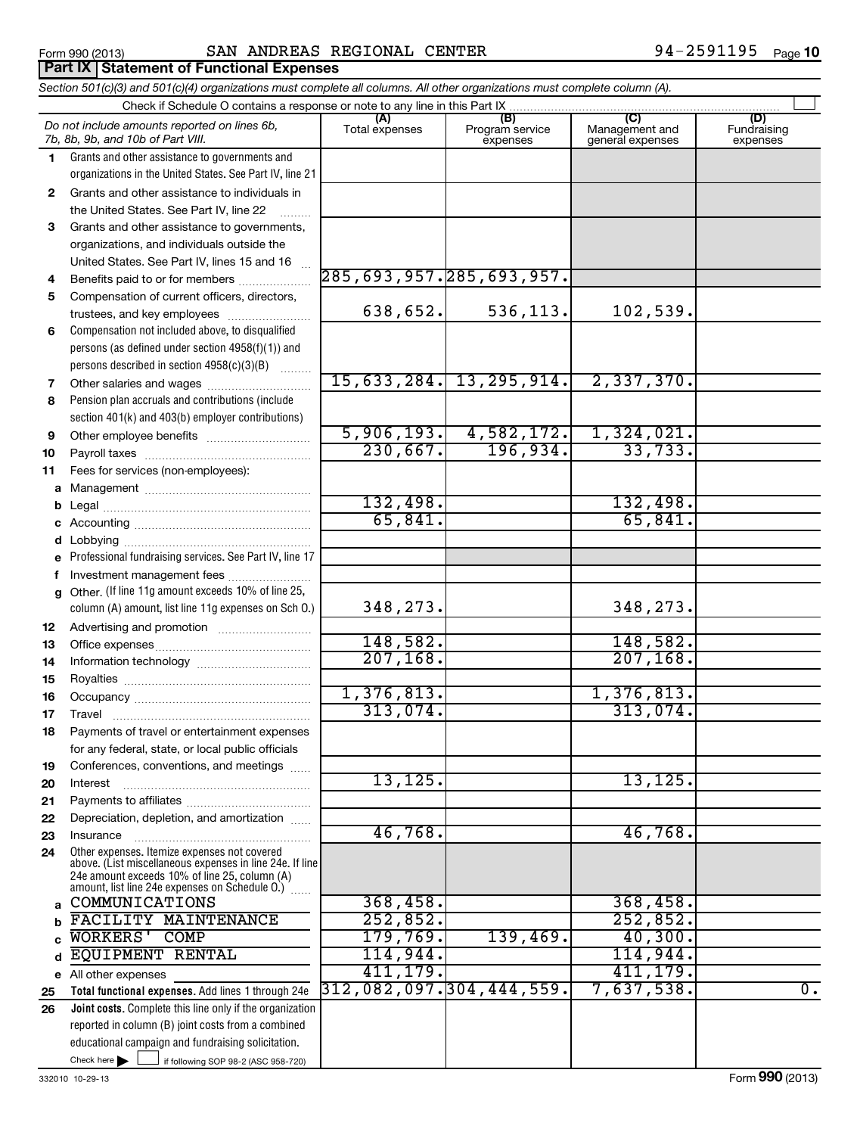### **(A) (B) (C) (D) 1 2 3 4 5 6 7 8 9 10 11 a** Management ~~~~~~~~~~~~~~~~ **b c** Accounting ~~~~~~~~~~~~~~~~~ **d e f g 12 13 14 15 16 17 18** *Section 501(c)(3) and 501(c)(4) organizations must complete all columns. All other organizations must complete column (A).* Grants and other assistance to governments and organizations in the United States. See Part IV, line 21 Compensation not included above, to disqualified persons (as defined under section 4958(f)(1)) and persons described in section 4958(c)(3)(B)  $\quad \quad \ldots \ldots \ldots$ Pension plan accruals and contributions (include section 401(k) and 403(b) employer contributions) Professional fundraising services. See Part IV, line 17 Other. (If line 11g amount exceeds 10% of line 25, column (A) amount, list line 11g expenses on Sch O.) Form 990 (2013) **SAN ANDREAS REGIONAL CENTER 94-2591195** page Check if Schedule O contains a response or note to any line in this Part IX Total expenses | Program service expenses Management and general expenses Fundraising expenses Grants and other assistance to individuals in the United States. See Part IV, line 22 Grants and other assistance to governments, organizations, and individuals outside the United States. See Part IV, lines 15 and 16 ~ Benefits paid to or for members .................... Compensation of current officers, directors, trustees, and key employees ......................... Other salaries and wages ~~~~~~~~~~ Other employee benefits ~~~~~~~~~~ Payroll taxes ~~~~~~~~~~~~~~~~ Fees for services (non-employees): Legal ~~~~~~~~~~~~~~~~~~~~ Lobbying ~~~~~~~~~~~~~~~~~~ Investment management fees ........................ Advertising and promotion .......................... Office expenses ~~~~~~~~~~~~~~~ Information technology ~~~~~~~~~~~ Royalties ~~~~~~~~~~~~~~~~~~ Occupancy ~~~~~~~~~~~~~~~~~ Travel ~~~~~~~~~~~~~~~~~~~ Payments of travel or entertainment expenses for any federal, state, or local public officials *Do not include amounts reported on lines 6b, 7b, 8b, 9b, and 10b of Part VIII.* **Part IX Statement of Functional Expenses**  $\sim$ 285,693,957.285,693,957. 638,652. 536,113. 102,539. 15,633,284. 13,295,914. 2,337,370. 5,906,193. 4,582,172. 1,324,021. 230,667. 196,934. 33,733. 132,498. 65,841. 65,841. 348,273. 148,582. 148,582. 207,168. 207,168. 1,376,813. 1,376,813. 313,074.

13,125. 13,125.

46,768. 46,768.

411,179.

312,082,097.304,444,559. 7,637,538. 0.

**19 20 21** Conferences, conventions, and meetings ...... Interest Payments to affiliates ~~~~~~~~~~~~ ~~~~~~~~~~~~~~~~~~

**22 23 24 a b c d e** Other expenses. Itemize expenses not covered above. (List miscellaneous expenses in line 24e. If line 24e amount exceeds 10% of line 25, column (A) amount, list line 24e expenses on Schedule O.)  $\, \ldots \,$ Depreciation, depletion, and amortization ...... Insurance ~~~~~~~~~~~~~~~~~ All other expenses COMMUNICATIONS 368,458. 368,458. FACILITY MAINTENANCE **252,852.** 252,852. WORKERS' COMP 179,769. 139,469. 40,300. EQUIPMENT RENTAL 114,944. 114,944.

If following SOP 98-2 (ASC 958-720) **Total functional expenses.**  Add lines 1 through 24e **Joint costs.** Complete this line only if the organization **25 26** reported in column (B) joint costs from a combined educational campaign and fundraising solicitation.  $\blacktriangleright$   $\Box$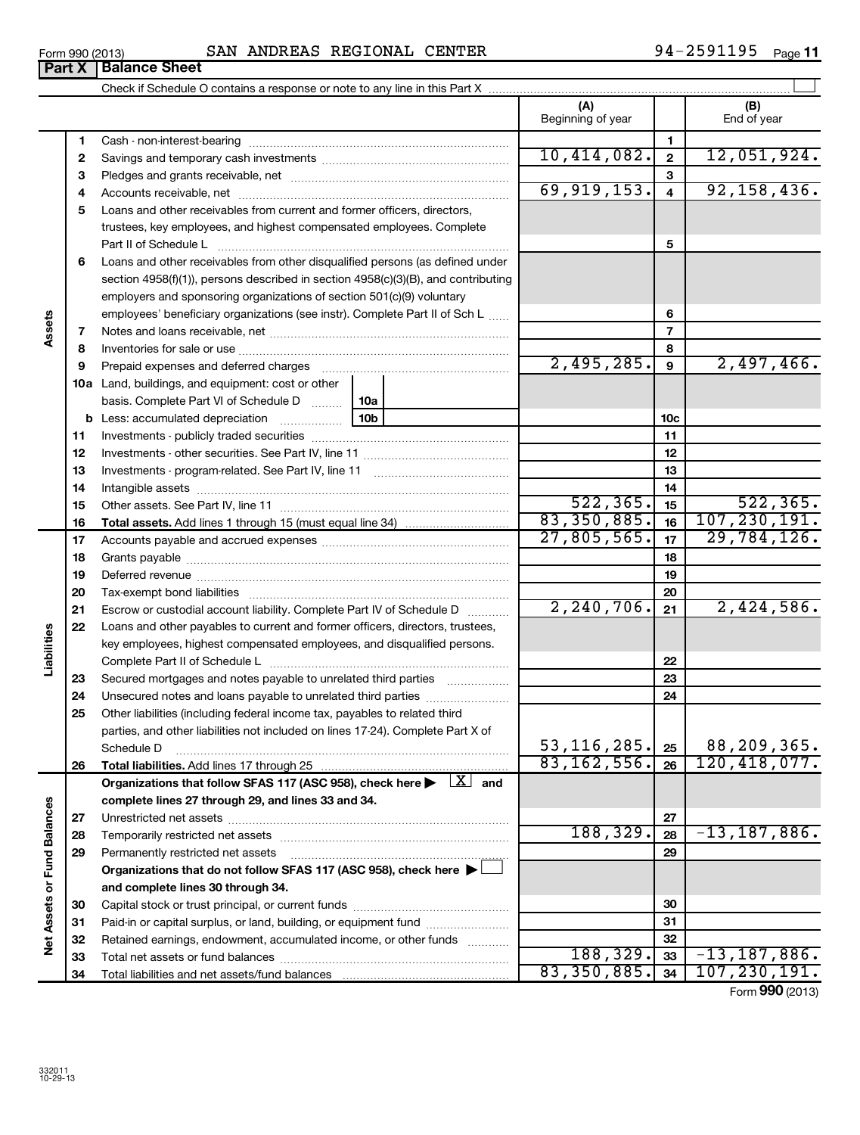| Form 990 (2013)               | SAN | ANDREAS | REGIONAL | <b>CENTER</b> | Page |
|-------------------------------|-----|---------|----------|---------------|------|
| <b>Deal V. Delegas Chast.</b> |     |         |          |               |      |

|                             |          |                                                                                                                         | (A)<br>Beginning of year |                         | (B)<br>End of year          |
|-----------------------------|----------|-------------------------------------------------------------------------------------------------------------------------|--------------------------|-------------------------|-----------------------------|
|                             | 1        |                                                                                                                         |                          | 1                       |                             |
|                             | 2        |                                                                                                                         | 10,414,082.              | $\mathbf{2}$            | 12,051,924.                 |
|                             | 3        |                                                                                                                         |                          | 3                       |                             |
|                             | 4        |                                                                                                                         | 69,919,153.              | $\overline{\mathbf{4}}$ | 92, 158, 436.               |
|                             | 5        | Loans and other receivables from current and former officers, directors,                                                |                          |                         |                             |
|                             |          | trustees, key employees, and highest compensated employees. Complete                                                    |                          |                         |                             |
|                             |          | Part II of Schedule L                                                                                                   |                          | 5                       |                             |
|                             | 6        | Loans and other receivables from other disqualified persons (as defined under                                           |                          |                         |                             |
|                             |          | section 4958(f)(1)), persons described in section 4958(c)(3)(B), and contributing                                       |                          |                         |                             |
|                             |          | employers and sponsoring organizations of section 501(c)(9) voluntary                                                   |                          |                         |                             |
|                             |          | employees' beneficiary organizations (see instr). Complete Part II of Sch L                                             |                          | 6                       |                             |
| Assets                      | 7        |                                                                                                                         |                          | $\overline{7}$          |                             |
|                             | 8        |                                                                                                                         |                          | 8                       |                             |
|                             | 9        | Prepaid expenses and deferred charges                                                                                   | 2,495,285.               | $\mathbf{9}$            | 2,497,466.                  |
|                             |          | <b>10a</b> Land, buildings, and equipment: cost or other                                                                |                          |                         |                             |
|                             |          | basis. Complete Part VI of Schedule D<br>10a                                                                            |                          |                         |                             |
|                             |          | 10 <sub>b</sub><br><b>b</b> Less: accumulated depreciation                                                              |                          | 10 <sub>c</sub>         |                             |
|                             | 11       |                                                                                                                         |                          | 11                      |                             |
|                             | 12       |                                                                                                                         |                          | 12                      |                             |
|                             | 13       |                                                                                                                         |                          | 13                      |                             |
|                             | 14       |                                                                                                                         |                          | 14                      |                             |
|                             | 15       |                                                                                                                         | 522, 365.<br>83,350,885. | 15                      | 522, 365.<br>107, 230, 191. |
|                             | 16       | <b>Total assets.</b> Add lines 1 through 15 (must equal line 34) <i></i>                                                | 27,805,565.              | 16                      | 29,784,126.                 |
|                             | 17       |                                                                                                                         |                          | 17                      |                             |
|                             | 18       |                                                                                                                         |                          | 18                      |                             |
|                             | 19       | Deferred revenue manual contracts and contracts are all the manual contracts and contracts are all the contracts of     |                          | 19<br>20                |                             |
|                             | 20<br>21 | Escrow or custodial account liability. Complete Part IV of Schedule D                                                   | 2, 240, 706.             | 21                      | 2,424,586.                  |
|                             | 22       | Loans and other payables to current and former officers, directors, trustees,                                           |                          |                         |                             |
| Liabilities                 |          | key employees, highest compensated employees, and disqualified persons.                                                 |                          |                         |                             |
|                             |          |                                                                                                                         |                          | 22                      |                             |
|                             | 23       | Secured mortgages and notes payable to unrelated third parties                                                          |                          | 23                      |                             |
|                             | 24       | Unsecured notes and loans payable to unrelated third parties                                                            |                          | 24                      |                             |
|                             | 25       | Other liabilities (including federal income tax, payables to related third                                              |                          |                         |                             |
|                             |          | parties, and other liabilities not included on lines 17-24). Complete Part X of                                         |                          |                         |                             |
|                             |          | Schedule D                                                                                                              | 53, 116, 285.            | 25                      | 88,209,365.                 |
|                             | 26       |                                                                                                                         | 83, 162, 556.            | 26                      | 120, 418, 077.              |
|                             |          | Organizations that follow SFAS 117 (ASC 958), check here $\blacktriangleright \begin{array}{c} \perp X \end{array}$ and |                          |                         |                             |
|                             |          | complete lines 27 through 29, and lines 33 and 34.                                                                      |                          |                         |                             |
|                             | 27       |                                                                                                                         |                          | 27                      |                             |
|                             | 28       |                                                                                                                         | 188, 329.                | 28                      | $-13, 187, 886.$            |
|                             | 29       | Permanently restricted net assets                                                                                       |                          | 29                      |                             |
|                             |          | Organizations that do not follow SFAS 117 (ASC 958), check here ▶                                                       |                          |                         |                             |
| Net Assets or Fund Balances |          | and complete lines 30 through 34.                                                                                       |                          |                         |                             |
|                             | 30       |                                                                                                                         |                          | 30                      |                             |
|                             | 31       | Paid-in or capital surplus, or land, building, or equipment fund                                                        |                          | 31                      |                             |
|                             | 32       | Retained earnings, endowment, accumulated income, or other funds                                                        |                          | 32                      |                             |
|                             | 33       |                                                                                                                         | 188, 329.                | 33                      | $-13, 187, 886.$            |
|                             | 34       |                                                                                                                         | 83, 350, 885.            | 34                      | 107, 230, 191.              |

Form (2013) **990**

## **Part X** | Balance Sheet

 $\overline{\phantom{0}}$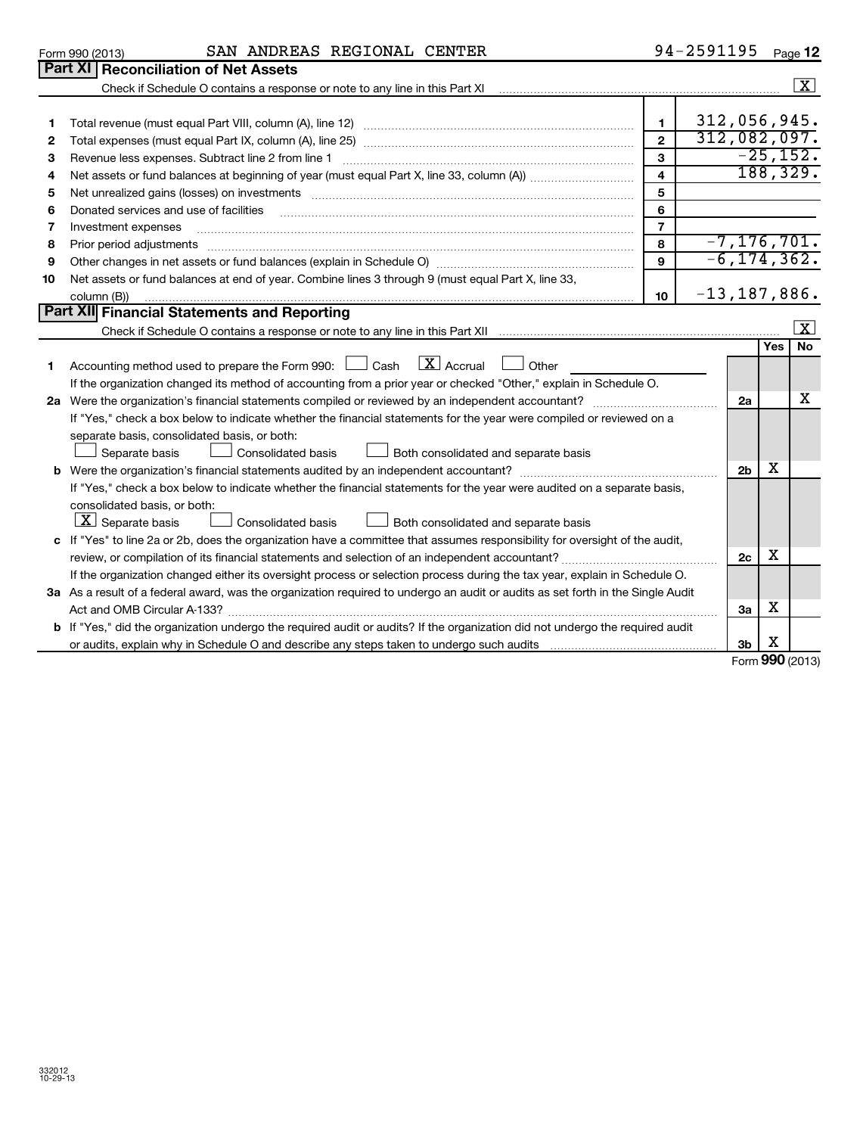|                 | Doub VI Decembrication of Net Accete |                |          |        |           |
|-----------------|--------------------------------------|----------------|----------|--------|-----------|
| Form 990 (2013) | SAN                                  | <b>ANDREAS</b> | REGIONAL | CENTER | -<br>Page |

|        | <b>Part XI Reconciliation of Net Assets</b>                                                                                                                                                                                    |                                |                              |                      |                      |
|--------|--------------------------------------------------------------------------------------------------------------------------------------------------------------------------------------------------------------------------------|--------------------------------|------------------------------|----------------------|----------------------|
|        | Check if Schedule O contains a response or note to any line in this Part XI manufactured contains and contains and contains a response or note to any line in this Part XI manufactured contains and contains and contains and |                                |                              |                      | $\boxed{\textbf{X}}$ |
| 1<br>2 |                                                                                                                                                                                                                                | $\mathbf{1}$<br>$\overline{2}$ | 312,056,945.<br>312,082,097. |                      |                      |
| 3      | Revenue less expenses. Subtract line 2 from line 1                                                                                                                                                                             | $\mathbf{3}$                   |                              |                      | $-25,152.$           |
| 4      |                                                                                                                                                                                                                                | 4                              |                              | 188, 329.            |                      |
| 5      |                                                                                                                                                                                                                                | 5                              |                              |                      |                      |
| 6      | Donated services and use of facilities                                                                                                                                                                                         | 6                              |                              |                      |                      |
| 7      | Investment expenses                                                                                                                                                                                                            | $\overline{7}$                 |                              |                      |                      |
| 8      | Prior period adjustments                                                                                                                                                                                                       | 8                              | $-7, 176, 701.$              |                      |                      |
| 9      |                                                                                                                                                                                                                                | $\mathbf{9}$                   | $-6, 174, 362$ .             |                      |                      |
| 10     | Net assets or fund balances at end of year. Combine lines 3 through 9 (must equal Part X, line 33,<br>column (B))                                                                                                              | 10                             | $-13, 187, 886$ .            |                      |                      |
|        | <b>Part XII Financial Statements and Reporting</b>                                                                                                                                                                             |                                |                              |                      |                      |
|        |                                                                                                                                                                                                                                |                                |                              |                      | $\mathbf{x}$         |
|        |                                                                                                                                                                                                                                |                                |                              | Yes                  | No                   |
| 1.     | $\lfloor \mathbf{X} \rfloor$ Accrual<br>Accounting method used to prepare the Form 990: $\Box$ Cash<br>Other                                                                                                                   |                                |                              |                      |                      |
|        | If the organization changed its method of accounting from a prior year or checked "Other," explain in Schedule O.                                                                                                              |                                |                              |                      |                      |
|        |                                                                                                                                                                                                                                |                                | 2a                           |                      | x                    |
|        | If "Yes," check a box below to indicate whether the financial statements for the year were compiled or reviewed on a                                                                                                           |                                |                              |                      |                      |
|        | separate basis, consolidated basis, or both:                                                                                                                                                                                   |                                |                              |                      |                      |
|        | Separate basis<br><b>Consolidated basis</b><br>Both consolidated and separate basis                                                                                                                                            |                                |                              |                      |                      |
|        |                                                                                                                                                                                                                                |                                | 2 <sub>b</sub>               | х                    |                      |
|        | If "Yes," check a box below to indicate whether the financial statements for the year were audited on a separate basis,                                                                                                        |                                |                              |                      |                      |
|        | consolidated basis, or both:<br>$ \underline{X} $ Separate basis<br>Both consolidated and separate basis<br>Consolidated basis                                                                                                 |                                |                              |                      |                      |
|        | c If "Yes" to line 2a or 2b, does the organization have a committee that assumes responsibility for oversight of the audit,                                                                                                    |                                |                              |                      |                      |
|        |                                                                                                                                                                                                                                |                                | 2c                           | х                    |                      |
|        | If the organization changed either its oversight process or selection process during the tax year, explain in Schedule O.                                                                                                      |                                |                              |                      |                      |
|        | 3a As a result of a federal award, was the organization required to undergo an audit or audits as set forth in the Single Audit                                                                                                |                                |                              |                      |                      |
|        |                                                                                                                                                                                                                                |                                | 3a                           | х                    |                      |
|        | b If "Yes," did the organization undergo the required audit or audits? If the organization did not undergo the required audit                                                                                                  |                                |                              |                      |                      |
|        |                                                                                                                                                                                                                                |                                | 3 <sub>b</sub>               | х<br>$000 \text{ m}$ |                      |

Form **990** (2013)

|  | Form 990 (2013) |  |
|--|-----------------|--|
|  |                 |  |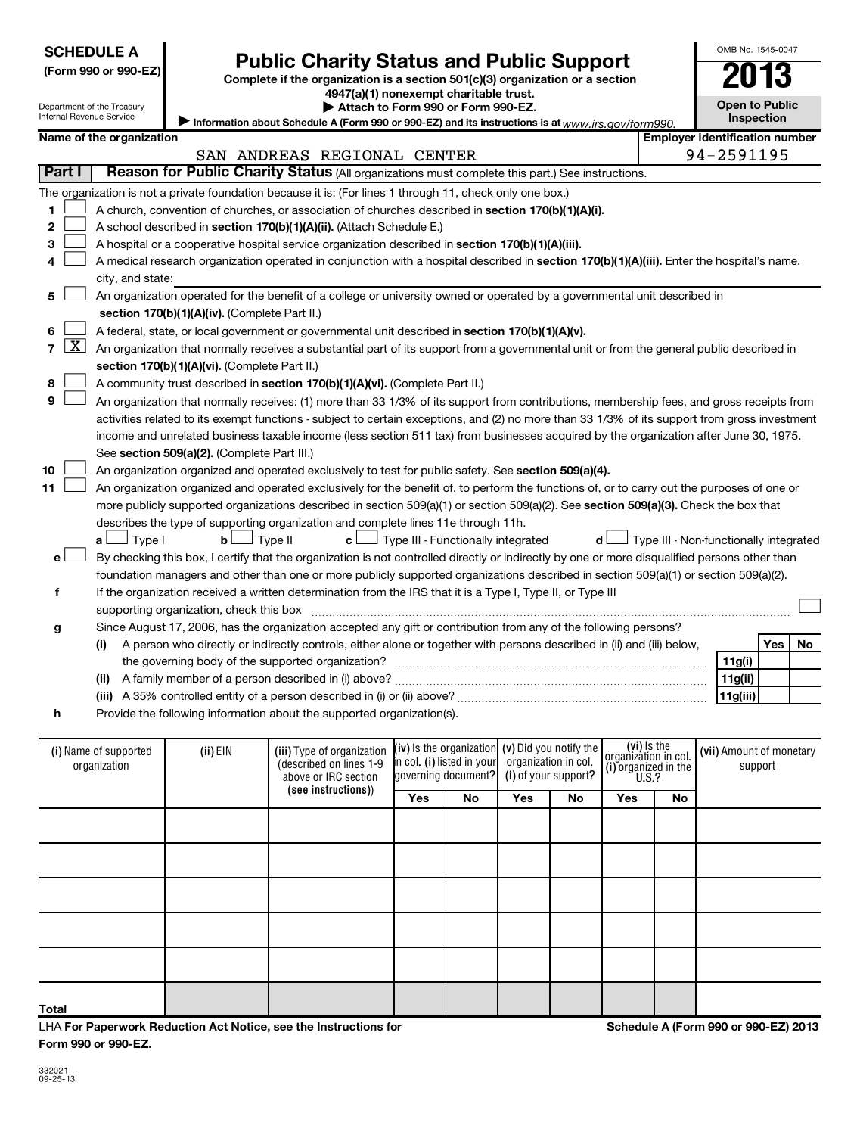| ŗ<br>⊣ |
|--------|
| r<br>σ |

**Total**

LHA **For Paperwork Reduction Act Notice, see the Instructions for Form 990 or 990-EZ.**

**Schedule A (Form 990 or 990-EZ) 2013**

# **SCHEDULE A**

**(Form 990 or 990-EZ) Complete if the organization is a section 501(c)(3) organization or a section Public Charity Status and Public Support**<br> **Addition is a section 501(c)(3) organization or a section**<br>  $4947(a)(1)$  nonexempt charitable trust.

**Open to Public Inspection**

| niemai Revenue Service                    |                                                                                                                                                                                      |                                                  | Information about Schedule A (Form 990 or 990-EZ) and its instructions is at www.irs.gov/form990.                                             |            |                                                   |     |                      |                                     |    | <b>Inspection</b>                      |            |    |
|-------------------------------------------|--------------------------------------------------------------------------------------------------------------------------------------------------------------------------------------|--------------------------------------------------|-----------------------------------------------------------------------------------------------------------------------------------------------|------------|---------------------------------------------------|-----|----------------------|-------------------------------------|----|----------------------------------------|------------|----|
|                                           | Name of the organization                                                                                                                                                             |                                                  |                                                                                                                                               |            |                                                   |     |                      |                                     |    | <b>Employer identification number</b>  |            |    |
|                                           |                                                                                                                                                                                      |                                                  | SAN ANDREAS REGIONAL CENTER                                                                                                                   |            |                                                   |     |                      |                                     |    | 94-2591195                             |            |    |
| Part I                                    |                                                                                                                                                                                      |                                                  | Reason for Public Charity Status (All organizations must complete this part.) See instructions.                                               |            |                                                   |     |                      |                                     |    |                                        |            |    |
|                                           |                                                                                                                                                                                      |                                                  | The organization is not a private foundation because it is: (For lines 1 through 11, check only one box.)                                     |            |                                                   |     |                      |                                     |    |                                        |            |    |
| 1                                         | A church, convention of churches, or association of churches described in section 170(b)(1)(A)(i).                                                                                   |                                                  |                                                                                                                                               |            |                                                   |     |                      |                                     |    |                                        |            |    |
| $\mathbf{2}$                              |                                                                                                                                                                                      |                                                  | A school described in section 170(b)(1)(A)(ii). (Attach Schedule E.)                                                                          |            |                                                   |     |                      |                                     |    |                                        |            |    |
| 3                                         |                                                                                                                                                                                      |                                                  | A hospital or a cooperative hospital service organization described in section 170(b)(1)(A)(iii).                                             |            |                                                   |     |                      |                                     |    |                                        |            |    |
| 4                                         |                                                                                                                                                                                      |                                                  | A medical research organization operated in conjunction with a hospital described in section 170(b)(1)(A)(iii). Enter the hospital's name,    |            |                                                   |     |                      |                                     |    |                                        |            |    |
|                                           | city, and state:                                                                                                                                                                     |                                                  |                                                                                                                                               |            |                                                   |     |                      |                                     |    |                                        |            |    |
| 5                                         |                                                                                                                                                                                      |                                                  | An organization operated for the benefit of a college or university owned or operated by a governmental unit described in                     |            |                                                   |     |                      |                                     |    |                                        |            |    |
|                                           |                                                                                                                                                                                      | section $170(b)(1)(A)(iv)$ . (Complete Part II.) |                                                                                                                                               |            |                                                   |     |                      |                                     |    |                                        |            |    |
| 6                                         |                                                                                                                                                                                      |                                                  | A federal, state, or local government or governmental unit described in section 170(b)(1)(A)(v).                                              |            |                                                   |     |                      |                                     |    |                                        |            |    |
| $\overline{\mathtt{X}}$<br>$\overline{7}$ |                                                                                                                                                                                      |                                                  | An organization that normally receives a substantial part of its support from a governmental unit or from the general public described in     |            |                                                   |     |                      |                                     |    |                                        |            |    |
|                                           |                                                                                                                                                                                      | section 170(b)(1)(A)(vi). (Complete Part II.)    |                                                                                                                                               |            |                                                   |     |                      |                                     |    |                                        |            |    |
| 8                                         |                                                                                                                                                                                      |                                                  | A community trust described in section 170(b)(1)(A)(vi). (Complete Part II.)                                                                  |            |                                                   |     |                      |                                     |    |                                        |            |    |
| 9                                         |                                                                                                                                                                                      |                                                  | An organization that normally receives: (1) more than 33 1/3% of its support from contributions, membership fees, and gross receipts from     |            |                                                   |     |                      |                                     |    |                                        |            |    |
|                                           |                                                                                                                                                                                      |                                                  | activities related to its exempt functions - subject to certain exceptions, and (2) no more than 33 1/3% of its support from gross investment |            |                                                   |     |                      |                                     |    |                                        |            |    |
|                                           |                                                                                                                                                                                      |                                                  |                                                                                                                                               |            |                                                   |     |                      |                                     |    |                                        |            |    |
|                                           | income and unrelated business taxable income (less section 511 tax) from businesses acquired by the organization after June 30, 1975.<br>See section 509(a)(2). (Complete Part III.) |                                                  |                                                                                                                                               |            |                                                   |     |                      |                                     |    |                                        |            |    |
| 10                                        | An organization organized and operated exclusively to test for public safety. See section 509(a)(4).                                                                                 |                                                  |                                                                                                                                               |            |                                                   |     |                      |                                     |    |                                        |            |    |
| 11                                        |                                                                                                                                                                                      |                                                  | An organization organized and operated exclusively for the benefit of, to perform the functions of, or to carry out the purposes of one or    |            |                                                   |     |                      |                                     |    |                                        |            |    |
|                                           |                                                                                                                                                                                      |                                                  | more publicly supported organizations described in section 509(a)(1) or section 509(a)(2). See section 509(a)(3). Check the box that          |            |                                                   |     |                      |                                     |    |                                        |            |    |
|                                           |                                                                                                                                                                                      |                                                  | describes the type of supporting organization and complete lines 11e through 11h.                                                             |            |                                                   |     |                      |                                     |    |                                        |            |    |
|                                           | $\Box$ Type I<br>a L                                                                                                                                                                 | b <sub>l</sub>                                   | 」Type II<br>c L                                                                                                                               |            | J Type III - Functionally integrated              |     | d l                  |                                     |    | Type III - Non-functionally integrated |            |    |
| е                                         |                                                                                                                                                                                      |                                                  | By checking this box, I certify that the organization is not controlled directly or indirectly by one or more disqualified persons other than |            |                                                   |     |                      |                                     |    |                                        |            |    |
|                                           |                                                                                                                                                                                      |                                                  | foundation managers and other than one or more publicly supported organizations described in section 509(a)(1) or section 509(a)(2).          |            |                                                   |     |                      |                                     |    |                                        |            |    |
| f                                         |                                                                                                                                                                                      |                                                  | If the organization received a written determination from the IRS that it is a Type I, Type II, or Type III                                   |            |                                                   |     |                      |                                     |    |                                        |            |    |
|                                           |                                                                                                                                                                                      | supporting organization, check this box          |                                                                                                                                               |            |                                                   |     |                      |                                     |    |                                        |            |    |
| g                                         |                                                                                                                                                                                      |                                                  | Since August 17, 2006, has the organization accepted any gift or contribution from any of the following persons?                              |            |                                                   |     |                      |                                     |    |                                        |            |    |
|                                           | (i)                                                                                                                                                                                  |                                                  | A person who directly or indirectly controls, either alone or together with persons described in (ii) and (iii) below,                        |            |                                                   |     |                      |                                     |    |                                        | <b>Yes</b> | No |
|                                           |                                                                                                                                                                                      |                                                  |                                                                                                                                               |            |                                                   |     |                      |                                     |    | 11g(i)                                 |            |    |
|                                           |                                                                                                                                                                                      |                                                  |                                                                                                                                               |            |                                                   |     |                      |                                     |    | 11g(ii)                                |            |    |
|                                           |                                                                                                                                                                                      |                                                  |                                                                                                                                               |            |                                                   |     |                      |                                     |    | 11g(iii)                               |            |    |
| h                                         |                                                                                                                                                                                      |                                                  | Provide the following information about the supported organization(s).                                                                        |            |                                                   |     |                      |                                     |    |                                        |            |    |
|                                           |                                                                                                                                                                                      |                                                  |                                                                                                                                               |            |                                                   |     |                      |                                     |    |                                        |            |    |
|                                           | (i) Name of supported                                                                                                                                                                | (ii) EIN                                         | (iii) Type of organization                                                                                                                    |            | (iv) is the organization $(v)$ Did you notify the |     |                      | (vi) Is the<br>organization in col. |    | (vii) Amount of monetary               |            |    |
|                                           | organization                                                                                                                                                                         |                                                  | (described on lines 1-9                                                                                                                       |            | <b>i</b> n col. (i) listed in your                |     | organization in col. | (i) organized in the                |    | support                                |            |    |
|                                           |                                                                                                                                                                                      |                                                  | above or IRC section<br>(see instructions))                                                                                                   |            | governing document?                               |     | (i) of your support? | U.S.?                               |    |                                        |            |    |
|                                           |                                                                                                                                                                                      |                                                  |                                                                                                                                               | <b>Yes</b> | No                                                | Yes | No                   | Yes                                 | No |                                        |            |    |

OMB No. 1545-0047

**| Attach to Form 990 or Form 990-EZ.** 

| Department of the Treasury |
|----------------------------|
| Internal Revenue Service   |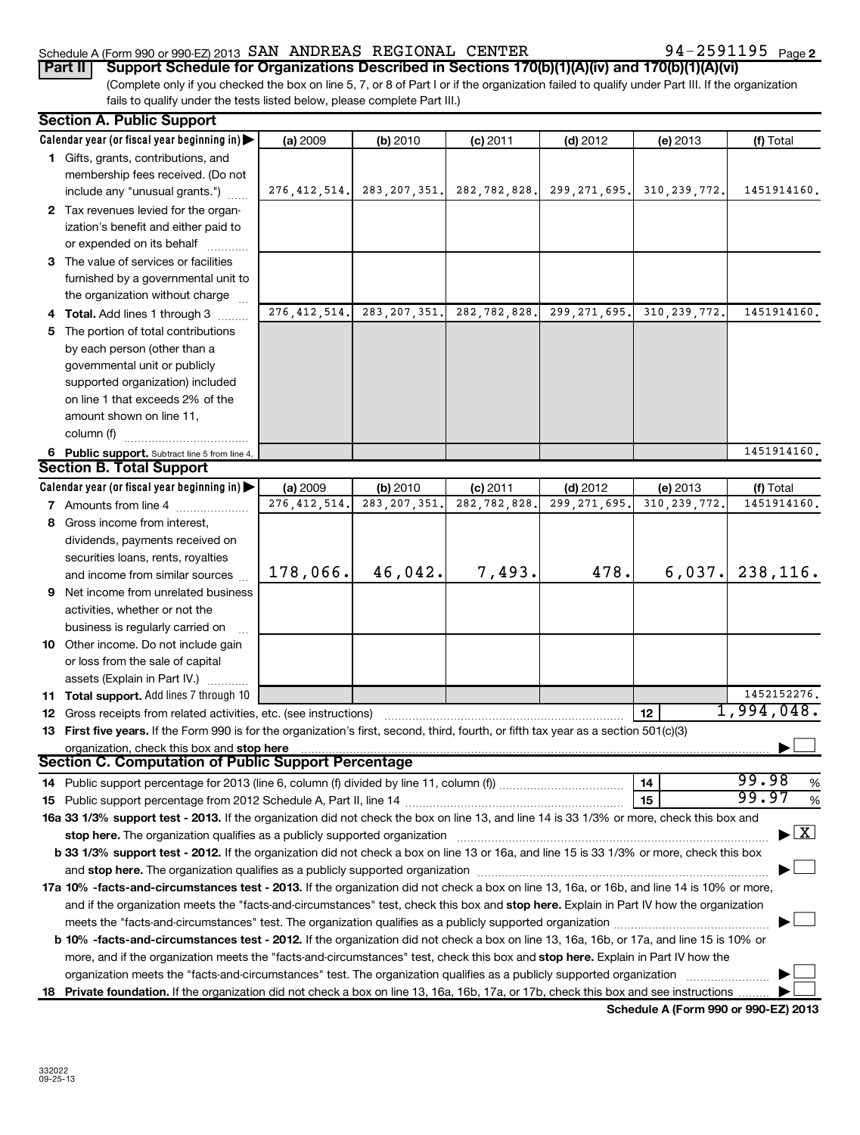### Schedule A (Form 990 or 990-EZ) 2013  $\,$  SAN  $\,$  ANDREAS REGIONAL  $\,$  CENTER  $\,$  94 - 2591195  $\,$  Page

(Complete only if you checked the box on line 5, 7, or 8 of Part I or if the organization failed to qualify under Part III. If the organization fails to qualify under the tests listed below, please complete Part III.) **Part II Support Schedule for Organizations Described in Sections 170(b)(1)(A)(iv) and 170(b)(1)(A)(vi)** 

| <b>Section A. Public Support</b>                                                                                                           |                |                |              |                              |                |                                          |  |  |
|--------------------------------------------------------------------------------------------------------------------------------------------|----------------|----------------|--------------|------------------------------|----------------|------------------------------------------|--|--|
| Calendar year (or fiscal year beginning in)                                                                                                | (a) 2009       | (b) 2010       | $(c)$ 2011   | $(d)$ 2012                   | (e) 2013       | (f) Total                                |  |  |
| 1 Gifts, grants, contributions, and                                                                                                        |                |                |              |                              |                |                                          |  |  |
| membership fees received. (Do not                                                                                                          |                |                |              |                              |                |                                          |  |  |
| include any "unusual grants.")                                                                                                             | 276, 412, 514. | 283, 207, 351. | 282,782,828. | 299, 271, 695.               | 310, 239, 772. | 1451914160.                              |  |  |
| 2 Tax revenues levied for the organ-                                                                                                       |                |                |              |                              |                |                                          |  |  |
| ization's benefit and either paid to                                                                                                       |                |                |              |                              |                |                                          |  |  |
| or expended on its behalf                                                                                                                  |                |                |              |                              |                |                                          |  |  |
| 3 The value of services or facilities                                                                                                      |                |                |              |                              |                |                                          |  |  |
| furnished by a governmental unit to                                                                                                        |                |                |              |                              |                |                                          |  |  |
| the organization without charge                                                                                                            |                |                |              |                              |                |                                          |  |  |
| 4 Total. Add lines 1 through 3                                                                                                             | 276, 412, 514. | 283, 207, 351. | 282,782,828. | $\overline{299}$ , 271, 695. | 310, 239, 772. | 1451914160.                              |  |  |
| 5 The portion of total contributions                                                                                                       |                |                |              |                              |                |                                          |  |  |
| by each person (other than a                                                                                                               |                |                |              |                              |                |                                          |  |  |
| governmental unit or publicly                                                                                                              |                |                |              |                              |                |                                          |  |  |
| supported organization) included                                                                                                           |                |                |              |                              |                |                                          |  |  |
| on line 1 that exceeds 2% of the                                                                                                           |                |                |              |                              |                |                                          |  |  |
| amount shown on line 11,                                                                                                                   |                |                |              |                              |                |                                          |  |  |
| column (f)                                                                                                                                 |                |                |              |                              |                |                                          |  |  |
| 6 Public support. Subtract line 5 from line 4.                                                                                             |                |                |              |                              |                | 1451914160,                              |  |  |
| <b>Section B. Total Support</b>                                                                                                            |                |                |              |                              |                |                                          |  |  |
| Calendar year (or fiscal year beginning in)                                                                                                | (a) 2009       | (b) 2010       | $(c)$ 2011   | $(d)$ 2012                   | (e) 2013       | (f) Total                                |  |  |
| <b>7</b> Amounts from line 4                                                                                                               | 276, 412, 514. | 283, 207, 351  | 282,782,828  | 299, 271, 695                | 310, 239, 772. | 1451914160.                              |  |  |
| 8 Gross income from interest,                                                                                                              |                |                |              |                              |                |                                          |  |  |
| dividends, payments received on                                                                                                            |                |                |              |                              |                |                                          |  |  |
| securities loans, rents, royalties                                                                                                         |                |                |              |                              |                |                                          |  |  |
| and income from similar sources                                                                                                            | 178,066.       | 46,042.        | 7,493.       | 478.                         | 6,037.         | 238,116.                                 |  |  |
| <b>9</b> Net income from unrelated business                                                                                                |                |                |              |                              |                |                                          |  |  |
| activities, whether or not the                                                                                                             |                |                |              |                              |                |                                          |  |  |
| business is regularly carried on                                                                                                           |                |                |              |                              |                |                                          |  |  |
| 10 Other income. Do not include gain                                                                                                       |                |                |              |                              |                |                                          |  |  |
| or loss from the sale of capital                                                                                                           |                |                |              |                              |                |                                          |  |  |
| assets (Explain in Part IV.)                                                                                                               |                |                |              |                              |                |                                          |  |  |
| 11 Total support. Add lines 7 through 10                                                                                                   |                |                |              |                              |                | 1452152276.                              |  |  |
| 12 Gross receipts from related activities, etc. (see instructions)                                                                         |                |                |              |                              | 12             | 1,994,048.                               |  |  |
| 13 First five years. If the Form 990 is for the organization's first, second, third, fourth, or fifth tax year as a section 501(c)(3)      |                |                |              |                              |                |                                          |  |  |
| organization, check this box and stop here                                                                                                 |                |                |              |                              |                |                                          |  |  |
| Section C. Computation of Public Support Percentage                                                                                        |                |                |              |                              |                |                                          |  |  |
| 14 Public support percentage for 2013 (line 6, column (f) divided by line 11, column (f) <i>mummumumum</i>                                 |                |                |              |                              | 14             | 99.98<br>$\%$                            |  |  |
|                                                                                                                                            |                |                |              |                              | 15             | 99.97<br>%                               |  |  |
| 16a 33 1/3% support test - 2013. If the organization did not check the box on line 13, and line 14 is 33 1/3% or more, check this box and  |                |                |              |                              |                |                                          |  |  |
| stop here. The organization qualifies as a publicly supported organization                                                                 |                |                |              |                              |                | $\blacktriangleright$ $\boxed{\text{X}}$ |  |  |
| b 33 1/3% support test - 2012. If the organization did not check a box on line 13 or 16a, and line 15 is 33 1/3% or more, check this box   |                |                |              |                              |                |                                          |  |  |
| and stop here. The organization qualifies as a publicly supported organization manufaction and stop here. The organization                 |                |                |              |                              |                |                                          |  |  |
| 17a 10% -facts-and-circumstances test - 2013. If the organization did not check a box on line 13, 16a, or 16b, and line 14 is 10% or more, |                |                |              |                              |                |                                          |  |  |
| and if the organization meets the "facts-and-circumstances" test, check this box and stop here. Explain in Part IV how the organization    |                |                |              |                              |                |                                          |  |  |
| meets the "facts-and-circumstances" test. The organization qualifies as a publicly supported organization <i>manumumumum</i>               |                |                |              |                              |                |                                          |  |  |
| b 10% -facts-and-circumstances test - 2012. If the organization did not check a box on line 13, 16a, 16b, or 17a, and line 15 is 10% or    |                |                |              |                              |                |                                          |  |  |
| more, and if the organization meets the "facts-and-circumstances" test, check this box and stop here. Explain in Part IV how the           |                |                |              |                              |                |                                          |  |  |
| organization meets the "facts-and-circumstances" test. The organization qualifies as a publicly supported organization                     |                |                |              |                              |                |                                          |  |  |
| 18 Private foundation. If the organization did not check a box on line 13, 16a, 16b, 17a, or 17b, check this box and see instructions      |                |                |              |                              |                |                                          |  |  |

**Schedule A (Form 990 or 990-EZ) 2013**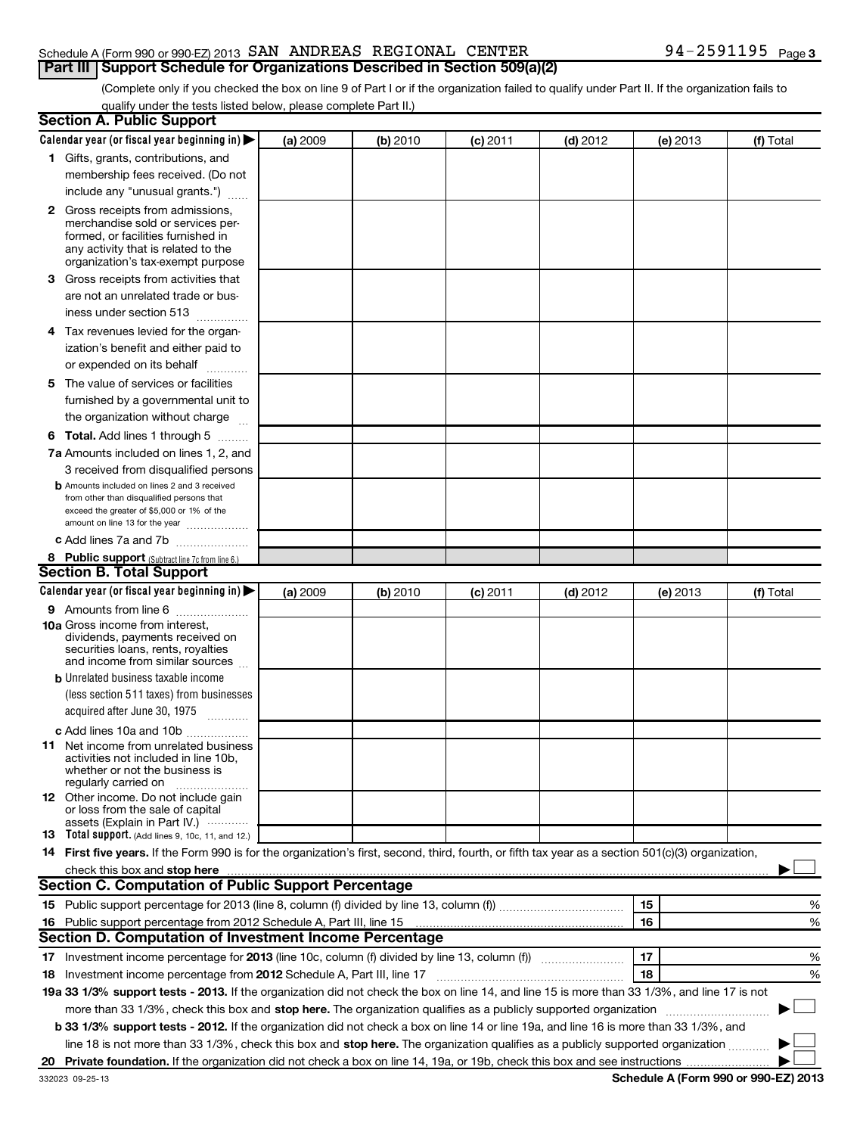### Schedule A (Form 990 or 990-EZ) 2013  $\,$  SAN  $\,$  ANDREAS REGIONAL  $\,$  CENTER  $\,$  94 - 2591195  $\,$  Page **Part III Support Schedule for Organizations Described in Section 509(a)(2)**

# (Complete only if you checked the box on line 9 of Part I or if the organization failed to qualify under Part II. If the organization fails to

qualify under the tests listed below, please complete Part II.)

| <b>Section A. Public Support</b>                                                                                                                    |          |          |            |            |          |           |
|-----------------------------------------------------------------------------------------------------------------------------------------------------|----------|----------|------------|------------|----------|-----------|
| Calendar year (or fiscal year beginning in)                                                                                                         | (a) 2009 | (b) 2010 | $(c)$ 2011 | $(d)$ 2012 | (e) 2013 | (f) Total |
| 1 Gifts, grants, contributions, and                                                                                                                 |          |          |            |            |          |           |
| membership fees received. (Do not                                                                                                                   |          |          |            |            |          |           |
| include any "unusual grants.")                                                                                                                      |          |          |            |            |          |           |
| 2 Gross receipts from admissions,                                                                                                                   |          |          |            |            |          |           |
| merchandise sold or services per-                                                                                                                   |          |          |            |            |          |           |
| formed, or facilities furnished in                                                                                                                  |          |          |            |            |          |           |
| any activity that is related to the<br>organization's tax-exempt purpose                                                                            |          |          |            |            |          |           |
| Gross receipts from activities that<br>З                                                                                                            |          |          |            |            |          |           |
| are not an unrelated trade or bus-                                                                                                                  |          |          |            |            |          |           |
| iness under section 513                                                                                                                             |          |          |            |            |          |           |
| 4 Tax revenues levied for the organ-                                                                                                                |          |          |            |            |          |           |
| ization's benefit and either paid to                                                                                                                |          |          |            |            |          |           |
| or expended on its behalf                                                                                                                           |          |          |            |            |          |           |
|                                                                                                                                                     |          |          |            |            |          |           |
| The value of services or facilities<br>5.                                                                                                           |          |          |            |            |          |           |
| furnished by a governmental unit to                                                                                                                 |          |          |            |            |          |           |
| the organization without charge                                                                                                                     |          |          |            |            |          |           |
| <b>6 Total.</b> Add lines 1 through 5                                                                                                               |          |          |            |            |          |           |
| 7a Amounts included on lines 1, 2, and                                                                                                              |          |          |            |            |          |           |
| 3 received from disqualified persons                                                                                                                |          |          |            |            |          |           |
| <b>b</b> Amounts included on lines 2 and 3 received<br>from other than disqualified persons that                                                    |          |          |            |            |          |           |
| exceed the greater of \$5,000 or 1% of the                                                                                                          |          |          |            |            |          |           |
| amount on line 13 for the year                                                                                                                      |          |          |            |            |          |           |
| c Add lines 7a and 7b                                                                                                                               |          |          |            |            |          |           |
| 8 Public support (Subtract line 7c from line 6.)                                                                                                    |          |          |            |            |          |           |
| <b>Section B. Total Support</b>                                                                                                                     |          |          |            |            |          |           |
| Calendar year (or fiscal year beginning in)                                                                                                         | (a) 2009 | (b) 2010 | $(c)$ 2011 | $(d)$ 2012 | (e) 2013 | (f) Total |
| <b>9</b> Amounts from line 6                                                                                                                        |          |          |            |            |          |           |
| 10a Gross income from interest,<br>dividends, payments received on                                                                                  |          |          |            |            |          |           |
| securities loans, rents, royalties                                                                                                                  |          |          |            |            |          |           |
| and income from similar sources                                                                                                                     |          |          |            |            |          |           |
| <b>b</b> Unrelated business taxable income                                                                                                          |          |          |            |            |          |           |
| (less section 511 taxes) from businesses                                                                                                            |          |          |            |            |          |           |
| acquired after June 30, 1975<br>1.1.1.1.1.1.1.1.1.1                                                                                                 |          |          |            |            |          |           |
| c Add lines 10a and 10b                                                                                                                             |          |          |            |            |          |           |
| <b>11</b> Net income from unrelated business                                                                                                        |          |          |            |            |          |           |
| activities not included in line 10b.<br>whether or not the business is                                                                              |          |          |            |            |          |           |
| regularly carried on                                                                                                                                |          |          |            |            |          |           |
| 12 Other income. Do not include gain                                                                                                                |          |          |            |            |          |           |
| or loss from the sale of capital                                                                                                                    |          |          |            |            |          |           |
| assets (Explain in Part IV.)<br>13 Total support. (Add lines 9, 10c, 11, and 12.)                                                                   |          |          |            |            |          |           |
| 14 First five years. If the Form 990 is for the organization's first, second, third, fourth, or fifth tax year as a section 501(c)(3) organization, |          |          |            |            |          |           |
|                                                                                                                                                     |          |          |            |            |          |           |
| <b>Section C. Computation of Public Support Percentage</b>                                                                                          |          |          |            |            |          |           |
|                                                                                                                                                     |          |          |            |            | 15       | %         |
| 16 Public support percentage from 2012 Schedule A, Part III, line 15                                                                                |          |          |            |            | 16       | %         |
| <b>Section D. Computation of Investment Income Percentage</b>                                                                                       |          |          |            |            |          |           |
|                                                                                                                                                     |          |          |            |            | 17       | %         |
| Investment income percentage from 2012 Schedule A, Part III, line 17<br>18                                                                          |          |          |            |            | 18       | %         |
| 19a 33 1/3% support tests - 2013. If the organization did not check the box on line 14, and line 15 is more than 33 1/3%, and line 17 is not        |          |          |            |            |          |           |
| more than 33 1/3%, check this box and stop here. The organization qualifies as a publicly supported organization                                    |          |          |            |            |          |           |
| <b>b 33 1/3% support tests - 2012.</b> If the organization did not check a box on line 14 or line 19a, and line 16 is more than 33 1/3%, and        |          |          |            |            |          |           |
| line 18 is not more than 33 1/3%, check this box and stop here. The organization qualifies as a publicly supported organization                     |          |          |            |            |          |           |
|                                                                                                                                                     |          |          |            |            |          |           |
| 20                                                                                                                                                  |          |          |            |            |          |           |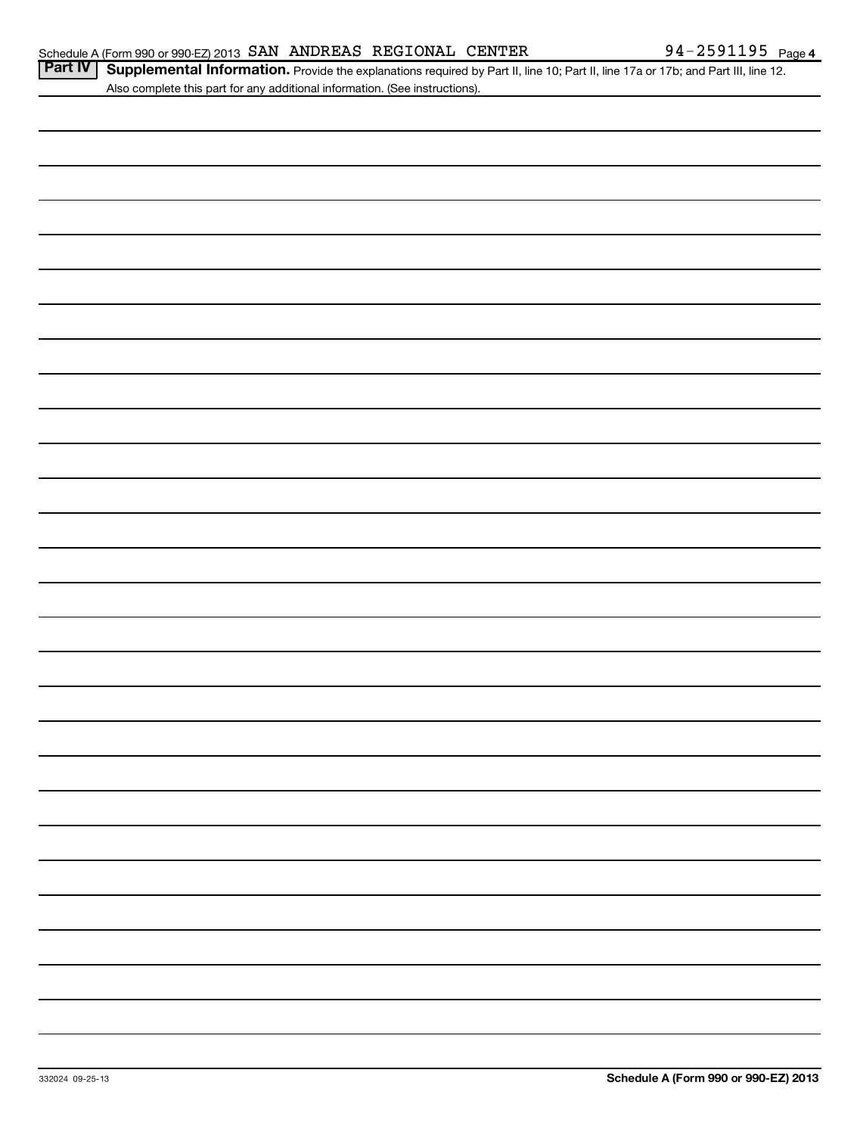| Part IV   Supplemental Information. Provide the explanations required by Part II, line 10; Part II, line 17a or 17b; and Part III, line 12 |  |
|--------------------------------------------------------------------------------------------------------------------------------------------|--|
| Also complete this part for any additional information. (See instructions).                                                                |  |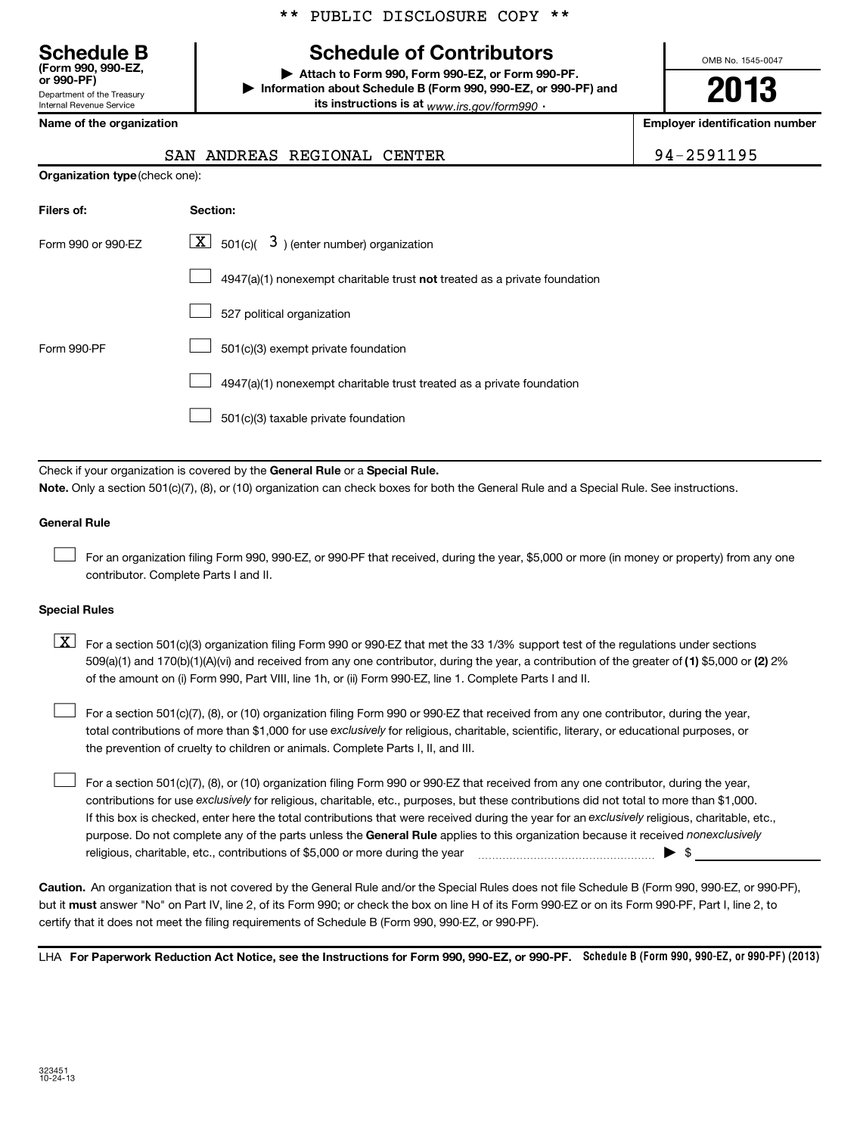## **Schedule B Schedule of Contributors**

**or 990-PF) | Attach to Form 990, Form 990-EZ, or Form 990-PF. | Information about Schedule B (Form 990, 990-EZ, or 990-PF) and its instructions is at** <sub>www.irs.gov/form990  $\cdot$ </sub>

OMB No. 1545-0047

**2013**

**Name of the organization Employer identification number**

Department of the Treasury Internal Revenue Service

**(Form 990, 990-EZ,**

|  |  | SAN ANDREAS REGIONAL CENTER |  | 94-2591195 |
|--|--|-----------------------------|--|------------|
|--|--|-----------------------------|--|------------|

| <b>Organization type</b> (check one): |  |  |
|---------------------------------------|--|--|
|                                       |  |  |

| Filers of:         | <b>Section:</b>                                                                    |
|--------------------|------------------------------------------------------------------------------------|
| Form 990 or 990-EZ | $\lfloor \underline{X} \rfloor$ 501(c)( 3) (enter number) organization             |
|                    | $4947(a)(1)$ nonexempt charitable trust <b>not</b> treated as a private foundation |
|                    | 527 political organization                                                         |
| Form 990-PF        | 501(c)(3) exempt private foundation                                                |
|                    | 4947(a)(1) nonexempt charitable trust treated as a private foundation              |
|                    | 501(c)(3) taxable private foundation                                               |

Check if your organization is covered by the General Rule or a Special Rule. **Note.**  Only a section 501(c)(7), (8), or (10) organization can check boxes for both the General Rule and a Special Rule. See instructions.

### **General Rule**

For an organization filing Form 990, 990-EZ, or 990-PF that received, during the year, \$5,000 or more (in money or property) from any one contributor. Complete Parts I and II.  $\left\vert \cdot\right\vert$ 

### **Special Rules**

509(a)(1) and 170(b)(1)(A)(vi) and received from any one contributor, during the year, a contribution of the greater of (1**)** \$5,000 or (**2**) 2%  $\boxed{\textbf{X}}$  For a section 501(c)(3) organization filing Form 990 or 990-EZ that met the 33 1/3% support test of the regulations under sections of the amount on (i) Form 990, Part VIII, line 1h, or (ii) Form 990-EZ, line 1. Complete Parts I and II.

total contributions of more than \$1,000 for use exclusively for religious, charitable, scientific, literary, or educational purposes, or For a section 501(c)(7), (8), or (10) organization filing Form 990 or 990-EZ that received from any one contributor, during the year, the prevention of cruelty to children or animals. Complete Parts I, II, and III.  $\left\vert \cdot\right\vert$ 

purpose. Do not complete any of the parts unless the General Rule applies to this organization because it received nonexclusively contributions for use exclusively for religious, charitable, etc., purposes, but these contributions did not total to more than \$1,000. If this box is checked, enter here the total contributions that were received during the year for an exclusively religious, charitable, etc., For a section 501(c)(7), (8), or (10) organization filing Form 990 or 990-EZ that received from any one contributor, during the year, religious, charitable, etc., contributions of \$5,000 or more during the year  $\Box$   $\Box$   $\Box$   $\Box$  $\left\vert \cdot\right\vert$ 

**Caution.** An organization that is not covered by the General Rule and/or the Special Rules does not file Schedule B (Form 990, 990-EZ, or 990-PF), but it **must** answer "No" on Part IV, line 2, of its Form 990; or check the box on line H of its Form 990-EZ or on its Form 990-PF, Part I, line 2, to certify that it does not meet the filing requirements of Schedule B (Form 990, 990-EZ, or 990-PF).

LHA For Paperwork Reduction Act Notice, see the Instructions for Form 990, 990-EZ, or 990-PF. Schedule B (Form 990, 990-EZ, or 990-PF) (2013)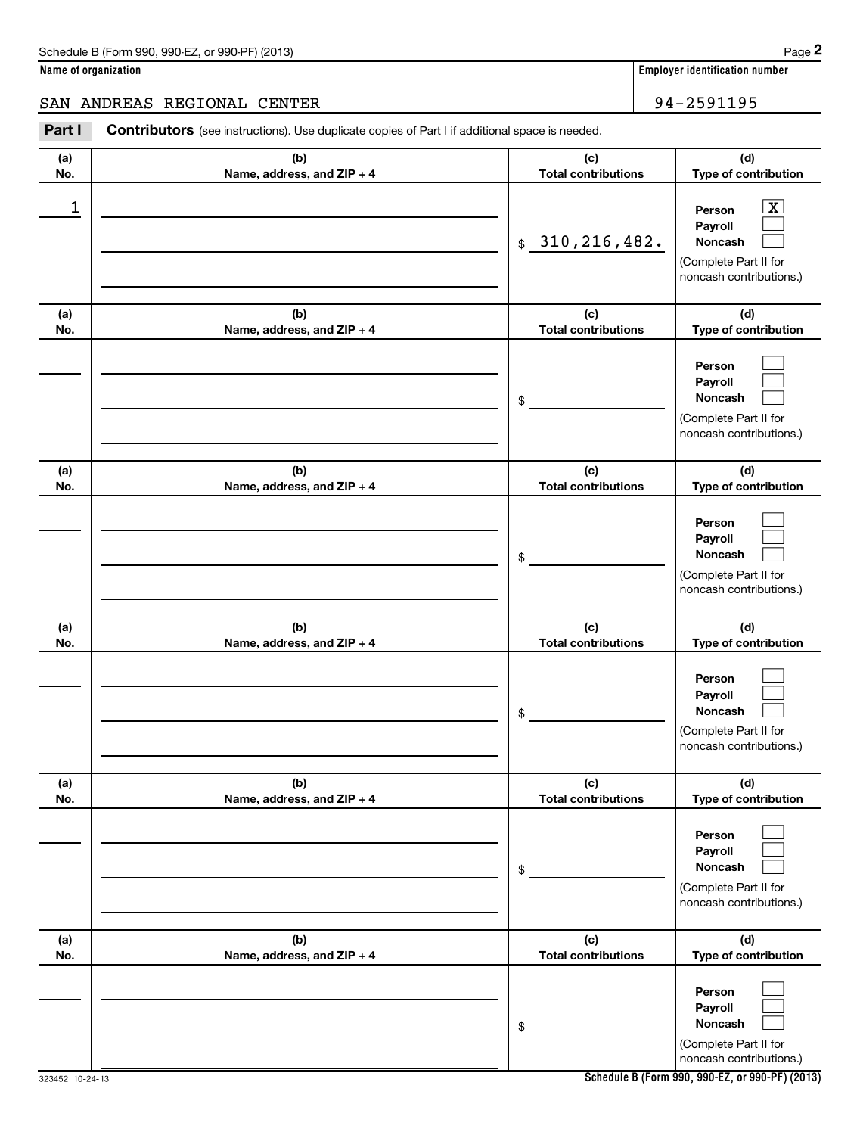**Name of organization Employer identification number**

### SAN ANDREAS REGIONAL CENTER **1998** 194-2591195

Part I Contributors (see instructions). Use duplicate copies of Part I if additional space is needed.

**(a) No. (b) Name, address, and ZIP + 4 (c) Total contributions (d) Type of contribution Person Payroll Noncash (a) No. (b) Name, address, and ZIP + 4 (c) Total contributions (d) Type of contribution Person Payroll Noncash (a) No. (b) Name, address, and ZIP + 4 (c) Total contributions (d) Type of contribution Person Payroll Noncash (a) No. (b) Name, address, and ZIP + 4 (c) Total contributions (d) Type of contribution Person Payroll Noncash (a) No. (b) Name, address, and ZIP + 4 (c) Total contributions (d) Type of contribution Person Payroll Noncash (a) No. (b) Name, address, and ZIP + 4 (c) Total contributions (d) Type of contribution Person Payroll Noncash** \$ (Complete Part II for noncash contributions.) \$ (Complete Part II for noncash contributions.) \$ (Complete Part II for noncash contributions.) \$ (Complete Part II for noncash contributions.) \$ (Complete Part II for noncash contributions.) \$ (Complete Part II for noncash contributions.)  $\overline{\mathbf{x}}$  $\Box$  $\Box$  $\Box$  $\Box$  $\Box$  $\Box$  $\Box$  $\Box$  $\Box$  $\Box$  $\Box$  $\Box$  $\Box$  $\Box$  $\Box$  $\Box$  $\Box$ 1 X 310,216,482.

**Schedule B (Form 990, 990-EZ, or 990-PF) (2013)**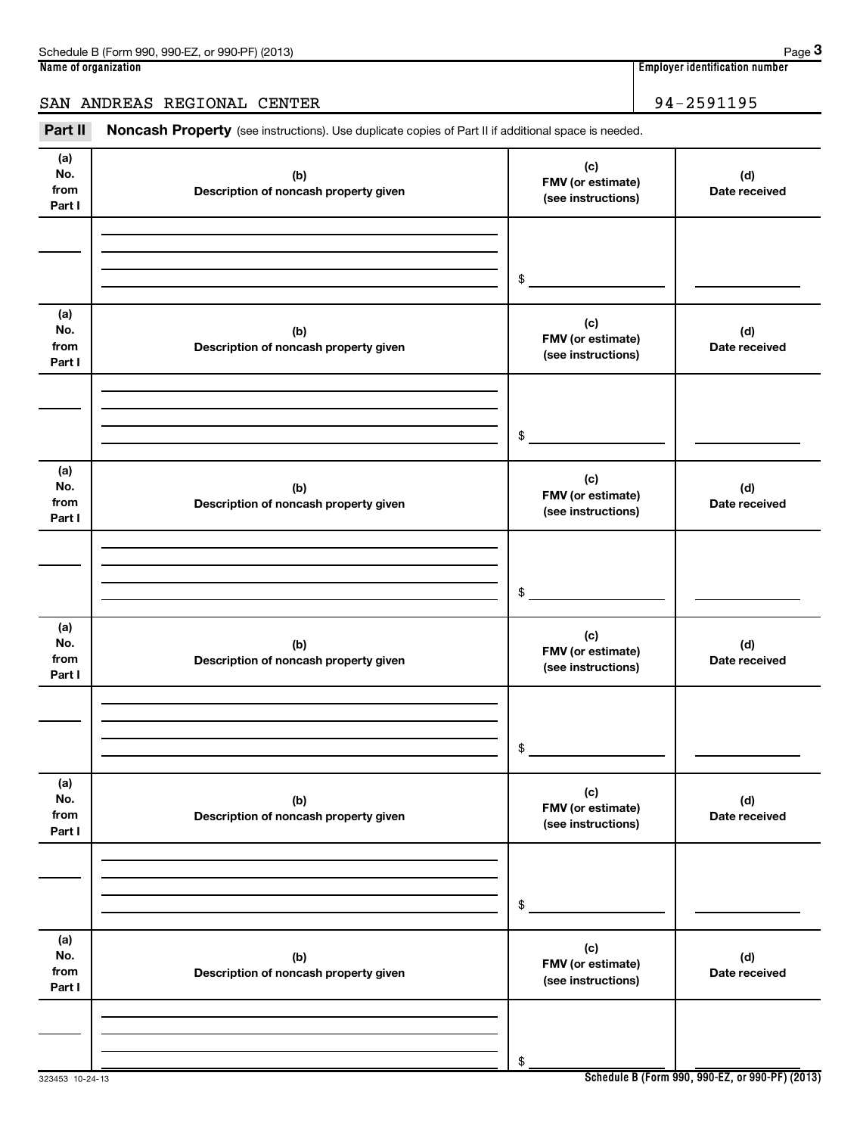| (2013)<br>. 990-EZ<br>Schedule B (Form<br>.990.<br>or 990-PF | Page                                             |
|--------------------------------------------------------------|--------------------------------------------------|
| Name of organization                                         | 1 1 1 1<br>r identification number :<br>Emplover |

**3**

## SAN ANDREAS REGIONAL CENTER 34-2591195

Part II Noncash Property (see instructions). Use duplicate copies of Part II if additional space is needed.

| (a)<br>No.<br>from<br>Part I | (b)<br>Description of noncash property given | (c)<br>FMV (or estimate)<br>(see instructions) | (d)<br>Date received |
|------------------------------|----------------------------------------------|------------------------------------------------|----------------------|
|                              |                                              |                                                |                      |
|                              |                                              | \$                                             |                      |
|                              |                                              |                                                |                      |
| (a)<br>No.<br>from<br>Part I | (b)<br>Description of noncash property given | (c)<br>FMV (or estimate)<br>(see instructions) | (d)<br>Date received |
|                              |                                              |                                                |                      |
|                              |                                              |                                                |                      |
|                              |                                              | \$                                             |                      |
| (a)<br>No.<br>from<br>Part I | (b)<br>Description of noncash property given | (c)<br>FMV (or estimate)<br>(see instructions) | (d)<br>Date received |
|                              |                                              |                                                |                      |
|                              |                                              |                                                |                      |
|                              |                                              | \$                                             |                      |
| (a)<br>No.<br>from<br>Part I | (b)<br>Description of noncash property given | (c)<br>FMV (or estimate)<br>(see instructions) | (d)<br>Date received |
|                              |                                              |                                                |                      |
|                              |                                              |                                                |                      |
|                              |                                              | \$                                             |                      |
| (a)<br>No.<br>from<br>Part I | (b)<br>Description of noncash property given | (c)<br>FMV (or estimate)<br>(see instructions) | (d)<br>Date received |
|                              |                                              |                                                |                      |
|                              |                                              |                                                |                      |
|                              |                                              | \$                                             |                      |
| (a)<br>No.<br>from<br>Part I | (b)<br>Description of noncash property given | (c)<br>FMV (or estimate)<br>(see instructions) | (d)<br>Date received |
|                              |                                              |                                                |                      |
|                              |                                              |                                                |                      |
|                              |                                              | \$                                             |                      |

323453 10-24-13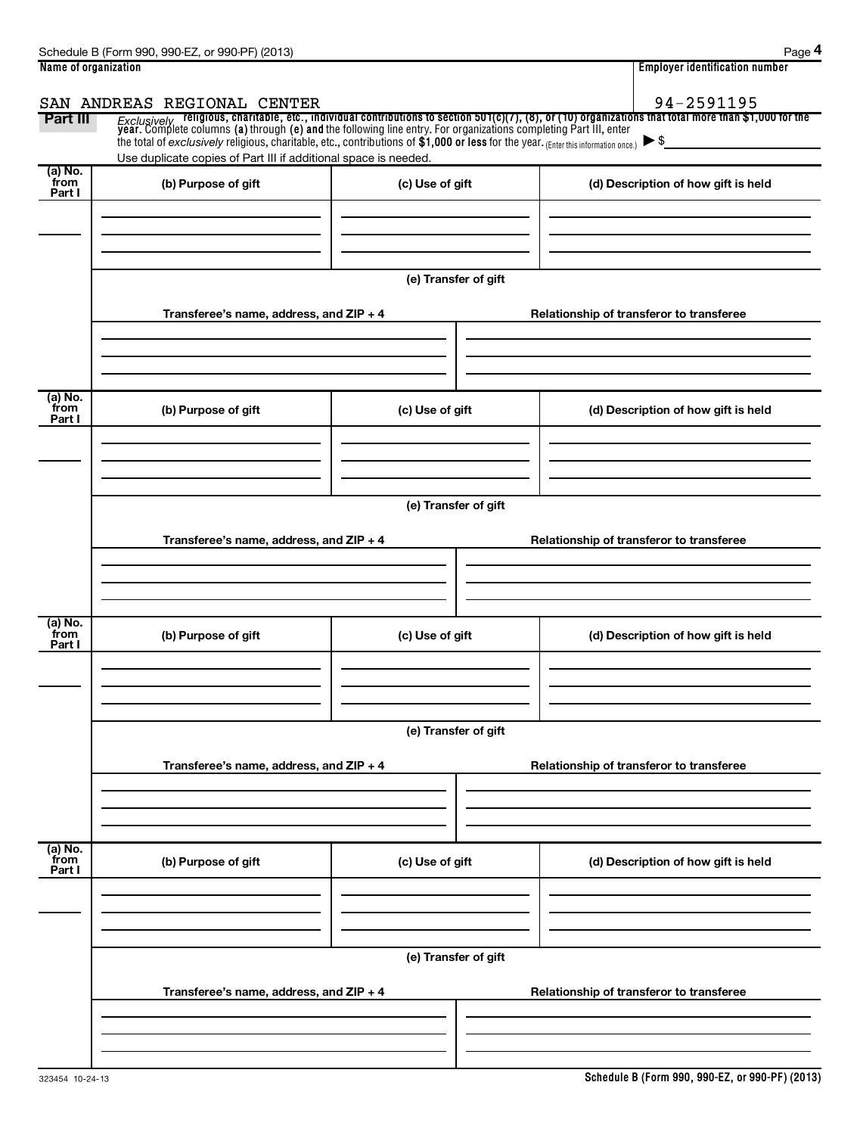| Name of organization      |                                                                                                                                                                                                                            |                      | <b>Employer identification number</b>                                                                                                                                                                                              |
|---------------------------|----------------------------------------------------------------------------------------------------------------------------------------------------------------------------------------------------------------------------|----------------------|------------------------------------------------------------------------------------------------------------------------------------------------------------------------------------------------------------------------------------|
|                           | SAN ANDREAS REGIONAL CENTER                                                                                                                                                                                                |                      | 94-2591195                                                                                                                                                                                                                         |
| Part III                  | the total of exclusively religious, charitable, etc., contributions of \$1,000 or less for the year. (Enter this information once.) $\triangleright$ \$<br>Use duplicate copies of Part III if additional space is needed. |                      | Exclusively religious, charitable, etc., individual contributions to section 501(c)(7), (8), or (10) organizations that total more than \$1,000 for the<br>year. Complete columns (a) through (e) and the following line entry. Fo |
| (a) No.<br>from<br>Part I | (b) Purpose of gift                                                                                                                                                                                                        | (c) Use of gift      | (d) Description of how gift is held                                                                                                                                                                                                |
|                           |                                                                                                                                                                                                                            | (e) Transfer of gift |                                                                                                                                                                                                                                    |
|                           | Transferee's name, address, and ZIP + 4                                                                                                                                                                                    |                      | Relationship of transferor to transferee                                                                                                                                                                                           |
| (a) No.<br>from<br>Part I | (b) Purpose of gift                                                                                                                                                                                                        | (c) Use of gift      | (d) Description of how gift is held                                                                                                                                                                                                |
|                           | Transferee's name, address, and ZIP + 4                                                                                                                                                                                    | (e) Transfer of gift | Relationship of transferor to transferee                                                                                                                                                                                           |
| (a) No.                   |                                                                                                                                                                                                                            |                      |                                                                                                                                                                                                                                    |
| from<br>Part I            | (b) Purpose of gift                                                                                                                                                                                                        | (c) Use of gift      | (d) Description of how gift is held                                                                                                                                                                                                |
|                           |                                                                                                                                                                                                                            | (e) Transfer of gift |                                                                                                                                                                                                                                    |
|                           | Transferee's name, address, and ZIP + 4                                                                                                                                                                                    |                      | Relationship of transferor to transferee                                                                                                                                                                                           |
|                           |                                                                                                                                                                                                                            |                      |                                                                                                                                                                                                                                    |
| (a) No.<br>from<br>Part I | (b) Purpose of gift                                                                                                                                                                                                        | (c) Use of gift      | (d) Description of how gift is held                                                                                                                                                                                                |
|                           |                                                                                                                                                                                                                            | (e) Transfer of gift |                                                                                                                                                                                                                                    |
|                           | Transferee's name, address, and ZIP + 4                                                                                                                                                                                    |                      | Relationship of transferor to transferee                                                                                                                                                                                           |
|                           |                                                                                                                                                                                                                            |                      |                                                                                                                                                                                                                                    |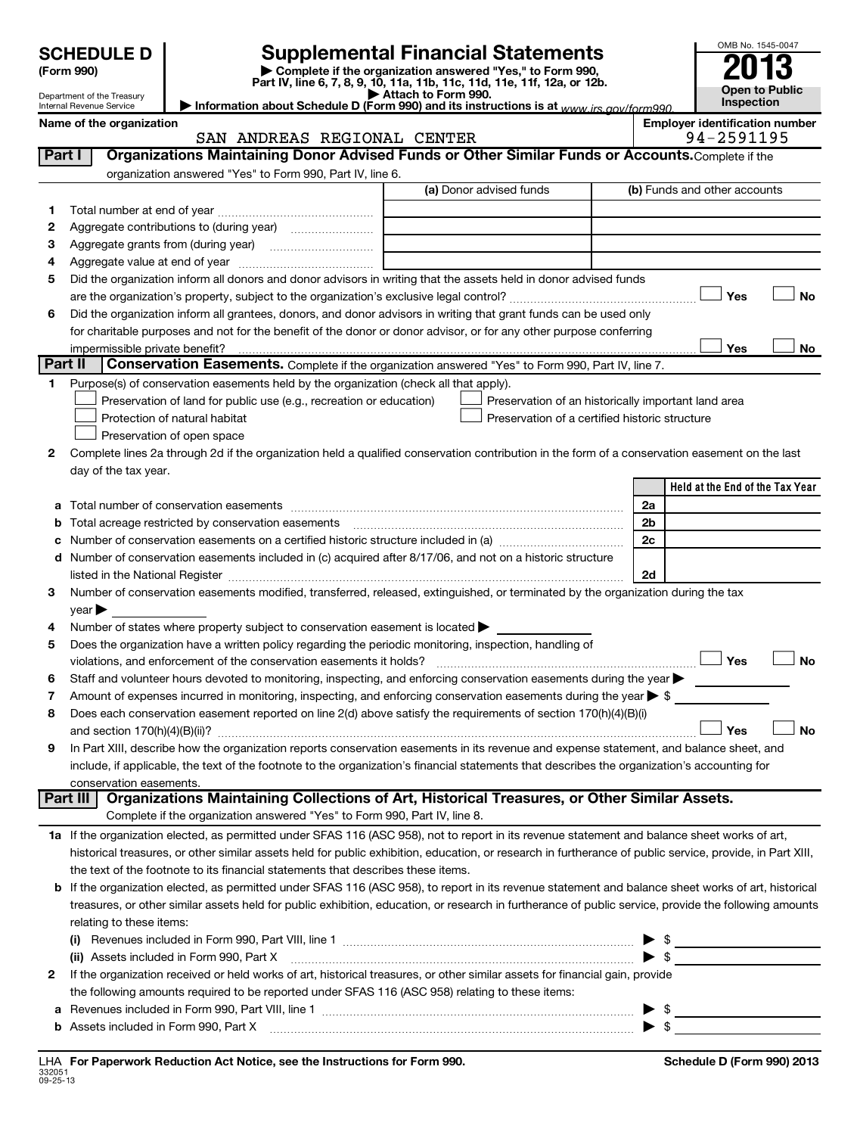**(Form 990) | Complete if the organization answered "Yes," to Form 990, Part IV, line 6, 7, 8, 9, 10, 11a, 11b, 11c, 11d, 11e, 11f, 12a, or 12b. | Attach to Form 990. | Information about Schedule D (Form 990) and its instructions is at**  *www.irs.gov/form990.* **SCHEDULE D Supplemental Financial Statements**<br> **Form 990 2013**<br>
Part IV line 6.7.8.9.10, 11a, 11b, 11d, 11d, 11d, 11d, 11d, 12a, 0r, 12b

| Department of the Treasury |
|----------------------------|
| Internal Revenue Service   |

### Internal Revenue Service

**Open to Public Inspection Employer identification number** 

OMB No. 1545-0047

| <b>Part I</b> Organizations Maintaining |                  |
|-----------------------------------------|------------------|
| Name of the organization                | <b>SAN ANDRE</b> |

94-2591195

| Part I  | Organizations Maintaining Donor Advised Funds or Other Similar Funds or Accounts. Complete if the                                                                                                                             |                                                |                                                     |
|---------|-------------------------------------------------------------------------------------------------------------------------------------------------------------------------------------------------------------------------------|------------------------------------------------|-----------------------------------------------------|
|         | organization answered "Yes" to Form 990, Part IV, line 6.                                                                                                                                                                     |                                                |                                                     |
|         |                                                                                                                                                                                                                               | (a) Donor advised funds                        | (b) Funds and other accounts                        |
| 1       |                                                                                                                                                                                                                               |                                                |                                                     |
| 2       |                                                                                                                                                                                                                               |                                                |                                                     |
| 3       |                                                                                                                                                                                                                               |                                                |                                                     |
| 4       |                                                                                                                                                                                                                               |                                                |                                                     |
| 5       | Did the organization inform all donors and donor advisors in writing that the assets held in donor advised funds                                                                                                              |                                                |                                                     |
|         |                                                                                                                                                                                                                               |                                                | Yes<br>No                                           |
| 6       | Did the organization inform all grantees, donors, and donor advisors in writing that grant funds can be used only                                                                                                             |                                                |                                                     |
|         | for charitable purposes and not for the benefit of the donor or donor advisor, or for any other purpose conferring                                                                                                            |                                                |                                                     |
|         |                                                                                                                                                                                                                               |                                                | Yes<br>No                                           |
| Part II | Conservation Easements. Complete if the organization answered "Yes" to Form 990, Part IV, line 7.                                                                                                                             |                                                |                                                     |
| 1       | Purpose(s) of conservation easements held by the organization (check all that apply).                                                                                                                                         |                                                |                                                     |
|         | Preservation of land for public use (e.g., recreation or education)                                                                                                                                                           |                                                | Preservation of an historically important land area |
|         | Protection of natural habitat                                                                                                                                                                                                 | Preservation of a certified historic structure |                                                     |
|         | Preservation of open space                                                                                                                                                                                                    |                                                |                                                     |
| 2       | Complete lines 2a through 2d if the organization held a qualified conservation contribution in the form of a conservation easement on the last                                                                                |                                                |                                                     |
|         | day of the tax year.                                                                                                                                                                                                          |                                                |                                                     |
|         |                                                                                                                                                                                                                               |                                                | Held at the End of the Tax Year                     |
| а       |                                                                                                                                                                                                                               |                                                | 2a                                                  |
| b       |                                                                                                                                                                                                                               |                                                | 2 <sub>b</sub>                                      |
| с       |                                                                                                                                                                                                                               |                                                | 2c                                                  |
|         | d Number of conservation easements included in (c) acquired after 8/17/06, and not on a historic structure                                                                                                                    |                                                |                                                     |
|         | listed in the National Register [111] Marshall Register [11] Marshall Register [11] Marshall Register [11] Marshall Register [11] Marshall Register [11] Marshall Register [11] Marshall Register [11] Marshall Register [11] |                                                | 2d                                                  |
| з       | Number of conservation easements modified, transferred, released, extinguished, or terminated by the organization during the tax                                                                                              |                                                |                                                     |
|         | year                                                                                                                                                                                                                          |                                                |                                                     |
| 4       | Number of states where property subject to conservation easement is located >                                                                                                                                                 |                                                |                                                     |
| 5       | Does the organization have a written policy regarding the periodic monitoring, inspection, handling of                                                                                                                        |                                                | Yes<br><b>No</b>                                    |
|         | violations, and enforcement of the conservation easements it holds?<br>Staff and volunteer hours devoted to monitoring, inspecting, and enforcing conservation easements during the year                                      |                                                |                                                     |
| 6<br>7  | Amount of expenses incurred in monitoring, inspecting, and enforcing conservation easements during the year $\triangleright$ \$                                                                                               |                                                |                                                     |
| 8       | Does each conservation easement reported on line 2(d) above satisfy the requirements of section 170(h)(4)(B)(i)                                                                                                               |                                                |                                                     |
|         |                                                                                                                                                                                                                               |                                                | <b>No</b><br>Yes                                    |
| 9       | In Part XIII, describe how the organization reports conservation easements in its revenue and expense statement, and balance sheet, and                                                                                       |                                                |                                                     |
|         | include, if applicable, the text of the footnote to the organization's financial statements that describes the organization's accounting for                                                                                  |                                                |                                                     |
|         | conservation easements.                                                                                                                                                                                                       |                                                |                                                     |
|         | Part III   Organizations Maintaining Collections of Art, Historical Treasures, or Other Similar Assets.                                                                                                                       |                                                |                                                     |
|         | Complete if the organization answered "Yes" to Form 990, Part IV, line 8.                                                                                                                                                     |                                                |                                                     |
|         | 1a If the organization elected, as permitted under SFAS 116 (ASC 958), not to report in its revenue statement and balance sheet works of art,                                                                                 |                                                |                                                     |
|         | historical treasures, or other similar assets held for public exhibition, education, or research in furtherance of public service, provide, in Part XIII,                                                                     |                                                |                                                     |
|         | the text of the footnote to its financial statements that describes these items.                                                                                                                                              |                                                |                                                     |
|         | <b>b</b> If the organization elected, as permitted under SFAS 116 (ASC 958), to report in its revenue statement and balance sheet works of art, historical                                                                    |                                                |                                                     |
|         | treasures, or other similar assets held for public exhibition, education, or research in furtherance of public service, provide the following amounts                                                                         |                                                |                                                     |
|         | relating to these items:                                                                                                                                                                                                      |                                                |                                                     |
|         |                                                                                                                                                                                                                               |                                                | $\blacktriangleright$ \$                            |
|         | (ii) Assets included in Form 990, Part X                                                                                                                                                                                      |                                                |                                                     |
| 2       | If the organization received or held works of art, historical treasures, or other similar assets for financial gain, provide                                                                                                  |                                                |                                                     |
|         | the following amounts required to be reported under SFAS 116 (ASC 958) relating to these items:                                                                                                                               |                                                |                                                     |
| а       |                                                                                                                                                                                                                               |                                                | $\blacktriangleright$ \$                            |
|         | <b>b</b> Assets included in Form 990, Part X                                                                                                                                                                                  |                                                | $\blacktriangleright$ \$                            |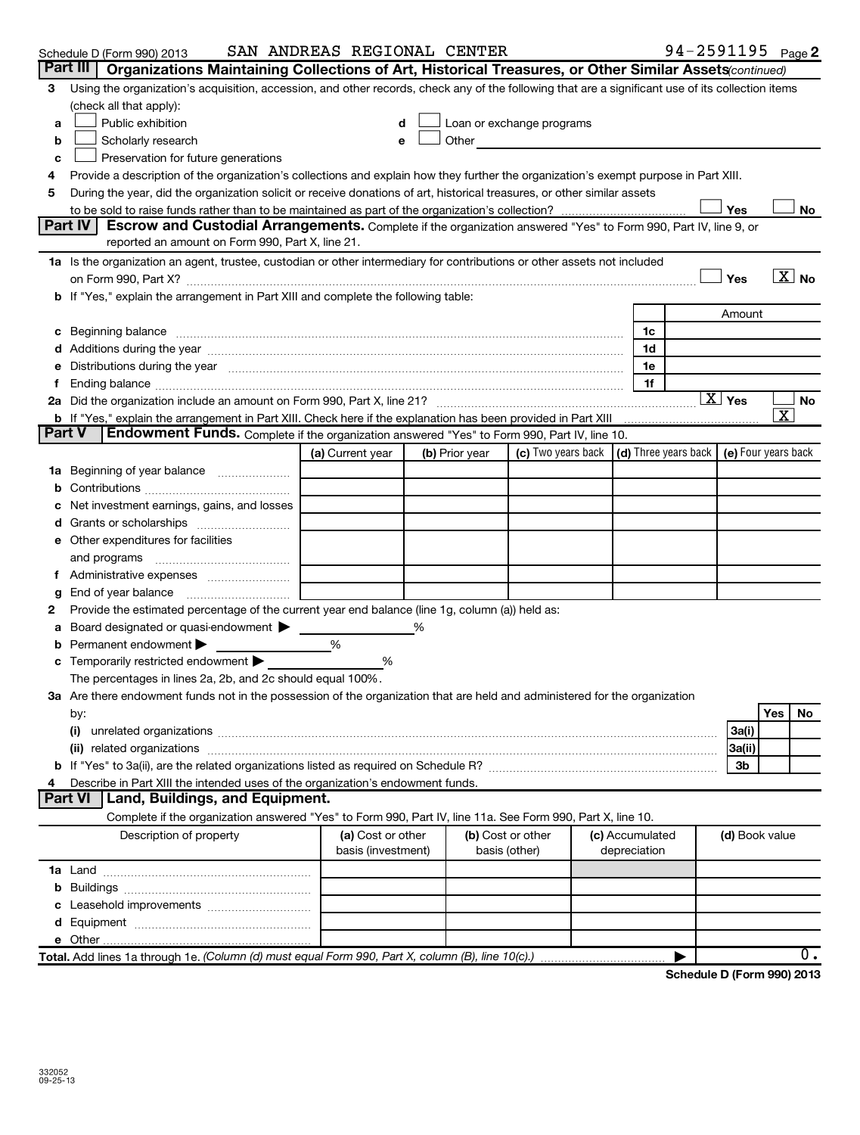|               | Schedule D (Form 990) 2013                                                                                                                                                                                                     | SAN ANDREAS REGIONAL CENTER |   |                |                                                                                                                                                                                                                               |                 |    | 94-2591195 Page 2                                |                        |                       |                   |
|---------------|--------------------------------------------------------------------------------------------------------------------------------------------------------------------------------------------------------------------------------|-----------------------------|---|----------------|-------------------------------------------------------------------------------------------------------------------------------------------------------------------------------------------------------------------------------|-----------------|----|--------------------------------------------------|------------------------|-----------------------|-------------------|
|               | Part III   Organizations Maintaining Collections of Art, Historical Treasures, or Other Similar Assets <i>continued</i> )                                                                                                      |                             |   |                |                                                                                                                                                                                                                               |                 |    |                                                  |                        |                       |                   |
|               | 3 Using the organization's acquisition, accession, and other records, check any of the following that are a significant use of its collection items                                                                            |                             |   |                |                                                                                                                                                                                                                               |                 |    |                                                  |                        |                       |                   |
|               | (check all that apply):                                                                                                                                                                                                        |                             |   |                |                                                                                                                                                                                                                               |                 |    |                                                  |                        |                       |                   |
| a             | Public exhibition                                                                                                                                                                                                              |                             |   |                | Loan or exchange programs                                                                                                                                                                                                     |                 |    |                                                  |                        |                       |                   |
| b             | Scholarly research                                                                                                                                                                                                             | $\mathbf e$                 |   |                | Other and the contract of the contract of the contract of the contract of the contract of the contract of the contract of the contract of the contract of the contract of the contract of the contract of the contract of the |                 |    |                                                  |                        |                       |                   |
| c             | Preservation for future generations                                                                                                                                                                                            |                             |   |                |                                                                                                                                                                                                                               |                 |    |                                                  |                        |                       |                   |
| 4             | Provide a description of the organization's collections and explain how they further the organization's exempt purpose in Part XIII.                                                                                           |                             |   |                |                                                                                                                                                                                                                               |                 |    |                                                  |                        |                       |                   |
| 5             | During the year, did the organization solicit or receive donations of art, historical treasures, or other similar assets                                                                                                       |                             |   |                |                                                                                                                                                                                                                               |                 |    |                                                  |                        |                       |                   |
|               |                                                                                                                                                                                                                                |                             |   |                |                                                                                                                                                                                                                               |                 |    |                                                  | Yes                    |                       | No                |
|               | Part IV<br>Escrow and Custodial Arrangements. Complete if the organization answered "Yes" to Form 990, Part IV, line 9, or                                                                                                     |                             |   |                |                                                                                                                                                                                                                               |                 |    |                                                  |                        |                       |                   |
|               | reported an amount on Form 990, Part X, line 21.                                                                                                                                                                               |                             |   |                |                                                                                                                                                                                                                               |                 |    |                                                  |                        |                       |                   |
|               | 1a Is the organization an agent, trustee, custodian or other intermediary for contributions or other assets not included                                                                                                       |                             |   |                |                                                                                                                                                                                                                               |                 |    |                                                  |                        |                       | $\overline{X}$ No |
|               |                                                                                                                                                                                                                                |                             |   |                |                                                                                                                                                                                                                               |                 |    |                                                  | Yes                    |                       |                   |
|               | b If "Yes," explain the arrangement in Part XIII and complete the following table:                                                                                                                                             |                             |   |                |                                                                                                                                                                                                                               |                 |    |                                                  |                        |                       |                   |
|               |                                                                                                                                                                                                                                |                             |   |                |                                                                                                                                                                                                                               |                 |    |                                                  | Amount                 |                       |                   |
| c             | Beginning balance encourance and account of the contract of the contract of the contract of the contract of the contract of the contract of the contract of the contract of the contract of the contract of the contract of th |                             |   |                |                                                                                                                                                                                                                               |                 | 1c |                                                  |                        |                       |                   |
|               |                                                                                                                                                                                                                                |                             |   |                |                                                                                                                                                                                                                               |                 | 1d |                                                  |                        |                       |                   |
| е             | Distributions during the year manufactured and continuum control of the state of the control of the year manufactured and control of the state of the state of the state of the state of the state of the state of the state o |                             |   |                |                                                                                                                                                                                                                               |                 | 1e |                                                  |                        |                       |                   |
| Ť             |                                                                                                                                                                                                                                |                             |   |                |                                                                                                                                                                                                                               |                 | 1f |                                                  |                        |                       |                   |
|               |                                                                                                                                                                                                                                |                             |   |                |                                                                                                                                                                                                                               |                 |    |                                                  | $\boxed{\text{X}}$ Yes |                       | No                |
|               | b If "Yes," explain the arrangement in Part XIII. Check here if the explanation has been provided in Part XIII                                                                                                                 |                             |   |                |                                                                                                                                                                                                                               |                 |    |                                                  |                        | $\overline{\text{x}}$ |                   |
| <b>Part V</b> | Endowment Funds. Complete if the organization answered "Yes" to Form 990, Part IV, line 10.                                                                                                                                    |                             |   |                |                                                                                                                                                                                                                               |                 |    |                                                  |                        |                       |                   |
|               |                                                                                                                                                                                                                                | (a) Current year            |   | (b) Prior year | (c) Two years back                                                                                                                                                                                                            |                 |    | (d) Three years back $\vert$ (e) Four years back |                        |                       |                   |
|               | 1a Beginning of year balance                                                                                                                                                                                                   |                             |   |                |                                                                                                                                                                                                                               |                 |    |                                                  |                        |                       |                   |
| b             |                                                                                                                                                                                                                                |                             |   |                |                                                                                                                                                                                                                               |                 |    |                                                  |                        |                       |                   |
|               | Net investment earnings, gains, and losses                                                                                                                                                                                     |                             |   |                |                                                                                                                                                                                                                               |                 |    |                                                  |                        |                       |                   |
| d             |                                                                                                                                                                                                                                |                             |   |                |                                                                                                                                                                                                                               |                 |    |                                                  |                        |                       |                   |
|               | <b>e</b> Other expenditures for facilities                                                                                                                                                                                     |                             |   |                |                                                                                                                                                                                                                               |                 |    |                                                  |                        |                       |                   |
|               | and programs                                                                                                                                                                                                                   |                             |   |                |                                                                                                                                                                                                                               |                 |    |                                                  |                        |                       |                   |
| f.            |                                                                                                                                                                                                                                |                             |   |                |                                                                                                                                                                                                                               |                 |    |                                                  |                        |                       |                   |
| g             |                                                                                                                                                                                                                                |                             |   |                |                                                                                                                                                                                                                               |                 |    |                                                  |                        |                       |                   |
| 2             | Provide the estimated percentage of the current year end balance (line 1g, column (a)) held as:                                                                                                                                |                             |   |                |                                                                                                                                                                                                                               |                 |    |                                                  |                        |                       |                   |
| a             | Board designated or quasi-endowment                                                                                                                                                                                            |                             | % |                |                                                                                                                                                                                                                               |                 |    |                                                  |                        |                       |                   |
| b             | Permanent endowment                                                                                                                                                                                                            | %                           |   |                |                                                                                                                                                                                                                               |                 |    |                                                  |                        |                       |                   |
| с             | Temporarily restricted endowment                                                                                                                                                                                               | %                           |   |                |                                                                                                                                                                                                                               |                 |    |                                                  |                        |                       |                   |
|               | The percentages in lines 2a, 2b, and 2c should equal 100%.                                                                                                                                                                     |                             |   |                |                                                                                                                                                                                                                               |                 |    |                                                  |                        |                       |                   |
|               | 3a Are there endowment funds not in the possession of the organization that are held and administered for the organization                                                                                                     |                             |   |                |                                                                                                                                                                                                                               |                 |    |                                                  |                        |                       |                   |
|               | by:                                                                                                                                                                                                                            |                             |   |                |                                                                                                                                                                                                                               |                 |    |                                                  |                        | Yes                   | No                |
|               | (i)                                                                                                                                                                                                                            |                             |   |                |                                                                                                                                                                                                                               |                 |    |                                                  | 3a(i)                  |                       |                   |
|               | (ii) related organizations [111] matter and the contract of the contract of the contract of the contract of the contract of the contract of the contract of the contract of the contract of the contract of the contract of th |                             |   |                |                                                                                                                                                                                                                               |                 |    |                                                  | 3a(ii)                 |                       |                   |
| b             |                                                                                                                                                                                                                                |                             |   |                |                                                                                                                                                                                                                               |                 |    |                                                  | 3b                     |                       |                   |
| 4             | Describe in Part XIII the intended uses of the organization's endowment funds.                                                                                                                                                 |                             |   |                |                                                                                                                                                                                                                               |                 |    |                                                  |                        |                       |                   |
|               | Part VI<br><b>Land, Buildings, and Equipment.</b>                                                                                                                                                                              |                             |   |                |                                                                                                                                                                                                                               |                 |    |                                                  |                        |                       |                   |
|               | Complete if the organization answered "Yes" to Form 990, Part IV, line 11a. See Form 990, Part X, line 10.                                                                                                                     |                             |   |                |                                                                                                                                                                                                                               |                 |    |                                                  |                        |                       |                   |
|               | Description of property                                                                                                                                                                                                        | (a) Cost or other           |   |                | (b) Cost or other                                                                                                                                                                                                             | (c) Accumulated |    |                                                  | (d) Book value         |                       |                   |
|               |                                                                                                                                                                                                                                | basis (investment)          |   |                | basis (other)                                                                                                                                                                                                                 | depreciation    |    |                                                  |                        |                       |                   |
|               |                                                                                                                                                                                                                                |                             |   |                |                                                                                                                                                                                                                               |                 |    |                                                  |                        |                       |                   |
| b             |                                                                                                                                                                                                                                |                             |   |                |                                                                                                                                                                                                                               |                 |    |                                                  |                        |                       |                   |
| c             | Leasehold improvements                                                                                                                                                                                                         |                             |   |                |                                                                                                                                                                                                                               |                 |    |                                                  |                        |                       |                   |
| d             |                                                                                                                                                                                                                                |                             |   |                |                                                                                                                                                                                                                               |                 |    |                                                  |                        |                       |                   |
|               |                                                                                                                                                                                                                                |                             |   |                |                                                                                                                                                                                                                               |                 |    |                                                  |                        |                       |                   |
|               | Total. Add lines 1a through 1e. (Column (d) must equal Form 990, Part X, column (B), line 10(c).)                                                                                                                              |                             |   |                |                                                                                                                                                                                                                               |                 |    |                                                  |                        |                       | ο.                |
|               |                                                                                                                                                                                                                                |                             |   |                |                                                                                                                                                                                                                               |                 |    | Schodule D (Form 990) 2013                       |                        |                       |                   |

**Schedule D (Form 990) 2013**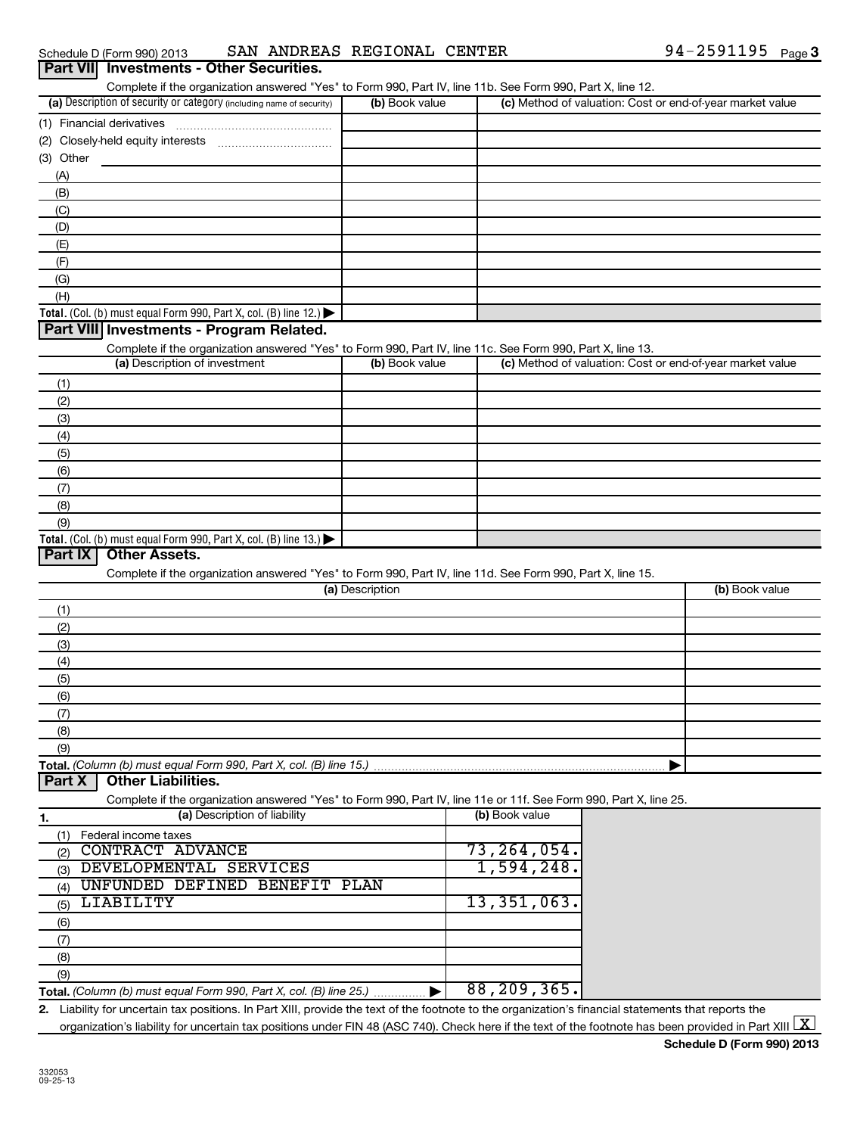Schedule D (Form 990) 2013 SAN\_ANDREAS\_REGIONAL\_CENTER 94-Z59II95 Page SAN ANDREAS REGIONAL CENTER

| (1) Financial derivatives | Complete if the organization answered "Yes" to Form 990, Part IV, line 11b. See Form 990, Part X, line 12.<br>(a) Description of security or category (including name of security) |                       |                                                           |                |
|---------------------------|------------------------------------------------------------------------------------------------------------------------------------------------------------------------------------|-----------------------|-----------------------------------------------------------|----------------|
|                           |                                                                                                                                                                                    | (b) Book value        | (c) Method of valuation: Cost or end-of-year market value |                |
|                           |                                                                                                                                                                                    |                       |                                                           |                |
|                           |                                                                                                                                                                                    |                       |                                                           |                |
| (3) Other                 |                                                                                                                                                                                    |                       |                                                           |                |
| (A)                       |                                                                                                                                                                                    |                       |                                                           |                |
| (B)                       |                                                                                                                                                                                    |                       |                                                           |                |
| (C)                       |                                                                                                                                                                                    |                       |                                                           |                |
| (D)                       |                                                                                                                                                                                    |                       |                                                           |                |
| (E)                       |                                                                                                                                                                                    |                       |                                                           |                |
| (F)                       |                                                                                                                                                                                    |                       |                                                           |                |
| (G)                       |                                                                                                                                                                                    |                       |                                                           |                |
| (H)                       |                                                                                                                                                                                    |                       |                                                           |                |
|                           | Total. (Col. (b) must equal Form 990, Part X, col. (B) line 12.) $\blacktriangleright$                                                                                             |                       |                                                           |                |
|                           | Part VIII Investments - Program Related.                                                                                                                                           |                       |                                                           |                |
|                           | Complete if the organization answered "Yes" to Form 990, Part IV, line 11c. See Form 990, Part X, line 13.                                                                         |                       |                                                           |                |
|                           | (a) Description of investment                                                                                                                                                      | (b) Book value        | (c) Method of valuation: Cost or end-of-year market value |                |
| (1)                       |                                                                                                                                                                                    |                       |                                                           |                |
| (2)                       |                                                                                                                                                                                    |                       |                                                           |                |
| (3)                       |                                                                                                                                                                                    |                       |                                                           |                |
| (4)                       |                                                                                                                                                                                    |                       |                                                           |                |
| (5)                       |                                                                                                                                                                                    |                       |                                                           |                |
| (6)                       |                                                                                                                                                                                    |                       |                                                           |                |
| (7)                       |                                                                                                                                                                                    |                       |                                                           |                |
| (8)                       |                                                                                                                                                                                    |                       |                                                           |                |
| (9)                       |                                                                                                                                                                                    |                       |                                                           |                |
| Part IX                   | Total. (Col. (b) must equal Form 990, Part X, col. (B) line $13$ .)<br><b>Other Assets.</b>                                                                                        |                       |                                                           |                |
|                           | Complete if the organization answered "Yes" to Form 990, Part IV, line 11d. See Form 990, Part X, line 15.                                                                         |                       |                                                           |                |
|                           |                                                                                                                                                                                    | (a) Description       |                                                           | (b) Book value |
| (1)                       |                                                                                                                                                                                    |                       |                                                           |                |
| (2)                       |                                                                                                                                                                                    |                       |                                                           |                |
| (3)                       |                                                                                                                                                                                    |                       |                                                           |                |
| (4)                       |                                                                                                                                                                                    |                       |                                                           |                |
| (5)                       |                                                                                                                                                                                    |                       |                                                           |                |
| (6)                       |                                                                                                                                                                                    |                       |                                                           |                |
| (7)                       |                                                                                                                                                                                    |                       |                                                           |                |
| (8)                       |                                                                                                                                                                                    |                       |                                                           |                |
| (9)                       |                                                                                                                                                                                    |                       |                                                           |                |
|                           | Total. (Column (b) must equal Form 990, Part X, col. (B) line 15.)                                                                                                                 |                       |                                                           |                |
| Part X                    | <b>Other Liabilities.</b>                                                                                                                                                          |                       |                                                           |                |
|                           | Complete if the organization answered "Yes" to Form 990, Part IV, line 11e or 11f. See Form 990, Part X, line 25.                                                                  |                       |                                                           |                |
| <u>1.</u>                 | (a) Description of liability                                                                                                                                                       |                       | (b) Book value                                            |                |
| (1)                       | Federal income taxes                                                                                                                                                               |                       |                                                           |                |
| (2)                       | <b>CONTRACT ADVANCE</b>                                                                                                                                                            |                       | 73, 264, 054.                                             |                |
| (3)                       | DEVELOPMENTAL SERVICES                                                                                                                                                             |                       | 1,594,248.                                                |                |
| (4)                       | UNFUNDED DEFINED BENEFIT PLAN                                                                                                                                                      |                       |                                                           |                |
| (5)                       | LIABILITY                                                                                                                                                                          |                       | 13,351,063.                                               |                |
| (6)                       |                                                                                                                                                                                    |                       |                                                           |                |
| (7)                       |                                                                                                                                                                                    |                       |                                                           |                |
| (8)                       |                                                                                                                                                                                    |                       |                                                           |                |
| (9)                       |                                                                                                                                                                                    |                       |                                                           |                |
|                           | Total. (Column (b) must equal Form 990, Part X, col. (B) line 25.)                                                                                                                 | $\blacktriangleright$ | 88, 209, 365.                                             |                |

**Schedule D (Form 990) 2013** organization's liability for uncertain tax positions under FIN 48 (ASC 740). Check here if the text of the footnote has been provided in Part XIII  $\boxed{\text{X}}$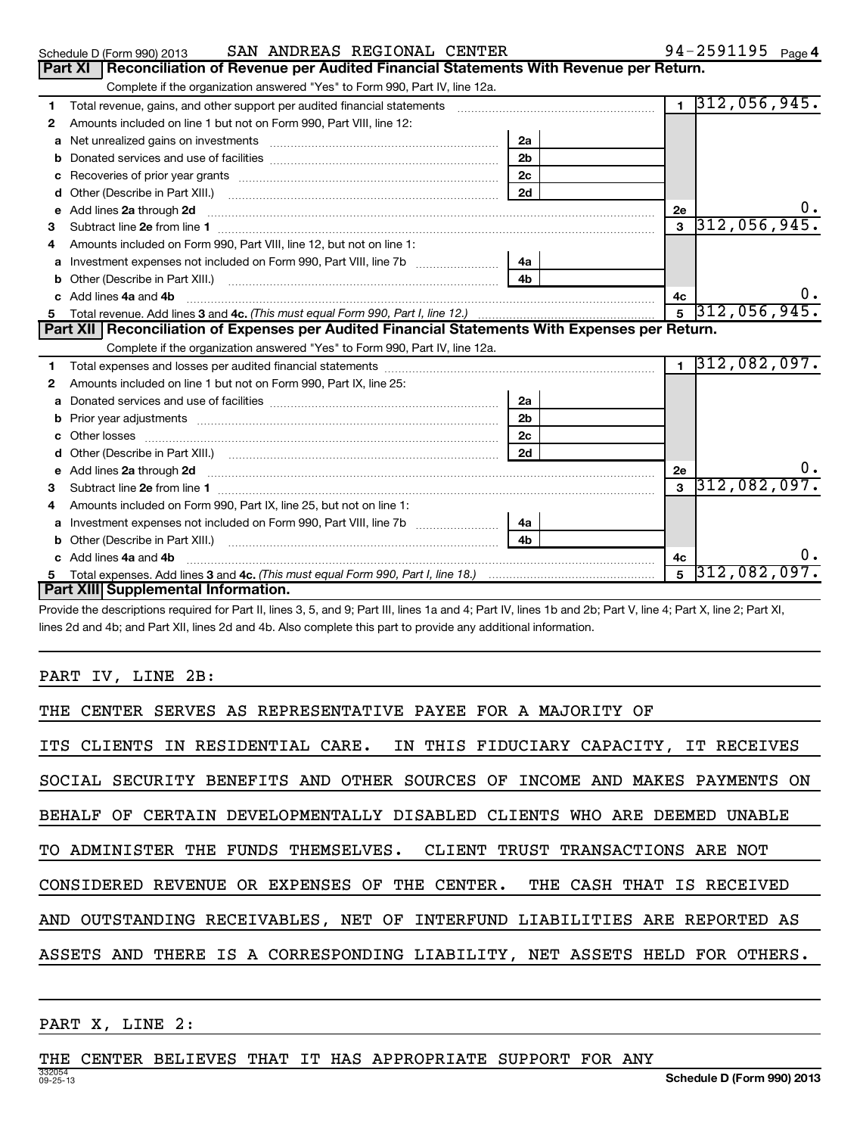|   | <b>Part XI</b><br>Reconciliation of Revenue per Audited Financial Statements With Revenue per Return.                    |                |                |                             |
|---|--------------------------------------------------------------------------------------------------------------------------|----------------|----------------|-----------------------------|
|   | Complete if the organization answered "Yes" to Form 990, Part IV, line 12a.                                              |                |                |                             |
| 1 | Total revenue, gains, and other support per audited financial statements [[[[[[[[[[[[[[[[[[[[[[[[[]]]]]]]]]]]            |                | $\mathbf{1}$   | [312, 056, 945.             |
| 2 | Amounts included on line 1 but not on Form 990, Part VIII, line 12:                                                      |                |                |                             |
| a |                                                                                                                          | 2a             |                |                             |
| b |                                                                                                                          | 2 <sub>b</sub> |                |                             |
|   |                                                                                                                          | 2 <sub>c</sub> |                |                             |
| d | Other (Describe in Part XIII.) <b>Construction Contract Construction</b> Chern Construction Construction Construction    | 2d             |                |                             |
| е |                                                                                                                          |                | 2е             | υ.                          |
|   |                                                                                                                          |                | $\overline{3}$ | 312,056,945.                |
| 4 | Amounts included on Form 990, Part VIII, line 12, but not on line 1:                                                     |                |                |                             |
| а | Investment expenses not included on Form 990, Part VIII, line 7b [                                                       | 4a             |                |                             |
|   |                                                                                                                          | 4 <sub>b</sub> |                |                             |
|   | Add lines 4a and 4b                                                                                                      |                | 4c             | υ.                          |
| 5 |                                                                                                                          |                |                | $5\overline{)312,056,945.}$ |
|   | Part XII   Reconciliation of Expenses per Audited Financial Statements With Expenses per Return.                         |                |                |                             |
|   | Complete if the organization answered "Yes" to Form 990, Part IV, line 12a.                                              |                |                |                             |
| 1 |                                                                                                                          |                | $\mathbf{1}$   | 312,082,097.                |
| 2 | Amounts included on line 1 but not on Form 990, Part IX, line 25:                                                        |                |                |                             |
| a |                                                                                                                          | 2a             |                |                             |
|   | Prior year adjustments [ www.communications of the contract of the contract of the contract of the contract of           | 2 <sub>b</sub> |                |                             |
|   |                                                                                                                          | 2c             |                |                             |
| d |                                                                                                                          | 2d             |                |                             |
| е |                                                                                                                          |                | 2е             | 0.                          |
| з | Add lines 2a through 2d <b>must be a constructed as the constant of the constant of the constant of the construction</b> |                |                |                             |
|   |                                                                                                                          |                | $\mathbf{a}$   | 312,082,097.                |
| 4 | Amounts included on Form 990, Part IX, line 25, but not on line 1:                                                       |                |                |                             |
| a |                                                                                                                          | 4a             |                |                             |
| b |                                                                                                                          | 4 <sub>b</sub> |                |                             |
|   | Add lines 4a and 4b                                                                                                      |                | 4с             |                             |
|   | Part XIII Supplemental Information.                                                                                      |                | $\overline{5}$ | $ 312,082,097$ .            |

Schedule D (Form 990) 2013 **SAN ANDREAS REGIONAL CENTER** 94-2591195 <sub>Page</sub>

Provide the descriptions required for Part II, lines 3, 5, and 9; Part III, lines 1a and 4; Part IV, lines 1b and 2b; Part V, line 4; Part X, line 2; Part XI, lines 2d and 4b; and Part XII, lines 2d and 4b. Also complete this part to provide any additional information.

PART IV, LINE 2B:

PART X, LINE 2:

### THE CENTER BELIEVES THAT IT HAS APPROPRIATE SUPPORT FOR ANY

94-2591195 <sub>Page</sub> 4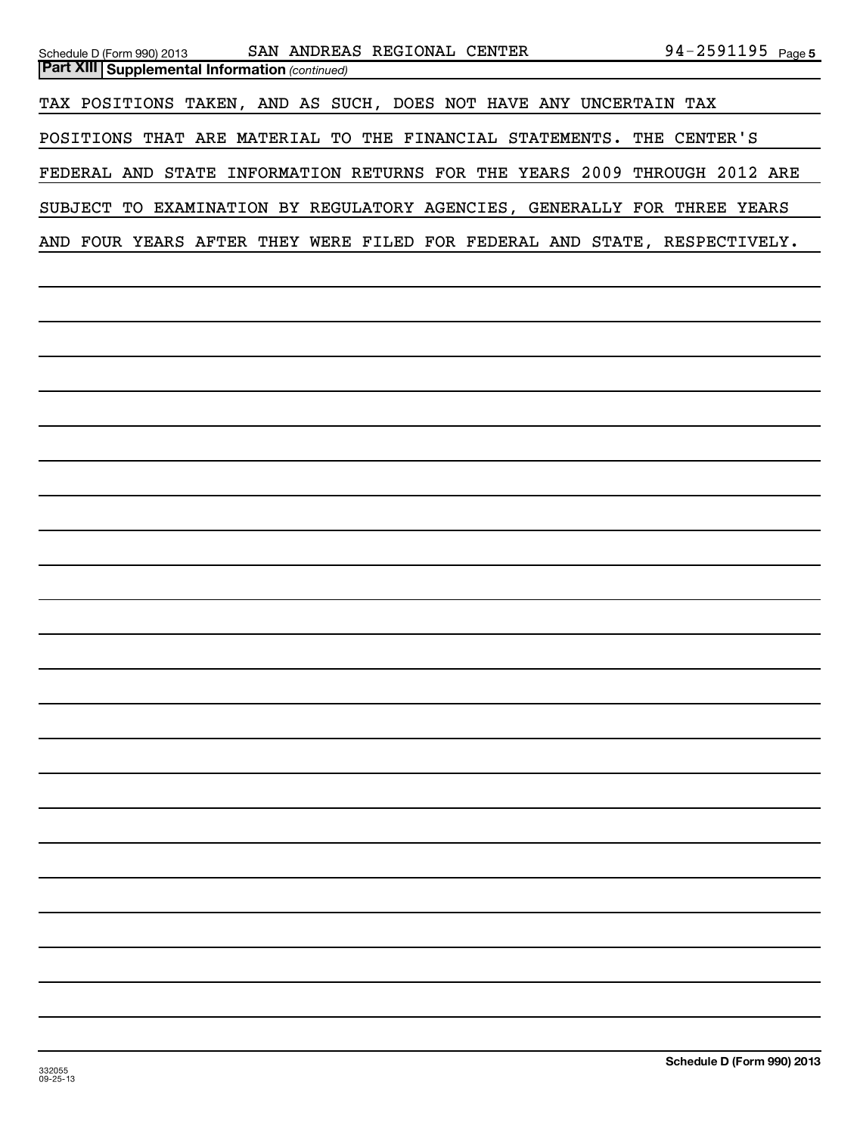| SAN ANDREAS REGIONAL CENTER<br>Schedule D (Form 990) 2013<br><b>Part XIII   Supplemental Information (continued)</b> | 94-2591195 Page 5 |
|----------------------------------------------------------------------------------------------------------------------|-------------------|
| TAX POSITIONS TAKEN, AND AS SUCH, DOES NOT HAVE ANY UNCERTAIN TAX                                                    |                   |
| POSITIONS THAT ARE MATERIAL TO THE FINANCIAL STATEMENTS. THE CENTER'S                                                |                   |
| FEDERAL AND STATE INFORMATION RETURNS FOR THE YEARS 2009 THROUGH 2012 ARE                                            |                   |
| SUBJECT TO EXAMINATION BY REGULATORY AGENCIES, GENERALLY FOR THREE YEARS                                             |                   |
| AND FOUR YEARS AFTER THEY WERE FILED FOR FEDERAL AND STATE, RESPECTIVELY.                                            |                   |
|                                                                                                                      |                   |
|                                                                                                                      |                   |
|                                                                                                                      |                   |
|                                                                                                                      |                   |
|                                                                                                                      |                   |
|                                                                                                                      |                   |
|                                                                                                                      |                   |
|                                                                                                                      |                   |
|                                                                                                                      |                   |
|                                                                                                                      |                   |
|                                                                                                                      |                   |
|                                                                                                                      |                   |
|                                                                                                                      |                   |
|                                                                                                                      |                   |
|                                                                                                                      |                   |
|                                                                                                                      |                   |
|                                                                                                                      |                   |
|                                                                                                                      |                   |
|                                                                                                                      |                   |
|                                                                                                                      |                   |
|                                                                                                                      |                   |
|                                                                                                                      |                   |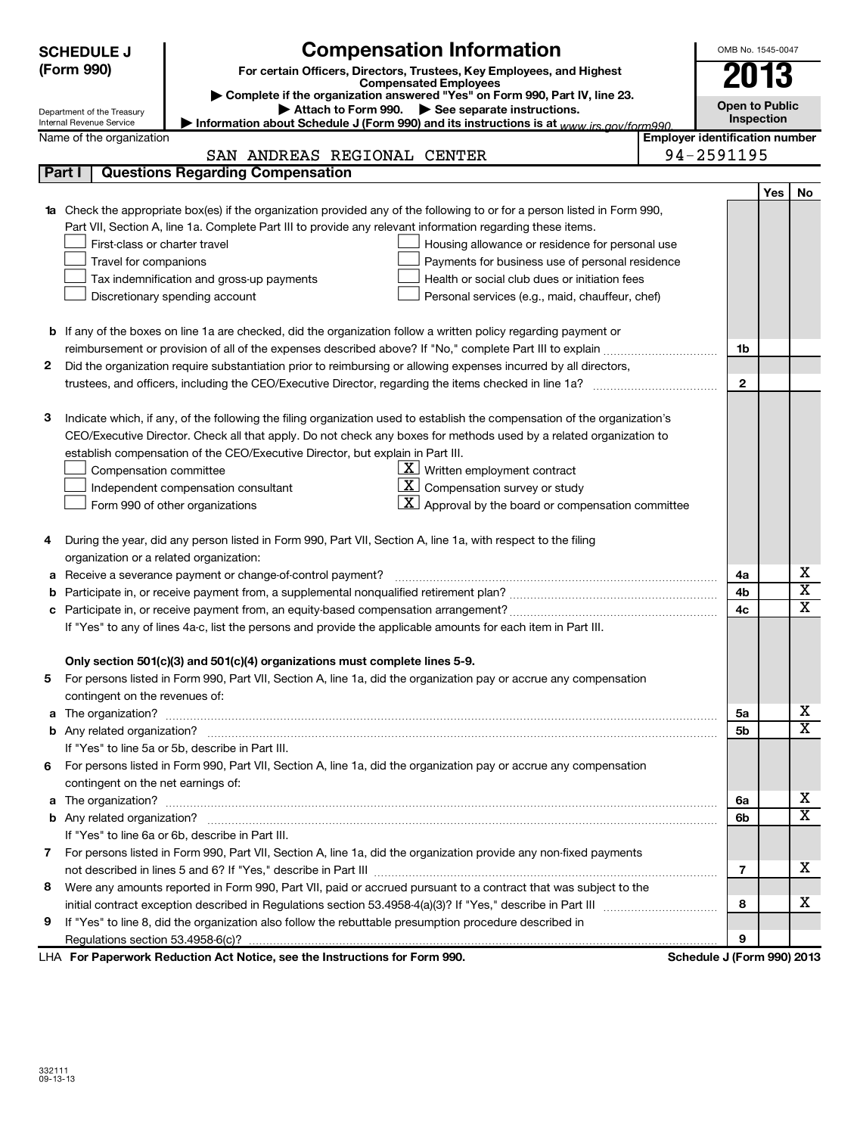| <b>Compensation Information</b><br><b>SCHEDULE J</b><br>(Form 990)<br>For certain Officers, Directors, Trustees, Key Employees, and Highest<br><b>Compensated Employees</b><br>Complete if the organization answered "Yes" on Form 990, Part IV, line 23. |                                                                                                                                                                                                                                                                                                                                                                                                                                                                                                                                                                                                                               |                            |                                       | OMB No. 1545-0047<br>2013<br><b>Open to Public</b> |                         |  |  |  |  |
|-----------------------------------------------------------------------------------------------------------------------------------------------------------------------------------------------------------------------------------------------------------|-------------------------------------------------------------------------------------------------------------------------------------------------------------------------------------------------------------------------------------------------------------------------------------------------------------------------------------------------------------------------------------------------------------------------------------------------------------------------------------------------------------------------------------------------------------------------------------------------------------------------------|----------------------------|---------------------------------------|----------------------------------------------------|-------------------------|--|--|--|--|
|                                                                                                                                                                                                                                                           | Attach to Form 990. See separate instructions.<br>Department of the Treasury<br>Internal Revenue Service<br>Information about Schedule J (Form 990) and its instructions is at www irs gov/form990                                                                                                                                                                                                                                                                                                                                                                                                                            |                            | Inspection                            |                                                    |                         |  |  |  |  |
|                                                                                                                                                                                                                                                           | Name of the organization                                                                                                                                                                                                                                                                                                                                                                                                                                                                                                                                                                                                      |                            | <b>Employer identification number</b> |                                                    |                         |  |  |  |  |
|                                                                                                                                                                                                                                                           | SAN ANDREAS REGIONAL CENTER                                                                                                                                                                                                                                                                                                                                                                                                                                                                                                                                                                                                   | 94-2591195                 |                                       |                                                    |                         |  |  |  |  |
|                                                                                                                                                                                                                                                           | Part I<br><b>Questions Regarding Compensation</b>                                                                                                                                                                                                                                                                                                                                                                                                                                                                                                                                                                             |                            |                                       |                                                    |                         |  |  |  |  |
|                                                                                                                                                                                                                                                           |                                                                                                                                                                                                                                                                                                                                                                                                                                                                                                                                                                                                                               |                            |                                       | Yes                                                | No                      |  |  |  |  |
| 1a                                                                                                                                                                                                                                                        | Check the appropriate box(es) if the organization provided any of the following to or for a person listed in Form 990,<br>Part VII, Section A, line 1a. Complete Part III to provide any relevant information regarding these items.<br>First-class or charter travel<br>Housing allowance or residence for personal use<br>Travel for companions<br>Payments for business use of personal residence<br>Tax indemnification and gross-up payments<br>Health or social club dues or initiation fees<br>Discretionary spending account<br>Personal services (e.g., maid, chauffeur, chef)                                       |                            |                                       |                                                    |                         |  |  |  |  |
|                                                                                                                                                                                                                                                           | <b>b</b> If any of the boxes on line 1a are checked, did the organization follow a written policy regarding payment or                                                                                                                                                                                                                                                                                                                                                                                                                                                                                                        |                            |                                       |                                                    |                         |  |  |  |  |
|                                                                                                                                                                                                                                                           |                                                                                                                                                                                                                                                                                                                                                                                                                                                                                                                                                                                                                               |                            | 1b                                    |                                                    |                         |  |  |  |  |
| 2                                                                                                                                                                                                                                                         | Did the organization require substantiation prior to reimbursing or allowing expenses incurred by all directors,                                                                                                                                                                                                                                                                                                                                                                                                                                                                                                              |                            |                                       |                                                    |                         |  |  |  |  |
|                                                                                                                                                                                                                                                           |                                                                                                                                                                                                                                                                                                                                                                                                                                                                                                                                                                                                                               |                            | $\overline{2}$                        |                                                    |                         |  |  |  |  |
|                                                                                                                                                                                                                                                           |                                                                                                                                                                                                                                                                                                                                                                                                                                                                                                                                                                                                                               |                            |                                       |                                                    |                         |  |  |  |  |
| З                                                                                                                                                                                                                                                         | Indicate which, if any, of the following the filing organization used to establish the compensation of the organization's<br>CEO/Executive Director. Check all that apply. Do not check any boxes for methods used by a related organization to<br>establish compensation of the CEO/Executive Director, but explain in Part III.<br>$\lfloor \underline{X} \rfloor$ Written employment contract<br>Compensation committee<br>$\mathbf{X}$ Compensation survey or study<br>Independent compensation consultant<br>$\vert \mathbf{X} \vert$ Approval by the board or compensation committee<br>Form 990 of other organizations |                            |                                       |                                                    |                         |  |  |  |  |
| 4                                                                                                                                                                                                                                                         | During the year, did any person listed in Form 990, Part VII, Section A, line 1a, with respect to the filing<br>organization or a related organization:                                                                                                                                                                                                                                                                                                                                                                                                                                                                       |                            |                                       |                                                    |                         |  |  |  |  |
| а                                                                                                                                                                                                                                                         | Receive a severance payment or change-of-control payment?                                                                                                                                                                                                                                                                                                                                                                                                                                                                                                                                                                     |                            | 4a                                    |                                                    | х                       |  |  |  |  |
| b                                                                                                                                                                                                                                                         |                                                                                                                                                                                                                                                                                                                                                                                                                                                                                                                                                                                                                               |                            | 4 <sub>b</sub>                        |                                                    | $\overline{\textbf{x}}$ |  |  |  |  |
| c                                                                                                                                                                                                                                                         |                                                                                                                                                                                                                                                                                                                                                                                                                                                                                                                                                                                                                               |                            | 4c                                    |                                                    | $\overline{\mathtt{x}}$ |  |  |  |  |
|                                                                                                                                                                                                                                                           | If "Yes" to any of lines 4a-c, list the persons and provide the applicable amounts for each item in Part III.                                                                                                                                                                                                                                                                                                                                                                                                                                                                                                                 |                            |                                       |                                                    |                         |  |  |  |  |
|                                                                                                                                                                                                                                                           | Only section 501(c)(3) and 501(c)(4) organizations must complete lines 5-9.<br>For persons listed in Form 990, Part VII, Section A, line 1a, did the organization pay or accrue any compensation                                                                                                                                                                                                                                                                                                                                                                                                                              |                            |                                       |                                                    |                         |  |  |  |  |
|                                                                                                                                                                                                                                                           | contingent on the revenues of:                                                                                                                                                                                                                                                                                                                                                                                                                                                                                                                                                                                                |                            |                                       |                                                    |                         |  |  |  |  |
|                                                                                                                                                                                                                                                           |                                                                                                                                                                                                                                                                                                                                                                                                                                                                                                                                                                                                                               |                            | 5а                                    |                                                    | х                       |  |  |  |  |
|                                                                                                                                                                                                                                                           |                                                                                                                                                                                                                                                                                                                                                                                                                                                                                                                                                                                                                               |                            | 5b                                    |                                                    | $\overline{\mathbf{X}}$ |  |  |  |  |
|                                                                                                                                                                                                                                                           | If "Yes" to line 5a or 5b, describe in Part III.                                                                                                                                                                                                                                                                                                                                                                                                                                                                                                                                                                              |                            |                                       |                                                    |                         |  |  |  |  |
| 6                                                                                                                                                                                                                                                         | For persons listed in Form 990, Part VII, Section A, line 1a, did the organization pay or accrue any compensation                                                                                                                                                                                                                                                                                                                                                                                                                                                                                                             |                            |                                       |                                                    |                         |  |  |  |  |
|                                                                                                                                                                                                                                                           | contingent on the net earnings of:                                                                                                                                                                                                                                                                                                                                                                                                                                                                                                                                                                                            |                            |                                       |                                                    |                         |  |  |  |  |
|                                                                                                                                                                                                                                                           |                                                                                                                                                                                                                                                                                                                                                                                                                                                                                                                                                                                                                               |                            | 6а                                    |                                                    | X                       |  |  |  |  |
|                                                                                                                                                                                                                                                           |                                                                                                                                                                                                                                                                                                                                                                                                                                                                                                                                                                                                                               |                            | 6b                                    |                                                    | $\overline{\textbf{X}}$ |  |  |  |  |
|                                                                                                                                                                                                                                                           | If "Yes" to line 6a or 6b, describe in Part III.                                                                                                                                                                                                                                                                                                                                                                                                                                                                                                                                                                              |                            |                                       |                                                    |                         |  |  |  |  |
|                                                                                                                                                                                                                                                           | 7 For persons listed in Form 990, Part VII, Section A, line 1a, did the organization provide any non-fixed payments                                                                                                                                                                                                                                                                                                                                                                                                                                                                                                           |                            |                                       |                                                    |                         |  |  |  |  |
|                                                                                                                                                                                                                                                           |                                                                                                                                                                                                                                                                                                                                                                                                                                                                                                                                                                                                                               |                            | 7                                     |                                                    | х                       |  |  |  |  |
| 8                                                                                                                                                                                                                                                         | Were any amounts reported in Form 990, Part VII, paid or accrued pursuant to a contract that was subject to the                                                                                                                                                                                                                                                                                                                                                                                                                                                                                                               |                            |                                       |                                                    |                         |  |  |  |  |
|                                                                                                                                                                                                                                                           |                                                                                                                                                                                                                                                                                                                                                                                                                                                                                                                                                                                                                               |                            | 8                                     |                                                    | x                       |  |  |  |  |
| 9                                                                                                                                                                                                                                                         | If "Yes" to line 8, did the organization also follow the rebuttable presumption procedure described in                                                                                                                                                                                                                                                                                                                                                                                                                                                                                                                        |                            | 9                                     |                                                    |                         |  |  |  |  |
|                                                                                                                                                                                                                                                           | LHA For Paperwork Reduction Act Notice, see the Instructions for Form 990.                                                                                                                                                                                                                                                                                                                                                                                                                                                                                                                                                    | Schedule J (Form 990) 2013 |                                       |                                                    |                         |  |  |  |  |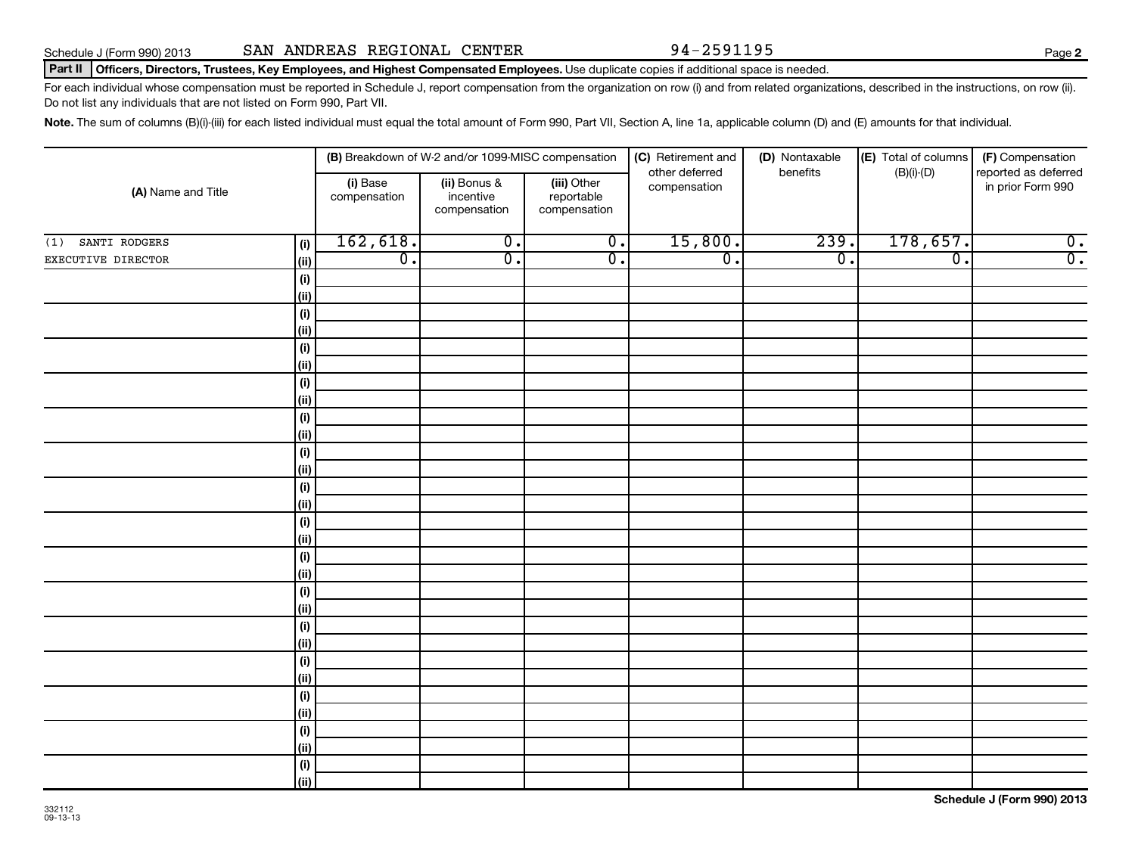| ىس                   |  |  |  |  |
|----------------------|--|--|--|--|
| (i)                  |  |  |  |  |
| (ii)                 |  |  |  |  |
| (i)                  |  |  |  |  |
| (ii)                 |  |  |  |  |
| (i)                  |  |  |  |  |
| (ii)                 |  |  |  |  |
| (i)                  |  |  |  |  |
| (i)                  |  |  |  |  |
| (i)                  |  |  |  |  |
| (ii)                 |  |  |  |  |
| (i)                  |  |  |  |  |
| (i)                  |  |  |  |  |
| (i)                  |  |  |  |  |
| (ii)                 |  |  |  |  |
| (i)                  |  |  |  |  |
| (ii)                 |  |  |  |  |
| (i)                  |  |  |  |  |
| (ii)                 |  |  |  |  |
| (i)                  |  |  |  |  |
| (ii)                 |  |  |  |  |
| (i)                  |  |  |  |  |
| (ii)                 |  |  |  |  |
| (i)                  |  |  |  |  |
| (ii)                 |  |  |  |  |
| (i)                  |  |  |  |  |
| $\vert$ (ii) $\vert$ |  |  |  |  |

Part II | Officers, Directors, Trustees, Key Employees, and Highest Compensated Employees. Use duplicate copies if additional space is needed.

**(i) (ii) (iii) (A)**  Name and Title

**(i) (ii) (i) (ii) (i) (ii)**

For each individual whose compensation must be reported in Schedule J, report compensation from the organization on row (i) and from related organizations, described in the instructions, on row (ii). Do not list any individuals that are not listed on Form 990, Part VII.

> (iii) Other reportable compensation

(1) SANTI RODGERS  $|_{(i)}|$  162,618. 0. 0. 15,800. 239. 178,657. 0. EXECUTIVE DIRECTOR 0. 0. 0. 0. 0. 0. 0.

**(B)** Breakdown of W-2 and/or 1099-MISC compensation | **(C)** Retirement and | **(D)** Nontaxable |**(E)** Total of columns | **(F)** 

other deferred compensation

(i) Base **in the interpolat in prior Form 990** (iii) Other compensation **in prior Form 990** in prior Form 990<br>compensation incentive reportable entity in prior Form 990

Note. The sum of columns (B)(i)-(iii) for each listed individual must equal the total amount of Form 990, Part VII, Section A, line 1a, applicable column (D) and (E) amounts for that individual.

Bonus & incentive compensation

(D) Nontaxable benefits

(E) Total of columns (B)(i)-(D)

(F) Compensation reported as deferred

**Schedule J (Form 990) 2013**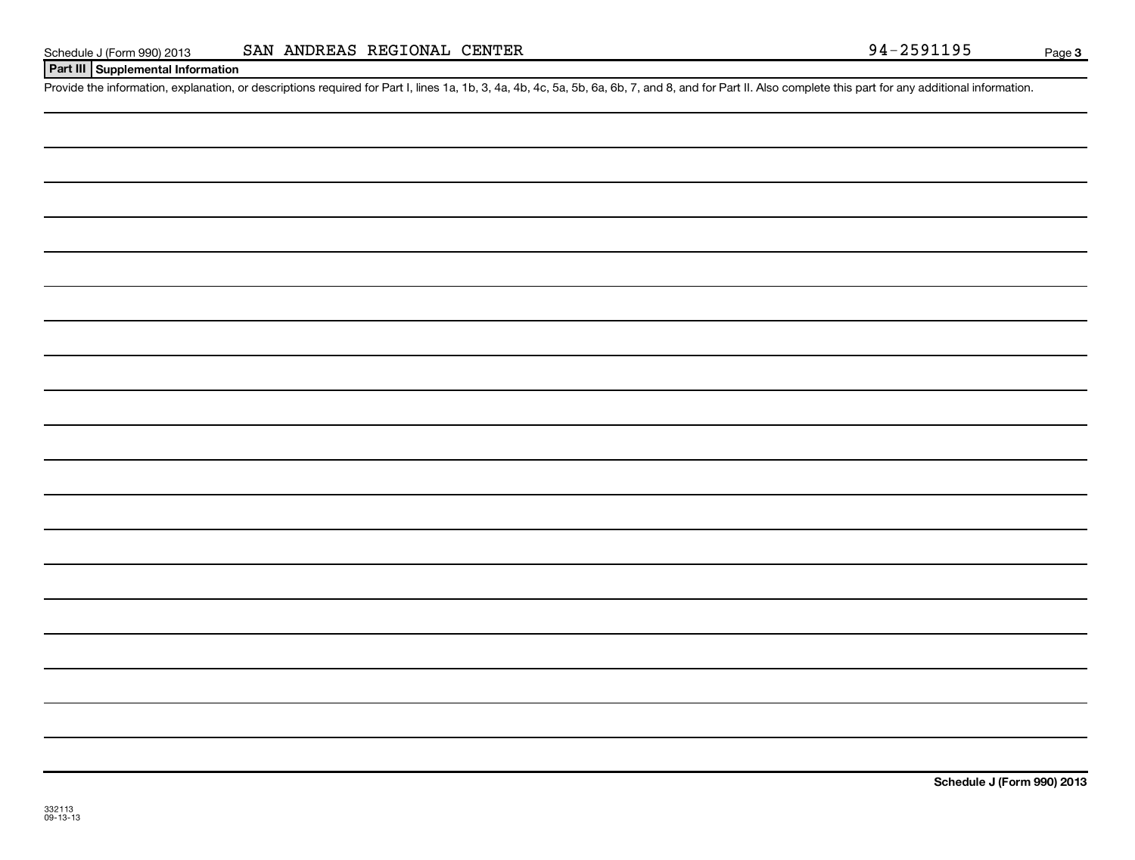| Schedule J (Form 990) 201 |  |  |
|---------------------------|--|--|
|                           |  |  |

### **Part III Supplemental Information**

Provide the information, explanation, or descriptions required for Part I, lines 1a, 1b, 3, 4a, 4b, 4c, 5a, 5b, 6a, 6b, 7, and 8, and for Part II. Also complete this part for any additional information.

**Schedule J (Form 990) 2013**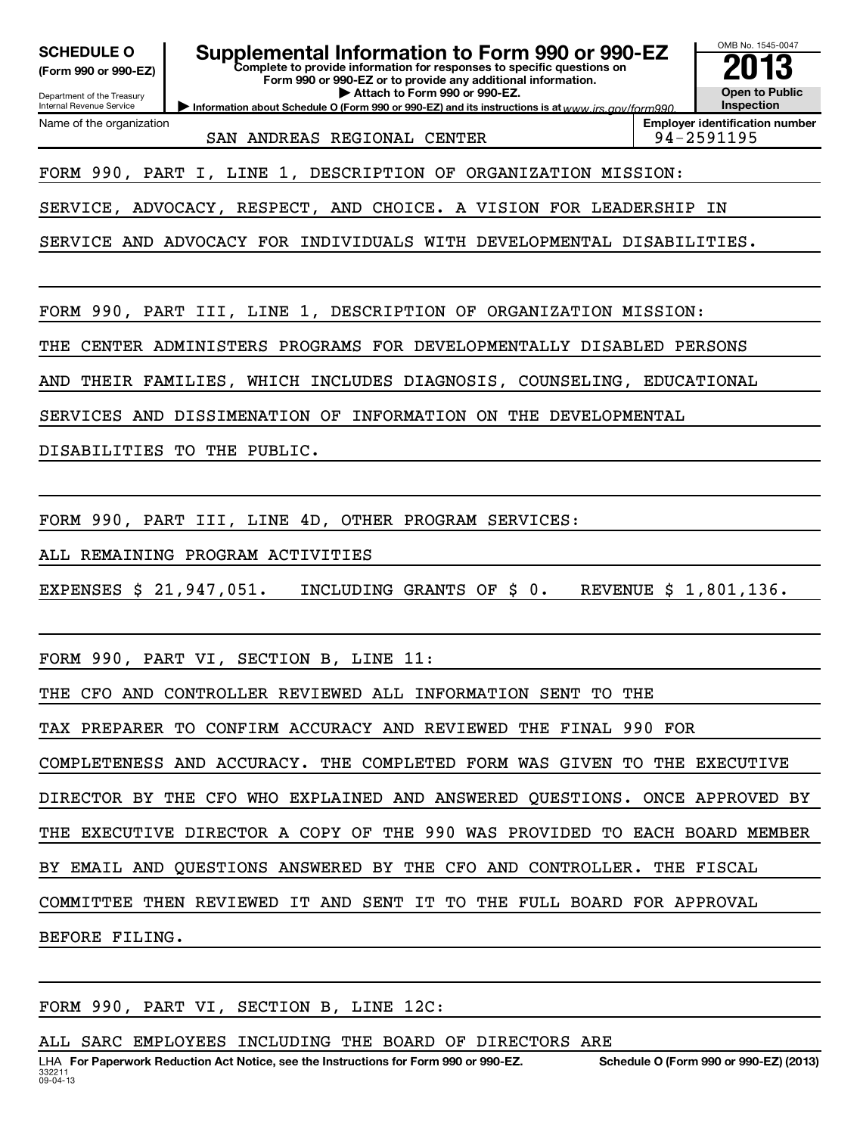OMB No. 1545-0047 Department of the Treasury Internal Revenue Service **Information about Schedule O (Form 990 or 990-EZ) and its instructions is at www.irs.gov/form990. Complete to provide information for responses to specific questions on Form 990 or 990-EZ or to provide any additional information. | Attach to Form 990 or 990-EZ. (Form 990 or 990-EZ) Open to Public Inspection Employer identification number** Name of the organization **SCHEDULE O Supplemental Information to Form 990 or 990-EZ 2013** SAN ANDREAS REGIONAL CENTER FOR PRESENTING 194-2591195 FORM 990, PART I, LINE 1, DESCRIPTION OF ORGANIZATION MISSION: SERVICE, ADVOCACY, RESPECT, AND CHOICE. A VISION FOR LEADERSHIP IN SERVICE AND ADVOCACY FOR INDIVIDUALS WITH DEVELOPMENTAL DISABILITIES. FORM 990, PART III, LINE 1, DESCRIPTION OF ORGANIZATION MISSION: THE CENTER ADMINISTERS PROGRAMS FOR DEVELOPMENTALLY DISABLED PERSONS AND THEIR FAMILIES, WHICH INCLUDES DIAGNOSIS, COUNSELING, EDUCATIONAL SERVICES AND DISSIMENATION OF INFORMATION ON THE DEVELOPMENTAL DISABILITIES TO THE PUBLIC. FORM 990, PART III, LINE 4D, OTHER PROGRAM SERVICES: ALL REMAINING PROGRAM ACTIVITIES EXPENSES \$ 21,947,051. INCLUDING GRANTS OF \$ 0. REVENUE \$ 1,801,136. FORM 990, PART VI, SECTION B, LINE 11: THE CFO AND CONTROLLER REVIEWED ALL INFORMATION SENT TO THE TAX PREPARER TO CONFIRM ACCURACY AND REVIEWED THE FINAL 990 FOR COMPLETENESS AND ACCURACY. THE COMPLETED FORM WAS GIVEN TO THE EXECUTIVE DIRECTOR BY THE CFO WHO EXPLAINED AND ANSWERED QUESTIONS. ONCE APPROVED BY THE EXECUTIVE DIRECTOR A COPY OF THE 990 WAS PROVIDED TO EACH BOARD MEMBER BY EMAIL AND QUESTIONS ANSWERED BY THE CFO AND CONTROLLER. THE FISCAL COMMITTEE THEN REVIEWED IT AND SENT IT TO THE FULL BOARD FOR APPROVAL BEFORE FILING.

FORM 990, PART VI, SECTION B, LINE 12C:

ALL SARC EMPLOYEES INCLUDING THE BOARD OF DIRECTORS ARE